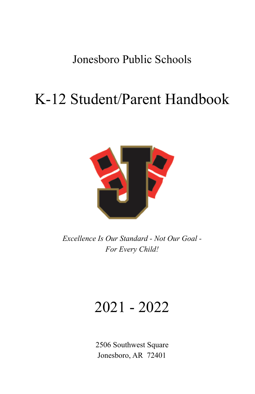# Jonesboro Public Schools

# K-12 Student/Parent Handbook



*Excellence Is Our Standard - Not Our Goal - For Every Child!*

# 2021 - 2022

2506 Southwest Square Jonesboro, AR 72401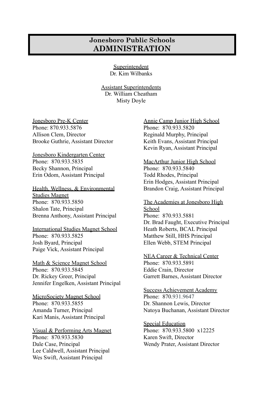#### **Jonesboro Public Schools ADMINISTRATION**

Superintendent Dr. Kim Wilbanks

Assistant Superintendents Dr. William Cheatham Misty Doyle

Jonesboro Pre-K Center Phone: 870.933.5876 Allison Clem, Director Brooke Guthrie, Assistant Director

Jonesboro Kindergarten Center Phone: 870.933.5835 Becky Shannon, Principal Erin Odom, Assistant Principal

Health, Wellness, & Environmental Studies Magnet Phone: 870.933.5850 Shalon Tate, Principal Brenna Anthony, Assistant Principal

International Studies Magnet School Phone: 870.933.5825 Josh Byard, Principal Paige Vick, Assistant Principal

Math & Science Magnet School Phone: 870.933.5845 Dr. Rickey Greer, Principal Jennifer Engelken, Assistant Principal

MicroSociety Magnet School Phone: 870.933.5855 Amanda Turner, Principal Kari Manis, Assistant Principal

Visual & Performing Arts Magnet Phone: 870.933.5830 Dale Case, Principal Lee Caldwell, Assistant Principal Wes Swift, Assistant Principal

Annie Camp Junior High School Phone: 870.933.5820 Reginald Murphy, Principal Keith Evans, Assistant Principal Kevin Ryan, Assistant Principal

MacArthur Junior High School Phone: 870.933.5840 Todd Rhodes, Principal Erin Hodges, Assistant Principal Brandon Craig, Assistant Principal

The Academies at Jonesboro High School Phone: 870.933.5881 Dr. Brad Faught, Executive Principal Heath Roberts, BCAL Principal Matthew Still, HHS Principal Ellen Webb, STEM Principal

NEA Career & Technical Center Phone: 870.933.5891 Eddie Crain, Director Garrett Barnes, Assistant Director

Success Achievement Academy Phone: 870.931.9647 Dr. Shannon Lewis, Director Natoya Buchanan, Assistant Director

Special Education Phone: 870.933.5800 x12225 Karen Swift, Director Wendy Prater, Assistant Director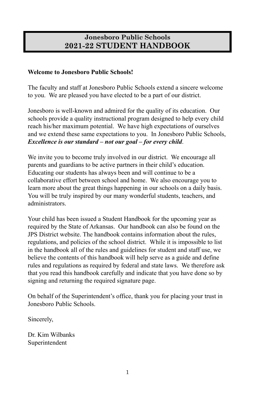### **Jonesboro Public Schools 2021-22 STUDENT HANDBOOK**

#### **Welcome to Jonesboro Public Schools!**

The faculty and staff at Jonesboro Public Schools extend a sincere welcome to you. We are pleased you have elected to be a part of our district.

Jonesboro is well-known and admired for the quality of its education. Our schools provide a quality instructional program designed to help every child reach his/her maximum potential. We have high expectations of ourselves and we extend these same expectations to you. In Jonesboro Public Schools, *Excellence is our standard – not our goal – for every child*.

We invite you to become truly involved in our district. We encourage all parents and guardians to be active partners in their child's education. Educating our students has always been and will continue to be a collaborative effort between school and home. We also encourage you to learn more about the great things happening in our schools on a daily basis. You will be truly inspired by our many wonderful students, teachers, and administrators.

Your child has been issued a Student Handbook for the upcoming year as required by the State of Arkansas. Our handbook can also be found on the JPS District website. The handbook contains information about the rules, regulations, and policies of the school district. While it is impossible to list in the handbook all of the rules and guidelines for student and staff use, we believe the contents of this handbook will help serve as a guide and define rules and regulations as required by federal and state laws. We therefore ask that you read this handbook carefully and indicate that you have done so by signing and returning the required signature page.

On behalf of the Superintendent's office, thank you for placing your trust in Jonesboro Public Schools.

Sincerely,

Dr. Kim Wilbanks Superintendent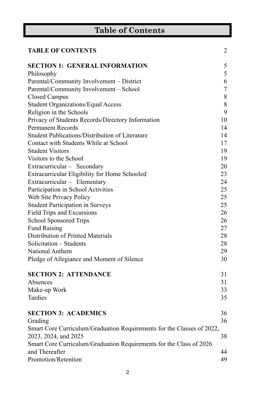| <b>Table of Contents</b>                                               |                  |  |
|------------------------------------------------------------------------|------------------|--|
| <b>TABLE OF CONTENTS</b>                                               | 2                |  |
| <b>SECTION 1: GENERAL INFORMATION</b>                                  | 5                |  |
| Philosophy                                                             | 5                |  |
| Parental/Community Involvement - District                              | 6                |  |
| Parental/Community Involvement - School                                | $\boldsymbol{7}$ |  |
| <b>Closed Campus</b>                                                   | 8                |  |
| <b>Student Organizations/Equal Access</b>                              | 8                |  |
| Religion in the Schools                                                | 9                |  |
| Privacy of Students Records/Directory Information                      | 10               |  |
| <b>Permanent Records</b>                                               | 14               |  |
| Student Publications/Distribution of Literature                        | 14               |  |
| Contact with Students While at School                                  | 17               |  |
| <b>Student Visitors</b>                                                | 19               |  |
| Visitors to the School                                                 | 19               |  |
| Extracurricular - Secondary                                            | 20               |  |
| Extracurricular Eligibility for Home Schooled                          | 23               |  |
| Extracurricular - Elementary                                           | 24               |  |
| Participation in School Activities                                     | 25               |  |
| Web Site Privacy Policy                                                | 25               |  |
| <b>Student Participation in Surveys</b>                                | 25               |  |
| Field Trips and Excursions                                             | 26               |  |
| School Sponsored Trips                                                 | 26               |  |
| <b>Fund Raising</b>                                                    | 27               |  |
| Distribution of Printed Materials                                      | 28               |  |
| Solicitation - Students                                                | 28               |  |
| National Anthem                                                        | 29               |  |
| Pledge of Allegiance and Moment of Silence                             | 30               |  |
| <b>SECTION 2: ATTENDANCE</b>                                           | 31               |  |
| Absences                                                               | 31               |  |
| Make-up Work                                                           | 33               |  |
| Tardies                                                                | 35               |  |
| <b>SECTION 3: ACADEMICS</b>                                            | 36               |  |
| Grading                                                                | 36               |  |
| Smart Core Curriculum/Graduation Requirements for the Classes of 2022, |                  |  |
| 2023, 2024, and 2025                                                   | 38               |  |
| Smart Core Curriculum/Graduation Requirements for the Class of 2026    |                  |  |
| and Thereafter                                                         | 44               |  |
| Promotion/Retention                                                    | 49               |  |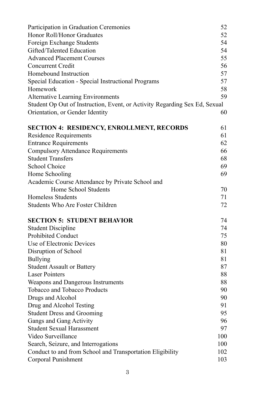| Participation in Graduation Ceremonies                                     | 52  |
|----------------------------------------------------------------------------|-----|
| Honor Roll/Honor Graduates                                                 | 52  |
| Foreign Exchange Students                                                  | 54  |
| Gifted/Talented Education                                                  | 54  |
| <b>Advanced Placement Courses</b>                                          | 55  |
| Concurrent Credit                                                          | 56  |
| Homebound Instruction                                                      | 57  |
| Special Education - Special Instructional Programs                         | 57  |
| Homework                                                                   | 58  |
| Alternative Learning Environments                                          | 59  |
| Student Op Out of Instruction, Event, or Activity Regarding Sex Ed, Sexual |     |
| Orientation, or Gender Identity                                            | 60  |
| <b>SECTION 4: RESIDENCY, ENROLLMENT, RECORDS</b>                           | 61  |
| <b>Residence Requirements</b>                                              | 61  |
| <b>Entrance Requirements</b>                                               | 62  |
| <b>Compulsory Attendance Requirements</b>                                  | 66  |
| <b>Student Transfers</b>                                                   | 68  |
| School Choice                                                              | 69  |
| Home Schooling                                                             | 69  |
| Academic Course Attendance by Private School and                           |     |
| Home School Students                                                       | 70  |
| <b>Homeless Students</b>                                                   | 71  |
| Students Who Are Foster Children                                           | 72  |
| <b>SECTION 5: STUDENT BEHAVIOR</b>                                         | 74  |
| <b>Student Discipline</b>                                                  | 74  |
| Prohibited Conduct                                                         | 75  |
| Use of Electronic Devices                                                  | 80  |
| Disruption of School                                                       | 81  |
| <b>Bullying</b>                                                            | 81  |
| <b>Student Assault or Battery</b>                                          | 87  |
| <b>Laser Pointers</b>                                                      | 88  |
| Weapons and Dangerous Instruments                                          | 88  |
| Tobacco and Tobacco Products                                               | 90  |
| Drugs and Alcohol                                                          | 90  |
| Drug and Alcohol Testing                                                   | 91  |
| <b>Student Dress and Grooming</b>                                          | 95  |
| Gangs and Gang Activity                                                    | 96  |
| <b>Student Sexual Harassment</b>                                           | 97  |
| Video Surveillance                                                         | 100 |
| Search, Seizure, and Interrogations                                        | 100 |
| Conduct to and from School and Transportation Eligibility                  | 102 |
| Corporal Punishment                                                        | 103 |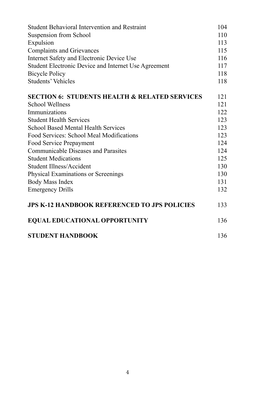| Student Behavioral Intervention and Restraint            | 104 |
|----------------------------------------------------------|-----|
| Suspension from School                                   | 110 |
| Expulsion                                                | 113 |
| <b>Complaints and Grievances</b>                         | 115 |
| Internet Safety and Electronic Device Use                | 116 |
| Student Electronic Device and Internet Use Agreement     | 117 |
| <b>Bicycle Policy</b>                                    | 118 |
| Students' Vehicles                                       | 118 |
| <b>SECTION 6: STUDENTS HEALTH &amp; RELATED SERVICES</b> | 121 |
| <b>School Wellness</b>                                   | 121 |
| Immunizations                                            | 122 |
| <b>Student Health Services</b>                           | 123 |
| <b>School Based Mental Health Services</b>               | 123 |
| Food Services: School Meal Modifications                 | 123 |
| Food Service Prepayment                                  | 124 |
| <b>Communicable Diseases and Parasites</b>               | 124 |
| <b>Student Medications</b>                               | 125 |
| Student Illness/Accident                                 | 130 |
| Physical Examinations or Screenings                      | 130 |
| Body Mass Index                                          | 131 |
| <b>Emergency Drills</b>                                  | 132 |
| <b>JPS K-12 HANDBOOK REFERENCED TO JPS POLICIES</b>      | 133 |
| <b>EQUAL EDUCATIONAL OPPORTUNITY</b>                     | 136 |
| <b>STUDENT HANDBOOK</b>                                  | 136 |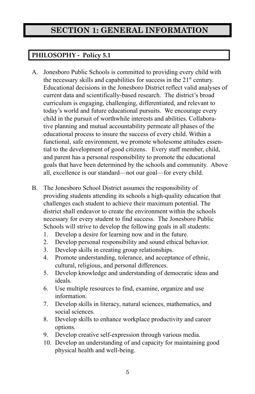## **SECTION 1: GENERAL INFORMATION**

### **PHILOSOPHY - Policy 5.1**

- A. Jonesboro Public Schools is committed to providing every child with the necessary skills and capabilities for success in the  $21<sup>st</sup>$  century. Educational decisions in the Jonesboro District reflect valid analyses of current data and scientifically-based research. The district's broad curriculum is engaging, challenging, differentiated, and relevant to today's world and future educational pursuits. We encourage every child in the pursuit of worthwhile interests and abilities. Collaborative planning and mutual accountability permeate all phases of the educational process to insure the success of every child. Within a functional, safe environment, we promote wholesome attitudes essential to the development of good citizens. Every staff member, child, and parent has a personal responsibility to promote the educational goals that have been determined by the schools and community. Above all, excellence is our standard—not our goal—for every child.
- B. The Jonesboro School District assumes the responsibility of providing students attending its schools a high-quality education that challenges each student to achieve their maximum potential. The district shall endeavor to create the environment within the schools necessary for every student to find success. The Jonesboro Public Schools will strive to develop the following goals in all students:
	- 1. Develop a desire for learning now and in the future.
	- 2. Develop personal responsibility and sound ethical behavior.
	- 3. Develop skills in creating group relationships.
	- 4. Promote understanding, tolerance, and acceptance of ethnic, cultural, religious, and personal differences.
	- 5. Develop knowledge and understanding of democratic ideas and ideals.
	- 6. Use multiple resources to find, examine, organize and use information.
	- 7. Develop skills in literacy, natural sciences, mathematics, and social sciences.
	- 8. Develop skills to enhance workplace productivity and career options.
	- 9. Develop creative self-expression through various media.
	- 10. Develop an understanding of and capacity for maintaining good physical health and well-being.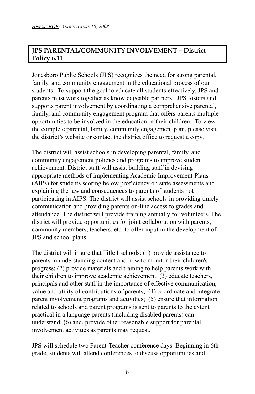#### **JPS PARENTAL/COMMUNITY INVOLVEMENT – District Policy 6.11**

Jonesboro Public Schools (JPS) recognizes the need for strong parental, family, and community engagement in the educational process of our students. To support the goal to educate all students effectively, JPS and parents must work together as knowledgeable partners. JPS fosters and supports parent involvement by coordinating a comprehensive parental, family, and community engagement program that offers parents multiple opportunities to be involved in the education of their children. To view the complete parental, family, community engagement plan, please visit the district's website or contact the district office to request a copy.

The district will assist schools in developing parental, family, and community engagement policies and programs to improve student achievement. District staff will assist building staff in devising appropriate methods of implementing Academic Improvement Plans (AIPs) for students scoring below proficiency on state assessments and explaining the law and consequences to parents of students not participating in AIPS. The district will assist schools in providing timely communication and providing parents on-line access to grades and attendance. The district will provide training annually for volunteers. The district will provide opportunities for joint collaboration with parents, community members, teachers, etc. to offer input in the development of JPS and school plans

The district will insure that Title I schools: (1) provide assistance to parents in understanding content and how to monitor their children's progress; (2) provide materials and training to help parents work with their children to improve academic achievement; (3) educate teachers, principals and other staff in the importance of effective communication, value and utility of contributions of parents; (4) coordinate and integrate parent involvement programs and activities; (5) ensure that information related to schools and parent programs is sent to parents to the extent practical in a language parents (including disabled parents) can understand; (6) and, provide other reasonable support for parental involvement activities as parents may request.

JPS will schedule two Parent-Teacher conference days. Beginning in 6th grade, students will attend conferences to discuss opportunities and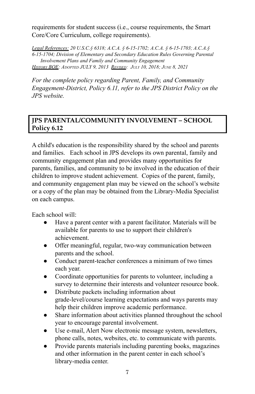requirements for student success (i.e., course requirements, the Smart Core/Core Curriculum, college requirements).

*Legal References: 20 U.S.C.§ 6318; A.C.A. § 6-15-1702; A.C.A. § 6-15-1703; A.C.A.§ 6-15-1704; Division of Elementary and Secondary Education Rules Governing Parental Involvement Plans and Family and Community Engagement HISTORY BOE: ADOPTED JULY 9, 2013 REVISED: JULY 10, 2018; JUNE 8, 2021*

*For the complete policy regarding Parent, Family, and Community Engagement-District, Policy 6.11, refer to the JPS District Policy on the JPS website.*

#### **JPS PARENTAL/COMMUNITY INVOLVEMENT – SCHOOL Policy 6.12**

A child's education is the responsibility shared by the school and parents and families. Each school in JPS develops its own parental, family and community engagement plan and provides many opportunities for parents, families, and community to be involved in the education of their children to improve student achievement. Copies of the parent, family, and community engagement plan may be viewed on the school's website or a copy of the plan may be obtained from the Library-Media Specialist on each campus.

Each school will:

- Have a parent center with a parent facilitator. Materials will be available for parents to use to support their children's achievement.
- Offer meaningful, regular, two-way communication between parents and the school.
- Conduct parent-teacher conferences a minimum of two times each year.
- Coordinate opportunities for parents to volunteer, including a survey to determine their interests and volunteer resource book.
- Distribute packets including information about grade-level/course learning expectations and ways parents may help their children improve academic performance.
- Share information about activities planned throughout the school year to encourage parental involvement.
- Use e-mail, Alert Now electronic message system, newsletters, phone calls, notes, websites, etc. to communicate with parents.
- Provide parents materials including parenting books, magazines and other information in the parent center in each school's library-media center.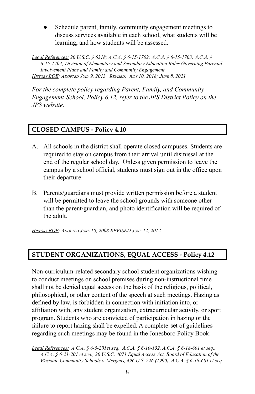Schedule parent, family, community engagement meetings to discuss services available in each school, what students will be learning, and how students will be assessed.

*Legal References: 20 U.S.C. § 6318; A.C.A. § 6-15-1702; A.C.A. § 6-15-1703; A.C.A. § 6-15-1704; Division of Elementary and Secondary Education Rules Governing Parental Involvement Plans and Family and Community Engagement HISTORY BOE: ADOPTED JULY 9, 2013 REVISED: JULY 10, 2018; JUNE 8, 2021*

*For the complete policy regarding Parent, Family, and Community Engagement-School, Policy 6.12, refer to the JPS District Policy on the JPS website.*

#### **CLOSED CAMPUS - Policy 4.10**

- A. All schools in the district shall operate closed campuses. Students are required to stay on campus from their arrival until dismissal at the end of the regular school day. Unless given permission to leave the campus by a school official, students must sign out in the office upon their departure.
- B. Parents/guardians must provide written permission before a student will be permitted to leave the school grounds with someone other than the parent/guardian, and photo identification will be required of the adult.

*HISTORY BOE: ADOPTED JUNE 10, 2008 REVISED JUNE 12, 2012*

#### **STUDENT ORGANIZATIONS, EQUAL ACCESS - Policy 4.12**

Non-curriculum-related secondary school student organizations wishing to conduct meetings on school premises during non-instructional time shall not be denied equal access on the basis of the religious, political, philosophical, or other content of the speech at such meetings. Hazing as defined by law, is forbidden in connection with initiation into, or affiliation with, any student organization, extracurricular activity, or sport program. Students who are convicted of participation in hazing or the failure to report hazing shall be expelled. A complete set of guidelines regarding such meetings may be found in the Jonesboro Policy Book.

*Legal References: A.C.A. § 6-5-201et seq., A.C.A. § 6-10-132, A.C.A. § 6-18-601 et seq., A.C.A. § 6-21-201 et seq., 20 U.S.C. 4071 Equal Access Act, Board of Education of the Westside Community Schools v. Mergens, 496 U.S. 226 (1990), A.C.A. § 6-18-601 et seq.*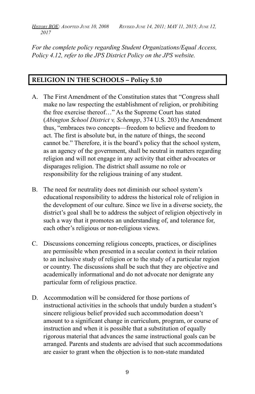HISTORY BOE: ADOPTED JUNE 10, 2008 REVISED JUNE 14, 2011; MAY 11, 2015; JUNE 12, *2017*

*For the complete policy regarding Student Organizations/Equal Access, Policy 4.12, refer to the JPS District Policy on the JPS website.*

#### **RELIGION IN THE SCHOOLS – Policy 5.10**

- A. The First Amendment of the Constitution states that "Congress shall make no law respecting the establishment of religion, or prohibiting the free exercise thereof…" As the Supreme Court has stated (*Abington School District v, Schempp*, 374 U.S. 203) the Amendment thus, "embraces two concepts—freedom to believe and freedom to act. The first is absolute but, in the nature of things, the second cannot be." Therefore, it is the board's policy that the school system, as an agency of the government, shall be neutral in matters regarding religion and will not engage in any activity that either advocates or disparages religion. The district shall assume no role or responsibility for the religious training of any student.
- B. The need for neutrality does not diminish our school system's educational responsibility to address the historical role of religion in the development of our culture. Since we live in a diverse society, the district's goal shall be to address the subject of religion objectively in such a way that it promotes an understanding of, and tolerance for, each other's religious or non-religious views.
- C. Discussions concerning religious concepts, practices, or disciplines are permissible when presented in a secular context in their relation to an inclusive study of religion or to the study of a particular region or country. The discussions shall be such that they are objective and academically informational and do not advocate nor denigrate any particular form of religious practice.
- D. Accommodation will be considered for those portions of instructional activities in the schools that unduly burden a student's sincere religious belief provided such accommodation doesn't amount to a significant change in curriculum, program, or course of instruction and when it is possible that a substitution of equally rigorous material that advances the same instructional goals can be arranged. Parents and students are advised that such accommodations are easier to grant when the objection is to non-state mandated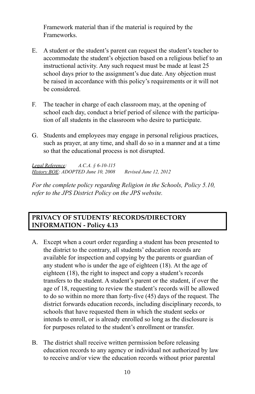Framework material than if the material is required by the Frameworks.

- E. A student or the student's parent can request the student's teacher to accommodate the student's objection based on a religious belief to an instructional activity. Any such request must be made at least 25 school days prior to the assignment's due date. Any objection must be raised in accordance with this policy's requirements or it will not be considered.
- F. The teacher in charge of each classroom may, at the opening of school each day, conduct a brief period of silence with the participation of all students in the classroom who desire to participate.
- G. Students and employees may engage in personal religious practices, such as prayer, at any time, and shall do so in a manner and at a time so that the educational process is not disrupted.

*Legal Reference: A.C.A. § 6-10-115 History BOE: ADOPTED June 10, 2008 Revised June 12, 2012*

*For the complete policy regarding Religion in the Schools, Policy 5.10, refer to the JPS District Policy on the JPS website.*

#### **PRIVACY OF STUDENTS' RECORDS/DIRECTORY INFORMATION - Policy 4.13**

- A. Except when a court order regarding a student has been presented to the district to the contrary, all students' education records are available for inspection and copying by the parents or guardian of any student who is under the age of eighteen (18). At the age of eighteen (18), the right to inspect and copy a student's records transfers to the student. A student's parent or the student, if over the age of 18, requesting to review the student's records will be allowed to do so within no more than forty-five (45) days of the request. The district forwards education records, including disciplinary records, to schools that have requested them in which the student seeks or intends to enroll, or is already enrolled so long as the disclosure is for purposes related to the student's enrollment or transfer.
- B. The district shall receive written permission before releasing education records to any agency or individual not authorized by law to receive and/or view the education records without prior parental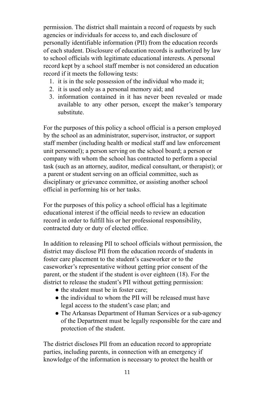permission. The district shall maintain a record of requests by such agencies or individuals for access to, and each disclosure of personally identifiable information (PII) from the education records of each student. Disclosure of education records is authorized by law to school officials with legitimate educational interests. A personal record kept by a school staff member is not considered an education record if it meets the following tests:

- 1. it is in the sole possession of the individual who made it;
- 2. it is used only as a personal memory aid; and
- 3. information contained in it has never been revealed or made available to any other person, except the maker's temporary substitute.

For the purposes of this policy a school official is a person employed by the school as an administrator, supervisor, instructor, or support staff member (including health or medical staff and law enforcement unit personnel); a person serving on the school board; a person or company with whom the school has contracted to perform a special task (such as an attorney, auditor, medical consultant, or therapist); or a parent or student serving on an official committee, such as disciplinary or grievance committee, or assisting another school official in performing his or her tasks.

For the purposes of this policy a school official has a legitimate educational interest if the official needs to review an education record in order to fulfill his or her professional responsibility, contracted duty or duty of elected office.

In addition to releasing PII to school officials without permission, the district may disclose PII from the education records of students in foster care placement to the student's caseworker or to the caseworker's representative without getting prior consent of the parent, or the student if the student is over eighteen (18). For the district to release the student's PII without getting permission:

- the student must be in foster care:
- the individual to whom the PII will be released must have legal access to the student's case plan; and
- The Arkansas Department of Human Services or a sub-agency of the Department must be legally responsible for the care and protection of the student.

The district discloses PII from an education record to appropriate parties, including parents, in connection with an emergency if knowledge of the information is necessary to protect the health or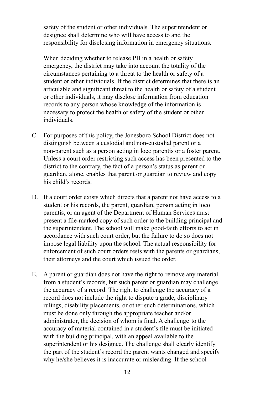safety of the student or other individuals. The superintendent or designee shall determine who will have access to and the responsibility for disclosing information in emergency situations.

When deciding whether to release PII in a health or safety emergency, the district may take into account the totality of the circumstances pertaining to a threat to the health or safety of a student or other individuals. If the district determines that there is an articulable and significant threat to the health or safety of a student or other individuals, it may disclose information from education records to any person whose knowledge of the information is necessary to protect the health or safety of the student or other individuals.

- C. For purposes of this policy, the Jonesboro School District does not distinguish between a custodial and non-custodial parent or a non-parent such as a person acting in loco parentis or a foster parent. Unless a court order restricting such access has been presented to the district to the contrary, the fact of a person's status as parent or guardian, alone, enables that parent or guardian to review and copy his child's records.
- D. If a court order exists which directs that a parent not have access to a student or his records, the parent, guardian, person acting in loco parentis, or an agent of the Department of Human Services must present a file-marked copy of such order to the building principal and the superintendent. The school will make good-faith efforts to act in accordance with such court order, but the failure to do so does not impose legal liability upon the school. The actual responsibility for enforcement of such court orders rests with the parents or guardians, their attorneys and the court which issued the order.
- E. A parent or guardian does not have the right to remove any material from a student's records, but such parent or guardian may challenge the accuracy of a record. The right to challenge the accuracy of a record does not include the right to dispute a grade, disciplinary rulings, disability placements, or other such determinations, which must be done only through the appropriate teacher and/or administrator, the decision of whom is final. A challenge to the accuracy of material contained in a student's file must be initiated with the building principal, with an appeal available to the superintendent or his designee. The challenge shall clearly identify the part of the student's record the parent wants changed and specify why he/she believes it is inaccurate or misleading. If the school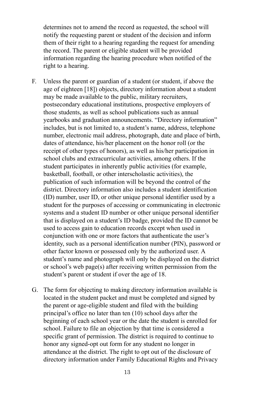determines not to amend the record as requested, the school will notify the requesting parent or student of the decision and inform them of their right to a hearing regarding the request for amending the record. The parent or eligible student will be provided information regarding the hearing procedure when notified of the right to a hearing.

- F. Unless the parent or guardian of a student (or student, if above the age of eighteen [18]) objects, directory information about a student may be made available to the public, military recruiters, postsecondary educational institutions, prospective employers of those students, as well as school publications such as annual yearbooks and graduation announcements. "Directory information" includes, but is not limited to, a student's name, address, telephone number, electronic mail address, photograph, date and place of birth, dates of attendance, his/her placement on the honor roll (or the receipt of other types of honors), as well as his/her participation in school clubs and extracurricular activities, among others. If the student participates in inherently public activities (for example, basketball, football, or other interscholastic activities), the publication of such information will be beyond the control of the district. Directory information also includes a student identification (ID) number, user ID, or other unique personal identifier used by a student for the purposes of accessing or communicating in electronic systems and a student ID number or other unique personal identifier that is displayed on a student's ID badge, provided the ID cannot be used to access gain to education records except when used in conjunction with one or more factors that authenticate the user's identity, such as a personal identification number (PIN), password or other factor known or possessed only by the authorized user. A student's name and photograph will only be displayed on the district or school's web page(s) after receiving written permission from the student's parent or student if over the age of 18.
- G. The form for objecting to making directory information available is located in the student packet and must be completed and signed by the parent or age-eligible student and filed with the building principal's office no later than ten (10) school days after the beginning of each school year or the date the student is enrolled for school. Failure to file an objection by that time is considered a specific grant of permission. The district is required to continue to honor any signed-opt out form for any student no longer in attendance at the district. The right to opt out of the disclosure of directory information under Family Educational Rights and Privacy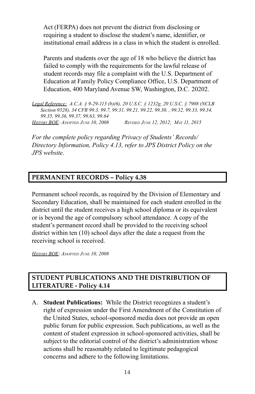Act (FERPA) does not prevent the district from disclosing or requiring a student to disclose the student's name, identifier, or institutional email address in a class in which the student is enrolled.

Parents and students over the age of 18 who believe the district has failed to comply with the requirements for the lawful release of student records may file a complaint with the U.S. Department of Education at Family Policy Compliance Office, U.S. Department of Education, 400 Maryland Avenue SW, Washington, D.C. 20202.

*Legal Reference: A.C.A. § 9-29-113 (b)(6), 20 U.S.C. § 1232g, 20 U.S.C. § 7908 (NCLB Section 9528), 34 CFR 99.3, 99.7, 99.31, 99.21, 99.22, 99.30, , 99.32, 99.33, 99.34, 99.35, 99.36, 99.37, 99.63, 99.64 HISTORY BOE: ADOPTED JUNE 10, 2008 REVISED JUNE 12, 2012; MAY 11, 2015*

*For the complete policy regarding Privacy of Students' Records/ Directory Information, Policy 4.13, refer to JPS District Policy on the JPS website.*

#### **PERMANENT RECORDS – Policy 4.38**

Permanent school records, as required by the Division of Elementary and Secondary Education, shall be maintained for each student enrolled in the district until the student receives a high school diploma or its equivalent or is beyond the age of compulsory school attendance. A copy of the student's permanent record shall be provided to the receiving school district within ten (10) school days after the date a request from the receiving school is received.

*HISTORY BOE: ADOPTED JUNE 10, 2008*

#### **STUDENT PUBLICATIONS AND THE DISTRIBUTION OF LITERATURE - Policy 4.14**

A. **Student Publications:** While the District recognizes a student's right of expression under the First Amendment of the Constitution of the United States, school-sponsored media does not provide an open public forum for public expression. Such publications, as well as the content of student expression in school-sponsored activities, shall be subject to the editorial control of the district's administration whose actions shall be reasonably related to legitimate pedagogical concerns and adhere to the following limitations.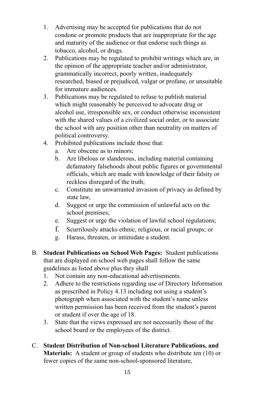- 1. Advertising may be accepted for publications that do not condone or promote products that are inappropriate for the age and maturity of the audience or that endorse such things as tobacco, alcohol, or drugs.
- 2. Publications may be regulated to prohibit writings which are, in the opinion of the appropriate teacher and/or administrator, grammatically incorrect, poorly written, inadequately researched, biased or prejudiced, vulgar or profane, or unsuitable for immature audiences.
- 3. Publications may be regulated to refuse to publish material which might reasonably be perceived to advocate drug or alcohol use, irresponsible sex, or conduct otherwise inconsistent with the shared values of a civilized social order, or to associate the school with any position other than neutrality on matters of political controversy.
- 4. Prohibited publications include those that:
	- a. Are obscene as to minors;
	- b. Are libelous or slanderous, including material containing defamatory falsehoods about public figures or governmental officials, which are made with knowledge of their falsity or reckless disregard of the truth;
	- c. Constitute an unwarranted invasion of privacy as defined by state law,
	- d. Suggest or urge the commission of unlawful acts on the school premises;
	- e. Suggest or urge the violation of lawful school regulations;
	- f. Scurrilously attacks ethnic, religious, or racial groups; or
	- g. Harass, threaten, or intimidate a student.
- B. **Student Publications on School Web Pages:** Student publications that are displayed on school web pages shall follow the same guidelines as listed above plus they shall
	- 1. Not contain any non-educational advertisements.
	- 2. Adhere to the restrictions regarding use of Directory Information as prescribed in Policy 4.13 including not using a student's photograph when associated with the student's name unless written permission has been received from the student's parent or student if over the age of 18.
	- 3. State that the views expressed are not necessarily those of the school board or the employees of the district.
- C. **Student Distribution of Non-school Literature Publications, and Materials:** A student or group of students who distribute ten (10) or fewer copies of the same non-school-sponsored literature,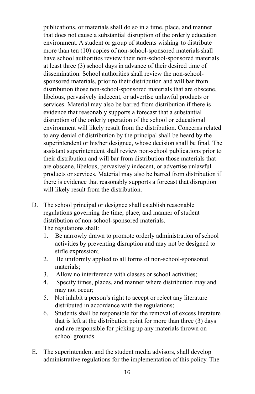publications, or materials shall do so in a time, place, and manner that does not cause a substantial disruption of the orderly education environment. A student or group of students wishing to distribute more than ten (10) copies of non-school-sponsored materials shall have school authorities review their non-school-sponsored materials at least three (3) school days in advance of their desired time of dissemination. School authorities shall review the non-schoolsponsored materials, prior to their distribution and will bar from distribution those non-school-sponsored materials that are obscene, libelous, pervasively indecent, or advertise unlawful products or services. Material may also be barred from distribution if there is evidence that reasonably supports a forecast that a substantial disruption of the orderly operation of the school or educational environment will likely result from the distribution. Concerns related to any denial of distribution by the principal shall be heard by the superintendent or his/her designee, whose decision shall be final. The assistant superintendent shall review non-school publications prior to their distribution and will bar from distribution those materials that are obscene, libelous, pervasively indecent, or advertise unlawful products or services. Material may also be barred from distribution if there is evidence that reasonably supports a forecast that disruption will likely result from the distribution.

- D. The school principal or designee shall establish reasonable regulations governing the time, place, and manner of student distribution of non-school-sponsored materials. The regulations shall:
	- 1. Be narrowly drawn to promote orderly administration of school activities by preventing disruption and may not be designed to stifle expression;
	- 2. Be uniformly applied to all forms of non-school-sponsored materials;
	- 3. Allow no interference with classes or school activities;
	- 4. Specify times, places, and manner where distribution may and may not occur;
	- 5. Not inhibit a person's right to accept or reject any literature distributed in accordance with the regulations;
	- 6. Students shall be responsible for the removal of excess literature that is left at the distribution point for more than three (3) days and are responsible for picking up any materials thrown on school grounds.
- E. The superintendent and the student media advisors, shall develop administrative regulations for the implementation of this policy. The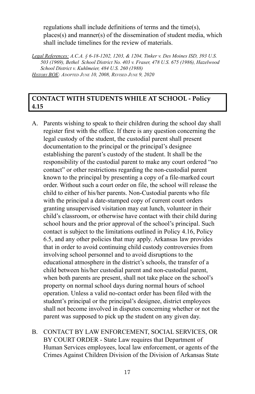regulations shall include definitions of terms and the time(s), places(s) and manner(s) of the dissemination of student media, which shall include timelines for the review of materials.

*Legal References: A.C.A. § 6-18-1202, 1203, & 1204, Tinker v. Des Moines ISD, 393 U.S. 503 (1969), Bethel School District No. 403 v. Fraser, 478 U.S. 675 (1986), Hazelwood School District v. Kuhlmeier, 484 U.S. 260 (1988) HISTORY BOE: ADOPTED JUNE 10, 2008, REVISED JUNE 9, 2020*

#### **CONTACT WITH STUDENTS WHILE AT SCHOOL - Policy 4.15**

- A. Parents wishing to speak to their children during the school day shall register first with the office. If there is any question concerning the legal custody of the student, the custodial parent shall present documentation to the principal or the principal's designee establishing the parent's custody of the student. It shall be the responsibility of the custodial parent to make any court ordered "no contact" or other restrictions regarding the non-custodial parent known to the principal by presenting a copy of a file-marked court order. Without such a court order on file, the school will release the child to either of his/her parents. Non-Custodial parents who file with the principal a date-stamped copy of current court orders granting unsupervised visitation may eat lunch, volunteer in their child's classroom, or otherwise have contact with their child during school hours and the prior approval of the school's principal. Such contact is subject to the limitations outlined in Policy 4.16, Policy 6.5, and any other policies that may apply. Arkansas law provides that in order to avoid continuing child custody controversies from involving school personnel and to avoid disruptions to the educational atmosphere in the district's schools, the transfer of a child between his/her custodial parent and non-custodial parent, when both parents are present, shall not take place on the school's property on normal school days during normal hours of school operation. Unless a valid no-contact order has been filed with the student's principal or the principal's designee, district employees shall not become involved in disputes concerning whether or not the parent was supposed to pick up the student on any given day.
- B. CONTACT BY LAW ENFORCEMENT, SOCIAL SERVICES, OR BY COURT ORDER - State Law requires that Department of Human Services employees, local law enforcement, or agents of the Crimes Against Children Division of the Division of Arkansas State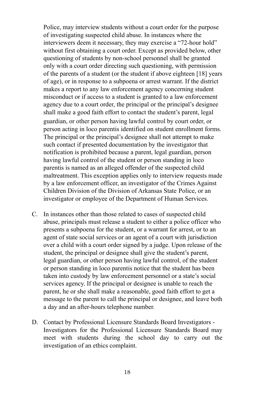Police, may interview students without a court order for the purpose of investigating suspected child abuse. In instances where the interviewers deem it necessary, they may exercise a "72-hour hold" without first obtaining a court order. Except as provided below, other questioning of students by non-school personnel shall be granted only with a court order directing such questioning, with permission of the parents of a student (or the student if above eighteen [18] years of age), or in response to a subpoena or arrest warrant. If the district makes a report to any law enforcement agency concerning student misconduct or if access to a student is granted to a law enforcement agency due to a court order, the principal or the principal's designee shall make a good faith effort to contact the student's parent, legal guardian, or other person having lawful control by court order, or person acting in loco parentis identified on student enrollment forms. The principal or the principal's designee shall not attempt to make such contact if presented documentation by the investigator that notification is prohibited because a parent, legal guardian, person having lawful control of the student or person standing in loco parentis is named as an alleged offender of the suspected child maltreatment. This exception applies only to interview requests made by a law enforcement officer, an investigator of the Crimes Against Children Division of the Division of Arkansas State Police, or an investigator or employee of the Department of Human Services.

- C. In instances other than those related to cases of suspected child abuse, principals must release a student to either a police officer who presents a subpoena for the student, or a warrant for arrest, or to an agent of state social services or an agent of a court with jurisdiction over a child with a court order signed by a judge. Upon release of the student, the principal or designee shall give the student's parent, legal guardian, or other person having lawful control, of the student or person standing in loco parentis notice that the student has been taken into custody by law enforcement personnel or a state's social services agency. If the principal or designee is unable to reach the parent, he or she shall make a reasonable, good faith effort to get a message to the parent to call the principal or designee, and leave both a day and an after-hours telephone number.
- D. Contact by Professional Licensure Standards Board Investigators Investigators for the Professional Licensure Standards Board may meet with students during the school day to carry out the investigation of an ethics complaint.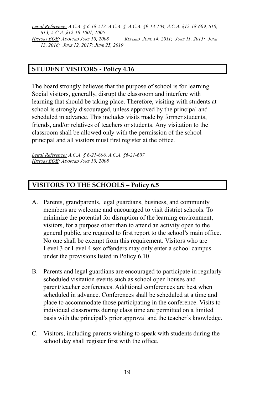*Legal Reference: A.C.A. § 6-18-513, A.C.A. §, A.C.A. §9-13-104, A.C.A. §12-18-609, 610, 613, A.C.A. §12-18-1001, 1005 HISTORY BOE: ADOPTED JUNE 10, 2008 REVISED JUNE 14, 2011; JUNE 11, 2015; JUNE 13, 2016; JUNE 12, 2017; JUNE 25, 2019*

#### **STUDENT VISITORS - Policy 4.16**

The board strongly believes that the purpose of school is for learning. Social visitors, generally, disrupt the classroom and interfere with learning that should be taking place. Therefore, visiting with students at school is strongly discouraged, unless approved by the principal and scheduled in advance. This includes visits made by former students, friends, and/or relatives of teachers or students. Any visitation to the classroom shall be allowed only with the permission of the school principal and all visitors must first register at the office.

*Legal Reference: A.C.A. § 6-21-606, A.C.A. §6-21-607 HISTORY BOE: ADOPTED JUNE 10, 2008*

#### **VISITORS TO THE SCHOOLS – Policy 6.5**

- A. Parents, grandparents, legal guardians, business, and community members are welcome and encouraged to visit district schools. To minimize the potential for disruption of the learning environment, visitors, for a purpose other than to attend an activity open to the general public, are required to first report to the school's main office. No one shall be exempt from this requirement. Visitors who are Level 3 or Level 4 sex offenders may only enter a school campus under the provisions listed in Policy 6.10.
- B. Parents and legal guardians are encouraged to participate in regularly scheduled visitation events such as school open houses and parent/teacher conferences. Additional conferences are best when scheduled in advance. Conferences shall be scheduled at a time and place to accommodate those participating in the conference. Visits to individual classrooms during class time are permitted on a limited basis with the principal's prior approval and the teacher's knowledge.
- C. Visitors, including parents wishing to speak with students during the school day shall register first with the office.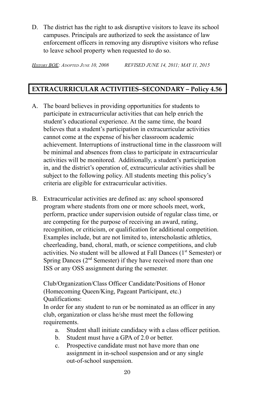D. The district has the right to ask disruptive visitors to leave its school campuses. Principals are authorized to seek the assistance of law enforcement officers in removing any disruptive visitors who refuse to leave school property when requested to do so.

*HISTORY BOE: ADOPTED JUNE 10, 2008 REVISED JUNE 14, 2011; MAY 11, 2015*

#### **EXTRACURRICULAR ACTIVITIES–SECONDARY – Policy 4.56**

- A. The board believes in providing opportunities for students to participate in extracurricular activities that can help enrich the student's educational experience. At the same time, the board believes that a student's participation in extracurricular activities cannot come at the expense of his/her classroom academic achievement. Interruptions of instructional time in the classroom will be minimal and absences from class to participate in extracurricular activities will be monitored. Additionally, a student's participation in, and the district's operation of, extracurricular activities shall be subject to the following policy. All students meeting this policy's criteria are eligible for extracurricular activities.
- B. Extracurricular activities are defined as: any school sponsored program where students from one or more schools meet, work, perform, practice under supervision outside of regular class time, or are competing for the purpose of receiving an award, rating, recognition, or criticism, or qualification for additional competition. Examples include, but are not limited to, interscholastic athletics, cheerleading, band, choral, math, or science competitions, and club activities. No student will be allowed at Fall Dances (1<sup>st</sup> Semester) or Spring Dances (2<sup>nd</sup> Semester) if they have received more than one ISS or any OSS assignment during the semester.

Club/Organization/Class Officer Candidate/Positions of Honor (Homecoming Queen/King, Pageant Participant, etc.) Qualifications:

In order for any student to run or be nominated as an officer in any club, organization or class he/she must meet the following requirements.

- a. Student shall initiate candidacy with a class officer petition.
- b. Student must have a GPA of 2.0 or better.
- c. Prospective candidate must not have more than one assignment in in-school suspension and or any single out-of-school suspension.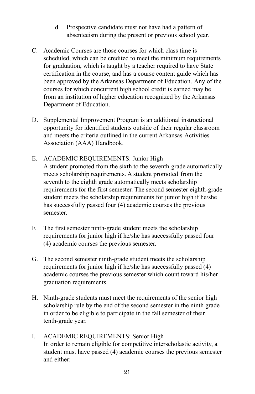- d. Prospective candidate must not have had a pattern of absenteeism during the present or previous school year.
- C. Academic Courses are those courses for which class time is scheduled, which can be credited to meet the minimum requirements for graduation, which is taught by a teacher required to have State certification in the course, and has a course content guide which has been approved by the Arkansas Department of Education. Any of the courses for which concurrent high school credit is earned may be from an institution of higher education recognized by the Arkansas Department of Education.
- D. Supplemental Improvement Program is an additional instructional opportunity for identified students outside of their regular classroom and meets the criteria outlined in the current Arkansas Activities Association (AAA) Handbook.
- E. ACADEMIC REQUIREMENTS: Junior High A student promoted from the sixth to the seventh grade automatically meets scholarship requirements. A student promoted from the seventh to the eighth grade automatically meets scholarship requirements for the first semester. The second semester eighth-grade student meets the scholarship requirements for junior high if he/she has successfully passed four (4) academic courses the previous semester.
- F. The first semester ninth-grade student meets the scholarship requirements for junior high if he/she has successfully passed four (4) academic courses the previous semester.
- G. The second semester ninth-grade student meets the scholarship requirements for junior high if he/she has successfully passed (4) academic courses the previous semester which count toward his/her graduation requirements.
- H. Ninth-grade students must meet the requirements of the senior high scholarship rule by the end of the second semester in the ninth grade in order to be eligible to participate in the fall semester of their tenth-grade year.
- I. ACADEMIC REQUIREMENTS: Senior High In order to remain eligible for competitive interscholastic activity, a student must have passed (4) academic courses the previous semester and either: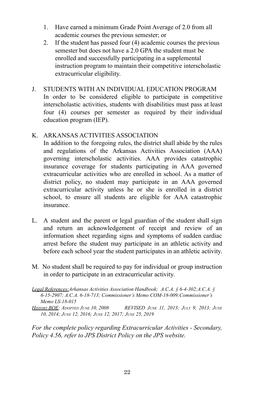- 1. Have earned a minimum Grade Point Average of 2.0 from all academic courses the previous semester; or
- 2. If the student has passed four (4) academic courses the previous semester but does not have a 2.0 GPA the student must be enrolled and successfully participating in a supplemental instruction program to maintain their competitive interscholastic extracurricular eligibility.
- J. STUDENTS WITH AN INDIVIDUAL EDUCATION PROGRAM In order to be considered eligible to participate in competitive interscholastic activities, students with disabilities must pass at least four (4) courses per semester as required by their individual education program (IEP).

#### K. ARKANSAS ACTIVITIES ASSOCIATION

In addition to the foregoing rules, the district shall abide by the rules and regulations of the Arkansas Activities Association (AAA) governing interscholastic activities. AAA provides catastrophic insurance coverage for students participating in AAA governed extracurricular activities who are enrolled in school. As a matter of district policy, no student may participate in an AAA governed extracurricular activity unless he or she is enrolled in a district school, to ensure all students are eligible for AAA catastrophic insurance.

- L. A student and the parent or legal guardian of the student shall sign and return an acknowledgement of receipt and review of an information sheet regarding signs and symptoms of sudden cardiac arrest before the student may participate in an athletic activity and before each school year the student participates in an athletic activity.
- M. No student shall be required to pay for individual or group instruction in order to participate in an extracurricular activity.

*For the complete policy regarding Extracurricular Activities - Secondary, Policy 4.56, refer to JPS District Policy on the JPS website.*

*Legal References:Arkansas Activities Association Handbook; A.C.A. § 6-4-302;A.C.A. § 6-15-2907; A.C.A. 6-18-713; Commissioner's Memo COM-18-009;Commissioner's Memo LS-18-015*

*HISTORY BOE: ADOPTED JUNE 10, 2008 REVISED JUNE 11, 2013; JULY 9, 2013; JUNE 10, 2014; JUNE 12, 2016; JUNE 12, 2017; JUNE 25, 2019*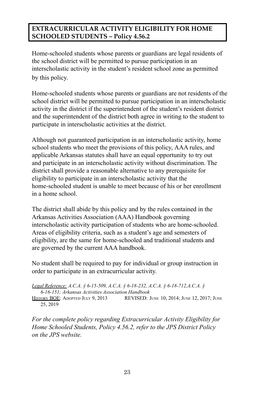#### **EXTRACURRICULAR ACTIVITY ELIGIBILITY FOR HOME SCHOOLED STUDENTS – Policy 4.56.2**

Home-schooled students whose parents or guardians are legal residents of the school district will be permitted to pursue participation in an interscholastic activity in the student's resident school zone as permitted by this policy.

Home-schooled students whose parents or guardians are not residents of the school district will be permitted to pursue participation in an interscholastic activity in the district if the superintendent of the student's resident district and the superintendent of the district both agree in writing to the student to participate in interscholastic activities at the district.

Although not guaranteed participation in an interscholastic activity, home school students who meet the provisions of this policy, AAA rules, and applicable Arkansas statutes shall have an equal opportunity to try out and participate in an interscholastic activity without discrimination. The district shall provide a reasonable alternative to any prerequisite for eligibility to participate in an interscholastic activity that the home-schooled student is unable to meet because of his or her enrollment in a home school.

The district shall abide by this policy and by the rules contained in the Arkansas Activities Association (AAA) Handbook governing interscholastic activity participation of students who are home-schooled. Areas of eligibility criteria, such as a student's age and semesters of eligibility, are the same for home-schooled and traditional students and are governed by the current AAA handbook.

No student shall be required to pay for individual or group instruction in order to participate in an extracurricular activity.

- *Legal Reference: A.C.A. § 6-15-509, A.C.A. § 6-18-232, A.C.A. § 6-18-712,A.C.A. § 6-16-151; Arkansas Activities Association Handbook*
- HISTORY BOE: ADOPTED JULY 9, 2013 REVISED: JUNE 10, 2014; JUNE 12, 2017; JUNE 25, 2019

*For the complete policy regarding Extracurricular Activity Eligibility for Home Schooled Students, Policy 4.56.2, refer to the JPS District Policy on the JPS website.*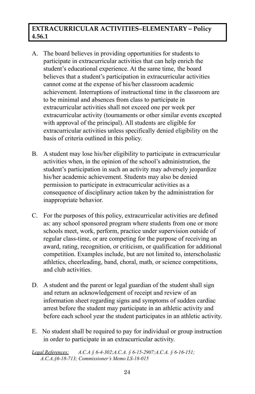#### **EXTRACURRICULAR ACTIVITIES–ELEMENTARY – Policy 4.56.1**

- A. The board believes in providing opportunities for students to participate in extracurricular activities that can help enrich the student's educational experience. At the same time, the board believes that a student's participation in extracurricular activities cannot come at the expense of his/her classroom academic achievement. Interruptions of instructional time in the classroom are to be minimal and absences from class to participate in extracurricular activities shall not exceed one per week per extracurricular activity (tournaments or other similar events excepted with approval of the principal). All students are eligible for extracurricular activities unless specifically denied eligibility on the basis of criteria outlined in this policy.
- B. A student may lose his/her eligibility to participate in extracurricular activities when, in the opinion of the school's administration, the student's participation in such an activity may adversely jeopardize his/her academic achievement. Students may also be denied permission to participate in extracurricular activities as a consequence of disciplinary action taken by the administration for inappropriate behavior.
- C. For the purposes of this policy, extracurricular activities are defined as: any school sponsored program where students from one or more schools meet, work, perform, practice under supervision outside of regular class-time, or are competing for the purpose of receiving an award, rating, recognition, or criticism, or qualification for additional competition. Examples include, but are not limited to, interscholastic athletics, cheerleading, band, choral, math, or science competitions, and club activities.
- D. A student and the parent or legal guardian of the student shall sign and return an acknowledgement of receipt and review of an information sheet regarding signs and symptoms of sudden cardiac arrest before the student may participate in an athletic activity and before each school year the student participates in an athletic activity.
- E. No student shall be required to pay for individual or group instruction in order to participate in an extracurricular activity.

*Legal References: A.C.A § 6-4-302;A.C.A. § 6-15-2907;A.C.A. § 6-16-151; A.C.A.§6-18-713; Commissioner's Memo LS-18-015*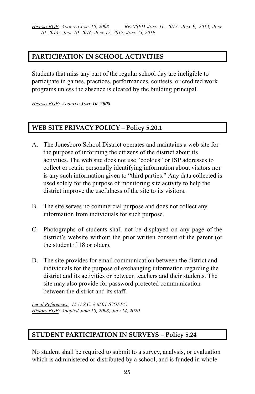*HISTORY BOE: ADOPTED JUNE 10, 2008 REVISED JUNE 11, 2013; JULY 9, 2013; JUNE 10, 2014; JUNE 10, 2016; JUNE 12, 2017; JUNE 25, 2019*

#### **PARTICIPATION IN SCHOOL ACTIVITIES**

Students that miss any part of the regular school day are ineligible to participate in games, practices, performances, contests, or credited work programs unless the absence is cleared by the building principal.

*HISTORY BOE: ADOPTED JUNE 10, 2008*

#### **WEB SITE PRIVACY POLICY – Policy 5.20.1**

- A. The Jonesboro School District operates and maintains a web site for the purpose of informing the citizens of the district about its activities. The web site does not use "cookies" or ISP addresses to collect or retain personally identifying information about visitors nor is any such information given to "third parties." Any data collected is used solely for the purpose of monitoring site activity to help the district improve the usefulness of the site to its visitors.
- B. The site serves no commercial purpose and does not collect any information from individuals for such purpose.
- C. Photographs of students shall not be displayed on any page of the district's website without the prior written consent of the parent (or the student if 18 or older).
- D. The site provides for email communication between the district and individuals for the purpose of exchanging information regarding the district and its activities or between teachers and their students. The site may also provide for password protected communication between the district and its staff.

*Legal References: 15 U.S.C. § 6501 (COPPA) History BOE: Adopted June 10, 2008; July 14, 2020*

#### **STUDENT PARTICIPATION IN SURVEYS – Policy 5.24**

No student shall be required to submit to a survey, analysis, or evaluation which is administered or distributed by a school, and is funded in whole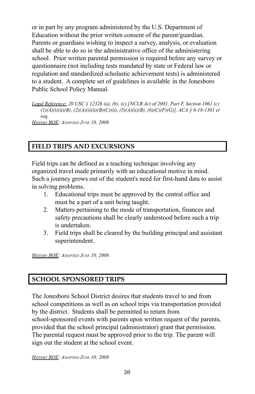or in part by any program administered by the U.S. Department of Education without the prior written consent of the parent/guardian. Parents or guardians wishing to inspect a survey, analysis, or evaluation shall be able to do so in the administrative office of the administering school. Prior written parental permission is required before any survey or questionnaire (not including tests mandated by state or Federal law or regulation and standardized scholastic achievement tests) is administered to a student. A complete set of guidelines is available in the Jonesboro Public School Policy Manual.

*Legal Reference: 20 USC § 1232h (a), (b), (c) [NCLB Act of 2001, Part F, Section 1061 (c) (1)(A)(i)(ii)(B), (2)(A)(i)(ii)(B)(C)(ii), (5)(A)(ii)(B), (6)(C)(F)(G)], ACA § 6-18-1301 et seq. HISTORY BOE: ADOPTED JUNE 10, 2008*

#### **FIELD TRIPS AND EXCURSIONS**

Field trips can be defined as a teaching technique involving any organized travel made primarily with an educational motive in mind. Such a journey grows out of the student's need for first-hand data to assist in solving problems.

- 1. Educational trips must be approved by the central office and must be a part of a unit being taught.
- 2. Matters pertaining to the mode of transportation, finances and safety precautions shall be clearly understood before such a trip is undertaken.
- 3. Field trips shall be cleared by the building principal and assistant superintendent.

*HISTORY BOE: ADOPTED JUNE 10, 2008*

#### **SCHOOL SPONSORED TRIPS**

The Jonesboro School District desires that students travel to and from school competitions as well as on school trips via transportation provided by the district. Students shall be permitted to return from school-sponsored events with parents upon written request of the parents, provided that the school principal (administrator) grant that permission. The parental request must be approved prior to the trip. The parent will sign out the student at the school event.

*HISTORY BOE: ADOPTED JUNE 10, 2008*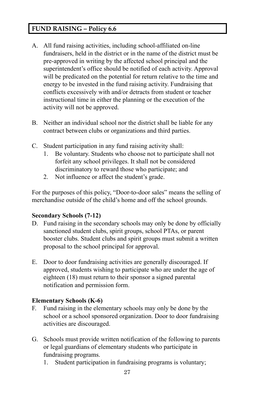#### **FUND RAISING – Policy 6.6**

- A. All fund raising activities, including school-affiliated on-line fundraisers, held in the district or in the name of the district must be pre-approved in writing by the affected school principal and the superintendent's office should be notified of each activity. Approval will be predicated on the potential for return relative to the time and energy to be invested in the fund raising activity. Fundraising that conflicts excessively with and/or detracts from student or teacher instructional time in either the planning or the execution of the activity will not be approved.
- B. Neither an individual school nor the district shall be liable for any contract between clubs or organizations and third parties.
- C. Student participation in any fund raising activity shall:
	- 1. Be voluntary. Students who choose not to participate shall not forfeit any school privileges. It shall not be considered discriminatory to reward those who participate; and
	- 2. Not influence or affect the student's grade.

For the purposes of this policy, "Door-to-door sales" means the selling of merchandise outside of the child's home and off the school grounds.

#### **Secondary Schools (7-12)**

- D. Fund raising in the secondary schools may only be done by officially sanctioned student clubs, spirit groups, school PTAs, or parent booster clubs. Student clubs and spirit groups must submit a written proposal to the school principal for approval.
- E. Door to door fundraising activities are generally discouraged. If approved, students wishing to participate who are under the age of eighteen (18) must return to their sponsor a signed parental notification and permission form.

#### **Elementary Schools (K-6)**

- F. Fund raising in the elementary schools may only be done by the school or a school sponsored organization. Door to door fundraising activities are discouraged.
- G. Schools must provide written notification of the following to parents or legal guardians of elementary students who participate in fundraising programs.
	- 1. Student participation in fundraising programs is voluntary;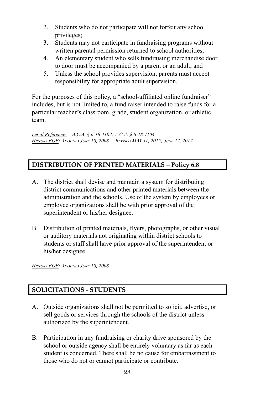- 2. Students who do not participate will not forfeit any school privileges;
- 3. Students may not participate in fundraising programs without written parental permission returned to school authorities;
- 4. An elementary student who sells fundraising merchandise door to door must be accompanied by a parent or an adult; and
- 5. Unless the school provides supervision, parents must accept responsibility for appropriate adult supervision.

For the purposes of this policy, a "school-affiliated online fundraiser" includes, but is not limited to, a fund raiser intended to raise funds for a particular teacher's classroom, grade, student organization, or athletic team.

*Legal Reference: A.C.A. § 6-18-1102; A.C.A. § 6-18-1104 HISTORY BOE: ADOPTED JUNE 10, 2008 REVISED MAY 11, 2015; JUNE 12, 2017*

#### **DISTRIBUTION OF PRINTED MATERIALS – Policy 6.8**

- A. The district shall devise and maintain a system for distributing district communications and other printed materials between the administration and the schools. Use of the system by employees or employee organizations shall be with prior approval of the superintendent or his/her designee.
- B. Distribution of printed materials, flyers, photographs, or other visual or auditory materials not originating within district schools to students or staff shall have prior approval of the superintendent or his/her designee.

*HISTORY BOE: ADOPTED JUNE 10, 2008*

#### **SOLICITATIONS - STUDENTS**

- A. Outside organizations shall not be permitted to solicit, advertise, or sell goods or services through the schools of the district unless authorized by the superintendent.
- B. Participation in any fundraising or charity drive sponsored by the school or outside agency shall be entirely voluntary as far as each student is concerned. There shall be no cause for embarrassment to those who do not or cannot participate or contribute.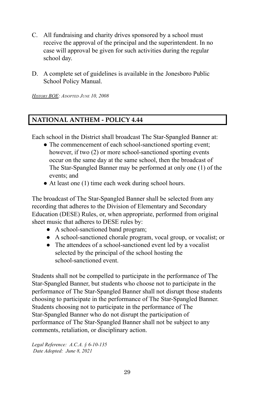- C. All fundraising and charity drives sponsored by a school must receive the approval of the principal and the superintendent. In no case will approval be given for such activities during the regular school day.
- D. A complete set of guidelines is available in the Jonesboro Public School Policy Manual.

*HISTORY BOE: ADOPTED JUNE 10, 2008*

#### **NATIONAL ANTHEM - POLICY 4.44**

Each school in the District shall broadcast The Star-Spangled Banner at:

- The commencement of each school-sanctioned sporting event; however, if two (2) or more school-sanctioned sporting events occur on the same day at the same school, then the broadcast of The Star-Spangled Banner may be performed at only one (1) of the events; and
- At least one (1) time each week during school hours.

The broadcast of The Star-Spangled Banner shall be selected from any recording that adheres to the Division of Elementary and Secondary Education (DESE) Rules, or, when appropriate, performed from original sheet music that adheres to DESE rules by:

- A school-sanctioned band program;
- A school-sanctioned chorale program, vocal group, or vocalist; or
- The attendees of a school-sanctioned event led by a vocalist selected by the principal of the school hosting the school-sanctioned event.

Students shall not be compelled to participate in the performance of The Star-Spangled Banner, but students who choose not to participate in the performance of The Star-Spangled Banner shall not disrupt those students choosing to participate in the performance of The Star-Spangled Banner. Students choosing not to participate in the performance of The Star-Spangled Banner who do not disrupt the participation of performance of The Star-Spangled Banner shall not be subject to any comments, retaliation, or disciplinary action.

*Legal Reference: A.C.A. § 6-10-135 Date Adopted: June 8, 2021*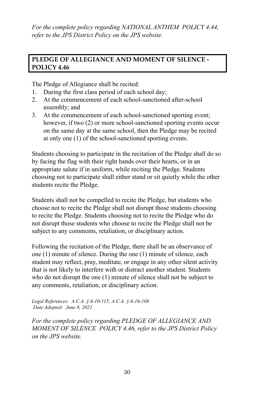*For the complete policy regarding NATIONAL ANTHEM POLICY 4.44, refer to the JPS District Policy on the JPS website.*

#### **PLEDGE OF ALLEGIANCE AND MOMENT OF SILENCE - POLICY 4.46**

The Pledge of Allegiance shall be recited:

- 1. During the first class period of each school day;
- 2. At the commencement of each school-sanctioned after-school assembly; and
- 3. At the commencement of each school-sanctioned sporting event; however, if two (2) or more school-sanctioned sporting events occur on the same day at the same school, then the Pledge may be recited at only one (1) of the school-sanctioned sporting events.

Students choosing to participate in the recitation of the Pledge shall do so by facing the flag with their right hands over their hearts, or in an appropriate salute if in uniform, while reciting the Pledge. Students choosing not to participate shall either stand or sit quietly while the other students recite the Pledge.

Students shall not be compelled to recite the Pledge, but students who choose not to recite the Pledge shall not disrupt those students choosing to recite the Pledge. Students choosing not to recite the Pledge who do not disrupt those students who choose to recite the Pledge shall not be subject to any comments, retaliation, or disciplinary action.

Following the recitation of the Pledge, there shall be an observance of one (1) minute of silence. During the one (1) minute of silence, each student may reflect, pray, meditate, or engage in any other silent activity that is not likely to interfere with or distract another student. Students who do not disrupt the one (1) minute of silence shall not be subject to any comments, retaliation, or disciplinary action.

*Legal References: A.C.A. § 6-10-115; A.C.A. § 6-16-108 Date Adopted: June 8, 2021*

*For the complete policy regarding PLEDGE OF ALLEGIANCE AND MOMENT OF SILENCE POLICY 4.46, refer to the JPS District Policy on the JPS website.*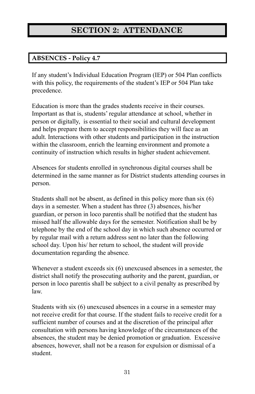# **SECTION 2: ATTENDANCE**

#### **ABSENCES - Policy 4.7**

If any student's Individual Education Program (IEP) or 504 Plan conflicts with this policy, the requirements of the student's IEP or 504 Plan take precedence.

Education is more than the grades students receive in their courses. Important as that is, students' regular attendance at school, whether in person or digitally, is essential to their social and cultural development and helps prepare them to accept responsibilities they will face as an adult. Interactions with other students and participation in the instruction within the classroom, enrich the learning environment and promote a continuity of instruction which results in higher student achievement.

Absences for students enrolled in synchronous digital courses shall be determined in the same manner as for District students attending courses in person.

Students shall not be absent, as defined in this policy more than six (6) days in a semester. When a student has three (3) absences, his/her guardian, or person in loco parentis shall be notified that the student has missed half the allowable days for the semester. Notification shall be by telephone by the end of the school day in which such absence occurred or by regular mail with a return address sent no later than the following school day. Upon his/ her return to school, the student will provide documentation regarding the absence.

Whenever a student exceeds six (6) unexcused absences in a semester, the district shall notify the prosecuting authority and the parent, guardian, or person in loco parentis shall be subject to a civil penalty as prescribed by law.

Students with six (6) unexcused absences in a course in a semester may not receive credit for that course. If the student fails to receive credit for a sufficient number of courses and at the discretion of the principal after consultation with persons having knowledge of the circumstances of the absences, the student may be denied promotion or graduation. Excessive absences, however, shall not be a reason for expulsion or dismissal of a student.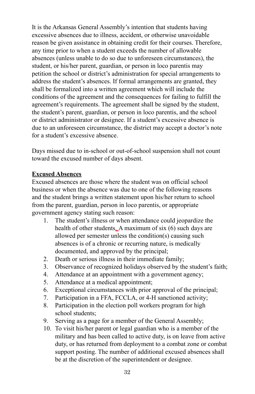It is the Arkansas General Assembly's intention that students having excessive absences due to illness, accident, or otherwise unavoidable reason be given assistance in obtaining credit for their courses. Therefore, any time prior to when a student exceeds the number of allowable absences (unless unable to do so due to unforeseen circumstances), the student, or his/her parent, guardian, or person in loco parentis may petition the school or district's administration for special arrangements to address the student's absences. If formal arrangements are granted, they shall be formalized into a written agreement which will include the conditions of the agreement and the consequences for failing to fulfill the agreement's requirements. The agreement shall be signed by the student, the student's parent, guardian, or person in loco parentis, and the school or district administrator or designee. If a student's excessive absence is due to an unforeseen circumstance, the district may accept a doctor's note for a student's excessive absence.

Days missed due to in-school or out-of-school suspension shall not count toward the excused number of days absent.

#### **Excused Absences**

Excused absences are those where the student was on official school business or when the absence was due to one of the following reasons and the student brings a written statement upon his/her return to school from the parent, guardian, person in loco parentis, or appropriate government agency stating such reason:

- 1. The student's illness or when attendance could jeopardize the health of other students. A maximum of six (6) such days are allowed per semester unless the condition(s) causing such absences is of a chronic or recurring nature, is medically documented, and approved by the principal;
- 2. Death or serious illness in their immediate family;
- 3. Observance of recognized holidays observed by the student's faith;
- 4. Attendance at an appointment with a government agency;
- 5. Attendance at a medical appointment;
- 6. Exceptional circumstances with prior approval of the principal;
- 7. Participation in a FFA, FCCLA, or 4-H sanctioned activity;
- 8. Participation in the election poll workers program for high school students;
- 9. Serving as a page for a member of the General Assembly;
- 10. To visit his/her parent or legal guardian who is a member of the military and has been called to active duty, is on leave from active duty, or has returned from deployment to a combat zone or combat support posting. The number of additional excused absences shall be at the discretion of the superintendent or designee.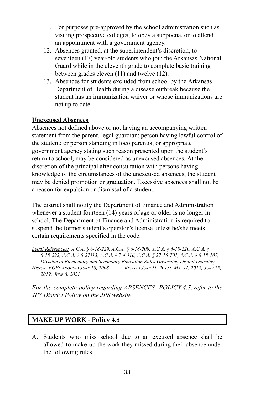- 11. For purposes pre-approved by the school administration such as visiting prospective colleges, to obey a subpoena, or to attend an appointment with a government agency.
- 12. Absences granted, at the superintendent's discretion, to seventeen (17) year-old students who join the Arkansas National Guard while in the eleventh grade to complete basic training between grades eleven (11) and twelve (12).
- 13. Absences for students excluded from school by the Arkansas Department of Health during a disease outbreak because the student has an immunization waiver or whose immunizations are not up to date.

#### **Unexcused Absences**

Absences not defined above or not having an accompanying written statement from the parent, legal guardian; person having lawful control of the student; or person standing in loco parentis; or appropriate government agency stating such reason presented upon the student's return to school, may be considered as unexcused absences. At the discretion of the principal after consultation with persons having knowledge of the circumstances of the unexcused absences, the student may be denied promotion or graduation. Excessive absences shall not be a reason for expulsion or dismissal of a student.

The district shall notify the Department of Finance and Administration whenever a student fourteen (14) years of age or older is no longer in school. The Department of Finance and Administration is required to suspend the former student's operator's license unless he/she meets certain requirements specified in the code.

*Legal References: A.C.A. § 6-18-229, A.C.A. § 6-18-209, A.C.A. § 6-18-220, A.C.A. § 6-18-222, A.C.A. § 6-27113, A.C.A. § 7-4-116, A.C.A. § 27-16-701, A.C.A. § 6-18-107, Division of Elementary and Secondary Education Rules Governing Digital Learning* HISTORY BOE: ADOPTED JUNE 10, 2008 REVISED JUNE 11, 2013; MAY 11, 2015: JUNE 25, *2019; JUNE 8, 2021*

*For the complete policy regarding ABSENCES POLICY 4.7, refer to the JPS District Policy on the JPS website.*

#### **MAKE-UP WORK - Policy 4.8**

A. Students who miss school due to an excused absence shall be allowed to make up the work they missed during their absence under the following rules.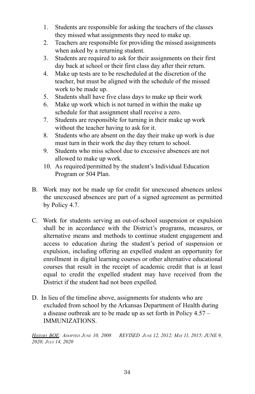- 1. Students are responsible for asking the teachers of the classes they missed what assignments they need to make up.
- 2. Teachers are responsible for providing the missed assignments when asked by a returning student.
- 3. Students are required to ask for their assignments on their first day back at school or their first class day after their return.
- 4. Make up tests are to be rescheduled at the discretion of the teacher, but must be aligned with the schedule of the missed work to be made up.
- 5. Students shall have five class days to make up their work
- 6. Make up work which is not turned in within the make up schedule for that assignment shall receive a zero.
- 7. Students are responsible for turning in their make up work without the teacher having to ask for it.
- 8. Students who are absent on the day their make up work is due must turn in their work the day they return to school.
- 9. Students who miss school due to excessive absences are not allowed to make up work.
- 10. As required/permitted by the student's Individual Education Program or 504 Plan.
- B. Work may not be made up for credit for unexcused absences unless the unexcused absences are part of a signed agreement as permitted by Policy 4.7.
- C. Work for students serving an out-of-school suspension or expulsion shall be in accordance with the District's programs, measures, or alternative means and methods to continue student engagement and access to education during the student's period of suspension or expulsion, including offering an expelled student an opportunity for enrollment in digital learning courses or other alternative educational courses that result in the receipt of academic credit that is at least equal to credit the expelled student may have received from the District if the student had not been expelled.
- D. In lieu of the timeline above, assignments for students who are excluded from school by the Arkansas Department of Health during a disease outbreak are to be made up as set forth in Policy 4.57 – IMMUNIZATIONS.

*HISTORY BOE: ADOPTED JUNE 10, 2008 REVISED JUNE 12, 2012; MAY 11, 2015; JUNE 9, 2020; JULY 14, 2020*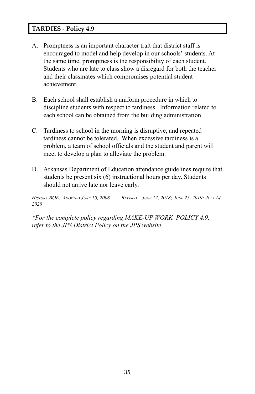### **TARDIES - Policy 4.9**

- A. Promptness is an important character trait that district staff is encouraged to model and help develop in our schools' students. At the same time, promptness is the responsibility of each student. Students who are late to class show a disregard for both the teacher and their classmates which compromises potential student achievement.
- B. Each school shall establish a uniform procedure in which to discipline students with respect to tardiness. Information related to each school can be obtained from the building administration.
- C. Tardiness to school in the morning is disruptive, and repeated tardiness cannot be tolerated. When excessive tardiness is a problem, a team of school officials and the student and parent will meet to develop a plan to alleviate the problem.
- D. Arkansas Department of Education attendance guidelines require that students be present six (6) instructional hours per day. Students should not arrive late nor leave early.

HISTORY BOE: ADOPTED JUNE 10, 2008 REVISED JUNE 12, 2018; JUNE 25, 2019; JULY 14, *2020*

*\*For the complete policy regarding MAKE-UP WORK POLICY 4.9, refer to the JPS District Policy on the JPS website.*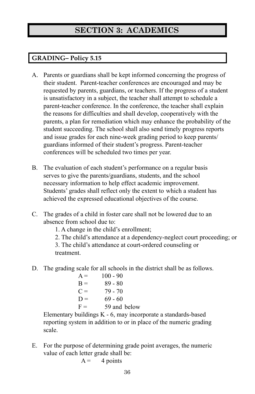# **SECTION 3: ACADEMICS**

# **GRADING– Policy 5.15**

- A. Parents or guardians shall be kept informed concerning the progress of their student. Parent-teacher conferences are encouraged and may be requested by parents, guardians, or teachers. If the progress of a student is unsatisfactory in a subject, the teacher shall attempt to schedule a parent-teacher conference. In the conference, the teacher shall explain the reasons for difficulties and shall develop, cooperatively with the parents, a plan for remediation which may enhance the probability of the student succeeding. The school shall also send timely progress reports and issue grades for each nine-week grading period to keep parents/ guardians informed of their student's progress. Parent-teacher conferences will be scheduled two times per year.
- B. The evaluation of each student's performance on a regular basis serves to give the parents/guardians, students, and the school necessary information to help effect academic improvement. Students' grades shall reflect only the extent to which a student has achieved the expressed educational objectives of the course.
- C. The grades of a child in foster care shall not be lowered due to an absence from school due to:

1. A change in the child's enrollment;

2. The child's attendance at a dependency-neglect court proceeding; or

3. The child's attendance at court-ordered counseling or treatment.

D. The grading scale for all schools in the district shall be as follows.

| $A =$ | $100 - 90$   |
|-------|--------------|
| $B =$ | $89 - 80$    |
| $C =$ | 79 - 70      |
| $D =$ | $69 - 60$    |
| $F =$ | 59 and below |

Elementary buildings K - 6, may incorporate a standards-based reporting system in addition to or in place of the numeric grading scale.

E. For the purpose of determining grade point averages, the numeric value of each letter grade shall be:

```
A = 4 points
```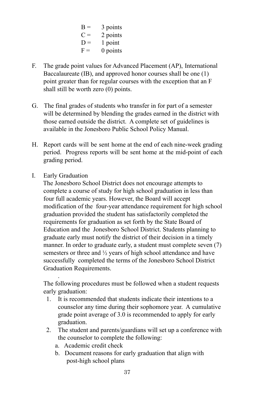$B = 3$  points  $C = 2$  points  $D = 1$  point  $F = 0$  points

- F. The grade point values for Advanced Placement (AP), International Baccalaureate (IB), and approved honor courses shall be one (1) point greater than for regular courses with the exception that an F shall still be worth zero (0) points.
- G. The final grades of students who transfer in for part of a semester will be determined by blending the grades earned in the district with those earned outside the district. A complete set of guidelines is available in the Jonesboro Public School Policy Manual.
- H. Report cards will be sent home at the end of each nine-week grading period. Progress reports will be sent home at the mid-point of each grading period.
- I. Early Graduation

.

The Jonesboro School District does not encourage attempts to complete a course of study for high school graduation in less than four full academic years. However, the Board will accept modification of the four-year attendance requirement for high school graduation provided the student has satisfactorily completed the requirements for graduation as set forth by the State Board of Education and the Jonesboro School District. Students planning to graduate early must notify the district of their decision in a timely manner. In order to graduate early, a student must complete seven (7) semesters or three and ½ years of high school attendance and have successfully completed the terms of the Jonesboro School District Graduation Requirements.

The following procedures must be followed when a student requests early graduation:

- 1. It is recommended that students indicate their intentions to a counselor any time during their sophomore year. A cumulative grade point average of 3.0 is recommended to apply for early graduation.
- 2. The student and parents/guardians will set up a conference with the counselor to complete the following:
	- a. Academic credit check
	- b. Document reasons for early graduation that align with post-high school plans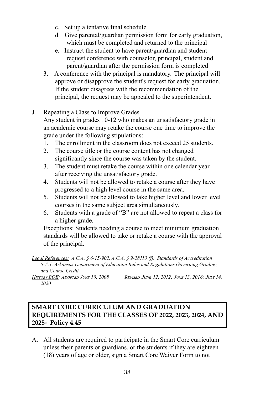- c. Set up a tentative final schedule
- d. Give parental/guardian permission form for early graduation, which must be completed and returned to the principal
- e. Instruct the student to have parent/guardian and student request conference with counselor, principal, student and parent/guardian after the permission form is completed
- 3. A conference with the principal is mandatory. The principal will approve or disapprove the student's request for early graduation. If the student disagrees with the recommendation of the principal, the request may be appealed to the superintendent.
- J. Repeating a Class to Improve Grades

Any student in grades 10-12 who makes an unsatisfactory grade in an academic course may retake the course one time to improve the grade under the following stipulations:

- 1. The enrollment in the classroom does not exceed 25 students.
- 2. The course title or the course content has not changed significantly since the course was taken by the student.
- 3. The student must retake the course within one calendar year after receiving the unsatisfactory grade.
- 4. Students will not be allowed to retake a course after they have progressed to a high level course in the same area.
- 5. Students will not be allowed to take higher level and lower level courses in the same subject area simultaneously.
- 6. Students with a grade of "B" are not allowed to repeat a class for a higher grade.

Exceptions: Students needing a course to meet minimum graduation standards will be allowed to take or retake a course with the approval of the principal.

HISTORY BOE: ADOPTED JUNE 10, 2008 REVISED JUNE 12, 2012; JUNE 13, 2016; JULY 14, *2020*

# **SMART CORE CURRICULUM AND GRADUATION REQUIREMENTS FOR THE CLASSES OF 2022, 2023, 2024, AND 2025- Policy 4.45**

A. All students are required to participate in the Smart Core curriculum unless their parents or guardians, or the students if they are eighteen (18) years of age or older, sign a Smart Core Waiver Form to not

*Legal References: A.C.A. § 6-15-902, A.C.A. § 9-28113 (f), Standards of Accreditation 5-A.1, Arkansas Department of Education Rules and Regulations Governing Grading and Course Credit*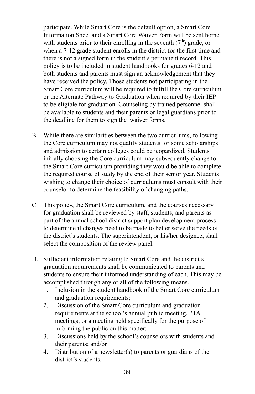participate. While Smart Core is the default option, a Smart Core Information Sheet and a Smart Core Waiver Form will be sent home with students prior to their enrolling in the seventh  $(7<sup>th</sup>)$  grade, or when a 7-12 grade student enrolls in the district for the first time and there is not a signed form in the student's permanent record. This policy is to be included in student handbooks for grades 6-12 and both students and parents must sign an acknowledgement that they have received the policy. Those students not participating in the Smart Core curriculum will be required to fulfill the Core curriculum or the Alternate Pathway to Graduation when required by their IEP to be eligible for graduation. Counseling by trained personnel shall be available to students and their parents or legal guardians prior to the deadline for them to sign the waiver forms.

- B. While there are similarities between the two curriculums, following the Core curriculum may not qualify students for some scholarships and admission to certain colleges could be jeopardized. Students initially choosing the Core curriculum may subsequently change to the Smart Core curriculum providing they would be able to complete the required course of study by the end of their senior year. Students wishing to change their choice of curriculums must consult with their counselor to determine the feasibility of changing paths.
- C. This policy, the Smart Core curriculum, and the courses necessary for graduation shall be reviewed by staff, students, and parents as part of the annual school district support plan development process to determine if changes need to be made to better serve the needs of the district's students. The superintendent, or his/her designee, shall select the composition of the review panel.
- D. Sufficient information relating to Smart Core and the district's graduation requirements shall be communicated to parents and students to ensure their informed understanding of each. This may be accomplished through any or all of the following means.
	- 1. Inclusion in the student handbook of the Smart Core curriculum and graduation requirements;
	- 2. Discussion of the Smart Core curriculum and graduation requirements at the school's annual public meeting, PTA meetings, or a meeting held specifically for the purpose of informing the public on this matter;
	- 3. Discussions held by the school's counselors with students and their parents; and/or
	- 4. Distribution of a newsletter(s) to parents or guardians of the district's students.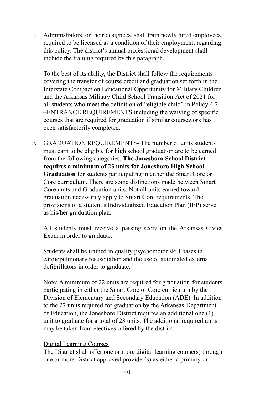E. Administrators, or their designees, shall train newly hired employees, required to be licensed as a condition of their employment, regarding this policy. The district's annual professional development shall include the training required by this paragraph.

To the best of its ability, the District shall follow the requirements covering the transfer of course credit and graduation set forth in the Interstate Compact on Educational Opportunity for Military Children and the Arkansas Military Child School Transition Act of 2021 for all students who meet the definition of "eligible child" in Policy 4.2 –ENTRANCE REQUIREMENTS including the waiving of specific courses that are required for graduation if similar coursework has been satisfactorily completed.

F. GRADUATION REQUIREMENTS- The number of units students must earn to be eligible for high school graduation are to be earned from the following categories. **The Jonesboro School District requires a minimum of 23 units for Jonesboro High School Graduation** for students participating in either the Smart Core or Core curriculum. There are some distinctions made between Smart Core units and Graduation units. Not all units earned toward graduation necessarily apply to Smart Core requirements. The provisions of a student's Individualized Education Plan (IEP) serve as his/her graduation plan.

All students must receive a passing score on the Arkansas Civics Exam in order to graduate.

Students shall be trained in quality psychomotor skill bases in cardiopulmonary resuscitation and the use of automated external defibrillators in order to graduate.

Note: A minimum of 22 units are required for graduation for students participating in either the Smart Core or Core curriculum by the Division of Elementary and Secondary Education (ADE). In addition to the 22 units required for graduation by the Arkansas Department of Education, the Jonesboro District requires an additional one (1) unit to graduate for a total of 23 units. The additional required units may be taken from electives offered by the district.

#### Digital Learning Courses

The District shall offer one or more digital learning course(s) through one or more District approved provider(s) as either a primary or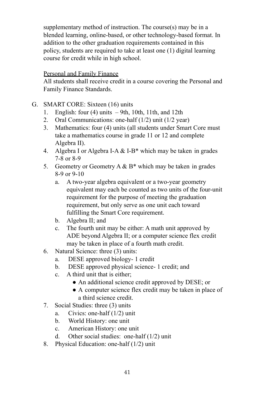supplementary method of instruction. The course(s) may be in a blended learning, online-based, or other technology-based format. In addition to the other graduation requirements contained in this policy, students are required to take at least one (1) digital learning course for credit while in high school.

### Personal and Family Finance

All students shall receive credit in a course covering the Personal and Family Finance Standards.

### G. SMART CORE: Sixteen (16) units

- 1. English: four  $(4)$  units  $-9$ th, 10th, 11th, and 12th
- 2. Oral Communications: one-half (1/2) unit (1/2 year)
- 3. Mathematics: four (4) units (all students under Smart Core must take a mathematics course in grade 11 or 12 and complete Algebra II).
- 4. Algebra I or Algebra I-A  $&$  I-B\* which may be taken in grades 7-8 or 8-9
- 5. Geometry or Geometry A  $\&$  B<sup>\*</sup> which may be taken in grades 8-9 or 9-10
	- a. A two-year algebra equivalent or a two-year geometry equivalent may each be counted as two units of the four-unit requirement for the purpose of meeting the graduation requirement, but only serve as one unit each toward fulfilling the Smart Core requirement.
	- b. Algebra II; and
	- c. The fourth unit may be either: A math unit approved by ADE beyond Algebra II; or a computer science flex credit may be taken in place of a fourth math credit.
- 6. Natural Science: three (3) units:
	- a. DESE approved biology- 1 credit
	- b. DESE approved physical science- 1 credit; and
	- c. A third unit that is either;
		- An additional science credit approved by DESE; or
		- A computer science flex credit may be taken in place of a third science credit.
- 7. Social Studies: three (3) units
	- a. Civics: one-half (1/2) unit
	- b. World History: one unit
	- c. American History: one unit
	- d. Other social studies: one-half (1/2) unit
- 8. Physical Education: one-half (1/2) unit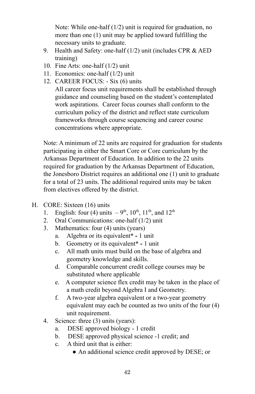Note: While one-half (1/2) unit is required for graduation, no more than one (1) unit may be applied toward fulfilling the necessary units to graduate.

- 9. Health and Safety: one-half (1/2) unit (includes CPR & AED training)
- 10. Fine Arts: one-half (1/2) unit
- 11. Economics: one-half (1/2) unit
- 12. CAREER FOCUS: Six (6) units

All career focus unit requirements shall be established through guidance and counseling based on the student's contemplated work aspirations. Career focus courses shall conform to the curriculum policy of the district and reflect state curriculum frameworks through course sequencing and career course concentrations where appropriate.

Note: A minimum of 22 units are required for graduation for students participating in either the Smart Core or Core curriculum by the Arkansas Department of Education. In addition to the 22 units required for graduation by the Arkansas Department of Education, the Jonesboro District requires an additional one (1) unit to graduate for a total of 23 units. The additional required units may be taken from electives offered by the district.

- H. CORE: Sixteen (16) units
	- 1. English: four (4) units  $-9^{th}$ ,  $10^{th}$ ,  $11^{th}$ , and  $12^{th}$
	- 2. Oral Communications: one-half (1/2) unit
	- 3. Mathematics: four (4) units (years)
		- a. Algebra or its equivalent**\* -** 1 unit
		- b. Geometry or its equivalent**\* -** 1 unit
		- c. All math units must build on the base of algebra and geometry knowledge and skills.
		- d. Comparable concurrent credit college courses may be substituted where applicable
		- e. A computer science flex credit may be taken in the place of a math credit beyond Algebra I and Geometry.
		- f. A two-year algebra equivalent or a two-year geometry equivalent may each be counted as two units of the four (4) unit requirement.
	- 4. Science: three (3) units (years):
		- a. DESE approved biology 1 credit
		- b. DESE approved physical science -1 credit; and
		- c. A third unit that is either:
			- An additional science credit approved by DESE; or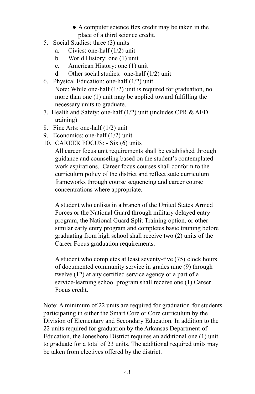- A computer science flex credit may be taken in the place of a third science credit.
- 5. Social Studies: three (3) units
	- a. Civics: one-half (1/2) unit
	- b. World History: one (1) unit
	- c. American History: one (1) unit
	- d. Other social studies: one-half (1/2) unit
- 6. Physical Education: one-half (1/2) unit Note: While one-half (1/2) unit is required for graduation, no more than one (1) unit may be applied toward fulfilling the necessary units to graduate.
- 7. Health and Safety: one-half (1/2) unit (includes CPR & AED training)
- 8. Fine Arts: one-half (1/2) unit
- 9. Economics: one-half (1/2) unit
- 10. CAREER FOCUS: Six (6) units

All career focus unit requirements shall be established through guidance and counseling based on the student's contemplated work aspirations. Career focus courses shall conform to the curriculum policy of the district and reflect state curriculum frameworks through course sequencing and career course concentrations where appropriate.

A student who enlists in a branch of the United States Armed Forces or the National Guard through military delayed entry program, the National Guard Split Training option, or other similar early entry program and completes basic training before graduating from high school shall receive two (2) units of the Career Focus graduation requirements.

A student who completes at least seventy-five (75) clock hours of documented community service in grades nine (9) through twelve (12) at any certified service agency or a part of a service-learning school program shall receive one (1) Career Focus credit.

Note: A minimum of 22 units are required for graduation for students participating in either the Smart Core or Core curriculum by the Division of Elementary and Secondary Education. In addition to the 22 units required for graduation by the Arkansas Department of Education, the Jonesboro District requires an additional one (1) unit to graduate for a total of 23 units. The additional required units may be taken from electives offered by the district.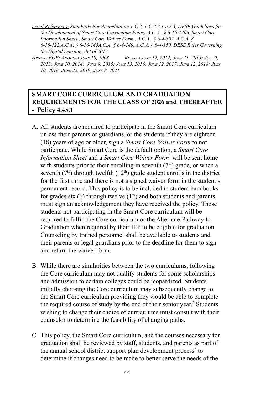*Legal References: Standards For Accreditation 1-C.2, 1-C.2.2,1-c.2.3, DESE Guidelines for the Development of Smart Core Curriculum Policy, A.C.A. § 6-16-1406, Smart Core Information Sheet , Smart Core Waiver Form , A.C.A. § 6-4-302, A.C.A. § 6-16-122,A.C.A. § 6-16-143A.C.A. § 6-4-149, A.C.A. § 6-4-150, DESE Rules Governing the Digital Learning Act of 2013*

HISTORY BOE: ADOPTED JUNE 10, 2008 REVISED JUNE 12, 2012; JUNE 11, 2013; JULY 9, 2013; JUNE 10, 2014; JUNE 9, 2015; JUNE 13, 2016; JUNE 12, 2017; JUNE 12, 2018; JULY *10, 2018; JUNE 25, 2019; JUNE 8, 2021*

### **SMART CORE CURRICULUM AND GRADUATION REQUIREMENTS FOR THE CLASS OF 2026 and THEREAFTER - Policy 4.45.1**

- A. All students are required to participate in the Smart Core curriculum unless their parents or guardians, or the students if they are eighteen (18) years of age or older, sign a *Smart Core Waiver Form* to not participate. While Smart Core is the default option, a *Smart Core Information Sheet* and a *Smart Core Waiver Form* <sup>1</sup> will be sent home with students prior to their enrolling in seventh  $(7<sup>th</sup>)$  grade, or when a seventh  $(7<sup>th</sup>)$  through twelfth  $(12<sup>th</sup>)$  grade student enrolls in the district for the first time and there is not a signed waiver form in the student's permanent record. This policy is to be included in student handbooks for grades six (6) through twelve (12) and both students and parents must sign an acknowledgement they have received the policy. Those students not participating in the Smart Core curriculum will be required to fulfill the Core curriculum or the Alternate Pathway to Graduation when required by their IEP to be eligible for graduation. Counseling by trained personnel shall be available to students and their parents or legal guardians prior to the deadline for them to sign and return the waiver form.
- B. While there are similarities between the two curriculums, following the Core curriculum may not qualify students for some scholarships and admission to certain colleges could be jeopardized. Students initially choosing the Core curriculum may subsequently change to the Smart Core curriculum providing they would be able to complete the required course of study by the end of their senior year. <sup>2</sup> Students wishing to change their choice of curriculums must consult with their counselor to determine the feasibility of changing paths.
- C. This policy, the Smart Core curriculum, and the courses necessary for graduation shall be reviewed by staff, students, and parents as part of the annual school district support plan development process<sup>3</sup> to determine if changes need to be made to better serve the needs of the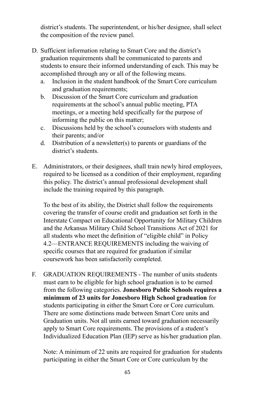district's students. The superintendent, or his/her designee, shall select the composition of the review panel.

- D. Sufficient information relating to Smart Core and the district's graduation requirements shall be communicated to parents and students to ensure their informed understanding of each. This may be accomplished through any or all of the following means.
	- a. Inclusion in the student handbook of the Smart Core curriculum and graduation requirements:
	- b. Discussion of the Smart Core curriculum and graduation requirements at the school's annual public meeting, PTA meetings, or a meeting held specifically for the purpose of informing the public on this matter;
	- c. Discussions held by the school's counselors with students and their parents; and/or
	- d. Distribution of a newsletter(s) to parents or guardians of the district's students.
- E. Administrators, or their designees, shall train newly hired employees, required to be licensed as a condition of their employment, regarding this policy. The district's annual professional development shall include the training required by this paragraph.

To the best of its ability, the District shall follow the requirements covering the transfer of course credit and graduation set forth in the Interstate Compact on Educational Opportunity for Military Children and the Arkansas Military Child School Transitions Act of 2021 for all students who meet the definition of "eligible child" in Policy 4.2—ENTRANCE REQUIREMENTS including the waiving of specific courses that are required for graduation if similar coursework has been satisfactorily completed.

F. GRADUATION REQUIREMENTS - The number of units students must earn to be eligible for high school graduation is to be earned from the following categories. **Jonesboro Public Schools requires a minimum of 23 units for Jonesboro High School graduation** for students participating in either the Smart Core or Core curriculum. There are some distinctions made between Smart Core units and Graduation units. Not all units earned toward graduation necessarily apply to Smart Core requirements. The provisions of a student's Individualized Education Plan (IEP) serve as his/her graduation plan.

Note: A minimum of 22 units are required for graduation for students participating in either the Smart Core or Core curriculum by the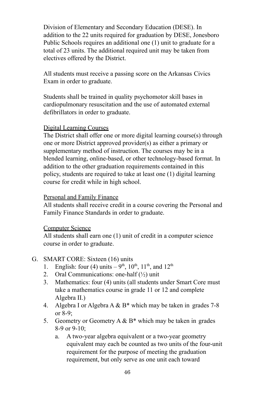Division of Elementary and Secondary Education (DESE). In addition to the 22 units required for graduation by DESE, Jonesboro Public Schools requires an additional one (1) unit to graduate for a total of 23 units. The additional required unit may be taken from electives offered by the District.

All students must receive a passing score on the Arkansas Civics Exam in order to graduate.

Students shall be trained in quality psychomotor skill bases in cardiopulmonary resuscitation and the use of automated external defibrillators in order to graduate.

#### Digital Learning Courses

The District shall offer one or more digital learning course(s) through one or more District approved provider(s) as either a primary or supplementary method of instruction. The courses may be in a blended learning, online-based, or other technology-based format. In addition to the other graduation requirements contained in this policy, students are required to take at least one (1) digital learning course for credit while in high school.

#### Personal and Family Finance

All students shall receive credit in a course covering the Personal and Family Finance Standards in order to graduate.

#### Computer Science

All students shall earn one (1) unit of credit in a computer science course in order to graduate.

#### G. SMART CORE: Sixteen (16) units

- 1. English: four (4) units  $-9^{th}$ ,  $10^{th}$ ,  $11^{th}$ , and  $12^{th}$
- 2. Oral Communications: one-half  $(\frac{1}{2})$  unit
- 3. Mathematics: four (4) units (all students under Smart Core must take a mathematics course in grade 11 or 12 and complete Algebra II.)
- 4. Algebra I or Algebra A  $& B^*$  which may be taken in grades 7-8 or 8-9;
- 5. Geometry or Geometry A  $\&$  B<sup>\*</sup> which may be taken in grades 8-9 or 9-10;
	- a. A two-year algebra equivalent or a two-year geometry equivalent may each be counted as two units of the four-unit requirement for the purpose of meeting the graduation requirement, but only serve as one unit each toward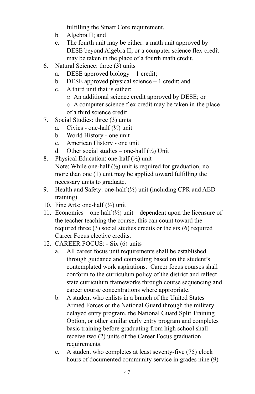fulfilling the Smart Core requirement.

- b. Algebra II; and
- c. The fourth unit may be either: a math unit approved by DESE beyond Algebra II; or a computer science flex credit may be taken in the place of a fourth math credit.
- 6. Natural Science: three (3) units
	- a. DESE approved biology 1 credit;
	- b. DESE approved physical science 1 credit; and
	- c. A third unit that is either:
		- o An additional science credit approved by DESE; or
		- o A computer science flex credit may be taken in the place of a third science credit.
- 7. Social Studies: three (3) units
	- a. Civics one-half  $(\frac{1}{2})$  unit
	- b. World History one unit
	- c. American History one unit
	- d. Other social studies one-half  $(\frac{1}{2})$  Unit
- 8. Physical Education: one-half  $(\frac{1}{2})$  unit Note: While one-half  $(\frac{1}{2})$  unit is required for graduation, no more than one (1) unit may be applied toward fulfilling the necessary units to graduate.
- 9. Health and Safety: one-half  $(\frac{1}{2})$  unit (including CPR and AED) training)
- 10. Fine Arts: one-half (½) unit
- 11. Economics one half  $(\frac{1}{2})$  unit dependent upon the licensure of the teacher teaching the course, this can count toward the required three (3) social studies credits or the six (6) required Career Focus elective credits.
- 12. CAREER FOCUS: Six (6) units
	- a. All career focus unit requirements shall be established through guidance and counseling based on the student's contemplated work aspirations. Career focus courses shall conform to the curriculum policy of the district and reflect state curriculum frameworks through course sequencing and career course concentrations where appropriate.
	- b. A student who enlists in a branch of the United States Armed Forces or the National Guard through the military delayed entry program, the National Guard Split Training Option, or other similar early entry program and completes basic training before graduating from high school shall receive two (2) units of the Career Focus graduation requirements.
	- c. A student who completes at least seventy-five (75) clock hours of documented community service in grades nine (9)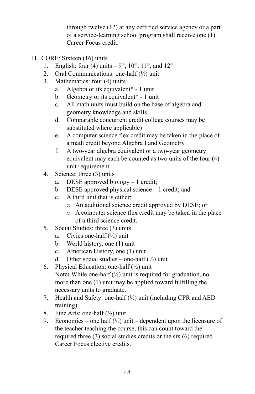through twelve (12) at any certified service agency or a part of a service-learning school program shall receive one (1) Career Focus credit.

- H. CORE: Sixteen (16) units
	- 1. English: four (4) units  $-9^{th}$ ,  $10^{th}$ ,  $11^{th}$ , and  $12^{th}$
	- 2. Oral Communications: one-half  $(\frac{1}{2})$  unit
	- 3. Mathematics: four (4) units
		- a. Algebra or its equivalent\* 1 unit
		- b. Geometry or its equivalent\* 1 unit
		- c. All math units must build on the base of algebra and geometry knowledge and skills.
		- d. Comparable concurrent credit college courses may be substituted where applicable)
		- e. A computer science flex credit may be taken in the place of a math credit beyond Algebra I and Geometry
		- f. A two-year algebra equivalent or a two-year geometry equivalent may each be counted as two units of the four (4) unit requirement.
	- 4. Science: three (3) units
		- a. DESE approved biology 1 credit;
		- b. DESE approved physical science 1 credit; and
		- c. A third unit that is either:
			- o An additional science credit approved by DESE; or
			- o A computer science flex credit may be taken in the place of a third science credit.
	- 5. Social Studies: three (3) units
		- a. Civics one-half  $(\frac{1}{2})$  unit
		- b. World history, one (1) unit
		- c. American History, one (1) unit
		- d. Other social studies one-half  $(\frac{1}{2})$  unit
	- 6. Physical Education: one-half  $(\frac{1}{2})$  unit Note**:** While one-half (½) unit is required for graduation, no more than one (1) unit may be applied toward fulfilling the necessary units to graduate.
	- 7. Health and Safety: one-half (½) unit (including CPR and AED training)
	- 8. Fine Arts: one-half  $(\frac{1}{2})$  unit
	- 9. Economics one half  $(\frac{1}{2})$  unit dependent upon the licensure of the teacher teaching the course, this can count toward the required three (3) social studies credits or the six (6) required Career Focus elective credits.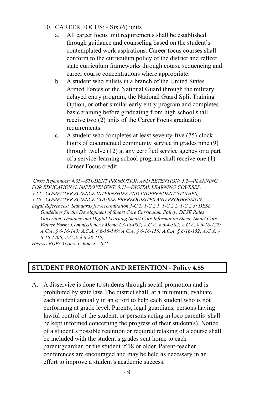- 10. CAREER FOCUS: Six (6) units
	- a. All career focus unit requirements shall be established through guidance and counseling based on the student's contemplated work aspirations. Career focus courses shall conform to the curriculum policy of the district and reflect state curriculum frameworks through course sequencing and career course concentrations where appropriate.
	- b. A student who enlists in a branch of the United States Armed Forces or the National Guard through the military delayed entry program, the National Guard Split Training Option, or other similar early entry program and completes basic training before graduating from high school shall receive two (2) units of the Career Focus graduation requirements.
	- c. A student who completes at least seventy-five (75) clock hours of documented community service in grades nine (9) through twelve (12) at any certified service agency or a part of a service-learning school program shall receive one (1) Career Focus credit.

*Cross References: 4.55—STUDENT PROMOTION AND RETENTION; 5.2—PLANNING FOR EDUCATIONAL IMPROVEMENT; 5.11—DIGITAL LEARNING COURSES; 5.12—COMPUTER SCIENCE INTERNSHIPS AND INDEPENDENT STUDIES; 5.16—COMPUTER SCIENCE COURSE PREREQUISITES AND PROGRESSION; Legal References: Standards for Accreditation 1-C.2, 1-C.2.1, 1-C.2.2, 1-C.2.3; DESE Guidelines for the Development of Smart Core Curriculum Policy; DESE Rules Governing Distance and Digital Learning Smart Core Information Sheet; Smart Core Waiver Form; Commissioner's Memo LS-18-082; A.C.A. § 6-4-302; A.C.A. § 6-16-122; A.C.A. § 6-16-143; A.C.A. § 6-16-149; A.C.A. § 6-16-150; A.C.A. § 6-16-152; A.C.A. § 6-16-1406; A.C.A. § 6-28-115; HISTORY BOE: ADOPTED: June 8, 2021*

# **STUDENT PROMOTION AND RETENTION - Policy 4.55**

A. A disservice is done to students through social promotion and is prohibited by state law. The district shall, at a minimum, evaluate each student annually in an effort to help each student who is not performing at grade level. Parents, legal guardians, persons having lawful control of the student, or persons acting in loco parentis shall be kept informed concerning the progress of their student(s). Notice of a student's possible retention or required retaking of a course shall be included with the student's grades sent home to each parent/guardian or the student if 18 or older. Parent-teacher conferences are encouraged and may be held as necessary in an effort to improve a student's academic success.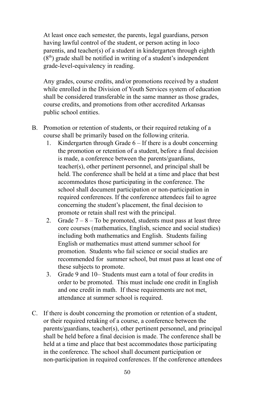At least once each semester, the parents, legal guardians, person having lawful control of the student, or person acting in loco parentis, and teacher(s) of a student in kindergarten through eighth  $(8<sup>th</sup>)$  grade shall be notified in writing of a student's independent grade-level-equivalency in reading.

Any grades, course credits, and/or promotions received by a student while enrolled in the Division of Youth Services system of education shall be considered transferable in the same manner as those grades, course credits, and promotions from other accredited Arkansas public school entities.

- B. Promotion or retention of students, or their required retaking of a course shall be primarily based on the following criteria.
	- 1. Kindergarten through Grade 6 If there is a doubt concerning the promotion or retention of a student, before a final decision is made, a conference between the parents/guardians, teacher(s), other pertinent personnel, and principal shall be held. The conference shall be held at a time and place that best accommodates those participating in the conference. The school shall document participation or non-participation in required conferences. If the conference attendees fail to agree concerning the student's placement, the final decision to promote or retain shall rest with the principal.
	- 2. Grade  $7 8 -$  To be promoted, students must pass at least three core courses (mathematics, English, science and social studies) including both mathematics and English. Students failing English or mathematics must attend summer school for promotion. Students who fail science or social studies are recommended for summer school, but must pass at least one of these subjects to promote.
	- 3. Grade 9 and 10– Students must earn a total of four credits in order to be promoted. This must include one credit in English and one credit in math. If these requirements are not met, attendance at summer school is required.
- C. If there is doubt concerning the promotion or retention of a student, or their required retaking of a course, a conference between the parents/guardians, teacher(s), other pertinent personnel, and principal shall be held before a final decision is made. The conference shall be held at a time and place that best accommodates those participating in the conference. The school shall document participation or non-participation in required conferences. If the conference attendees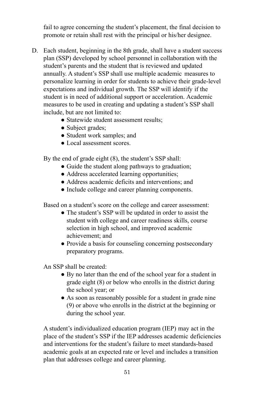fail to agree concerning the student's placement, the final decision to promote or retain shall rest with the principal or his/her designee.

- D. Each student, beginning in the 8th grade, shall have a student success plan (SSP) developed by school personnel in collaboration with the student's parents and the student that is reviewed and updated annually. A student's SSP shall use multiple academic measures to personalize learning in order for students to achieve their grade-level expectations and individual growth. The SSP will identify if the student is in need of additional support or acceleration. Academic measures to be used in creating and updating a student's SSP shall include, but are not limited to:
	- Statewide student assessment results;
	- Subject grades;
	- Student work samples; and
	- Local assessment scores.

By the end of grade eight (8), the student's SSP shall:

- Guide the student along pathways to graduation;
- Address accelerated learning opportunities;
- Address academic deficits and interventions; and
- Include college and career planning components.

Based on a student's score on the college and career assessment:

- The student's SSP will be updated in order to assist the student with college and career readiness skills, course selection in high school, and improved academic achievement; and
- Provide a basis for counseling concerning postsecondary preparatory programs.

An SSP shall be created:

- By no later than the end of the school year for a student in grade eight (8) or below who enrolls in the district during the school year; or
- As soon as reasonably possible for a student in grade nine (9) or above who enrolls in the district at the beginning or during the school year.

A student's individualized education program (IEP) may act in the place of the student's SSP if the IEP addresses academic deficiencies and interventions for the student's failure to meet standards-based academic goals at an expected rate or level and includes a transition plan that addresses college and career planning.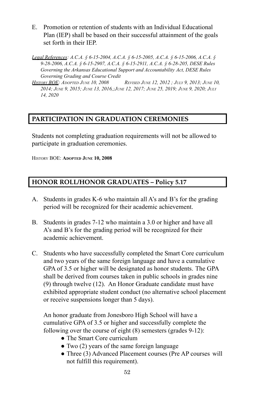- E. Promotion or retention of students with an Individual Educational Plan (IEP) shall be based on their successful attainment of the goals set forth in their IEP.
- *Legal References: A.C.A. § 6-15-2004, A.C.A. § 6-15-2005, A.C.A. § 6-15-2006, A.C.A. § 9-28-2006, A.C.A. § 6-15-2907, A.C.A. § 6-15-2911, A.C.A. § 6-28-205, DESE Rules Governing the Arkansas Educational Support and Accountability Act, DESE Rules Governing Grading and Course Credit*
- HISTORY BOE: ADOPTED JUNE 10, 2008 REVISED JUNE 12, 2012; JULY 9, 2013; JUNE 10, 2014; JUNE 9, 2015; JUNE 13, 2016,; JUNE 12, 2017; JUNE 25, 2019; JUNE 9, 2020; JULY *14, 2020*

# **PARTICIPATION IN GRADUATION CEREMONIES**

Students not completing graduation requirements will not be allowed to participate in graduation ceremonies.

HISTORY BOE: **ADOPTED JUNE 10, 2008**

# **HONOR ROLL/HONOR GRADUATES – Policy 5.17**

- A. Students in grades K-6 who maintain all A's and B's for the grading period will be recognized for their academic achievement.
- B. Students in grades 7-12 who maintain a 3.0 or higher and have all A's and B's for the grading period will be recognized for their academic achievement.
- C. Students who have successfully completed the Smart Core curriculum and two years of the same foreign language and have a cumulative GPA of 3.5 or higher will be designated as honor students. The GPA shall be derived from courses taken in public schools in grades nine (9) through twelve (12). An Honor Graduate candidate must have exhibited appropriate student conduct (no alternative school placement or receive suspensions longer than 5 days).

An honor graduate from Jonesboro High School will have a cumulative GPA of 3.5 or higher and successfully complete the following over the course of eight (8) semesters (grades 9-12):

- The Smart Core curriculum
- Two (2) years of the same foreign language
- Three (3) Advanced Placement courses (Pre AP courses will not fulfill this requirement).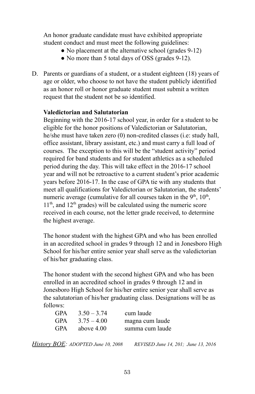An honor graduate candidate must have exhibited appropriate student conduct and must meet the following guidelines:

- No placement at the alternative school (grades 9-12)
- No more than 5 total days of OSS (grades 9-12).
- D. Parents or guardians of a student, or a student eighteen (18) years of age or older, who choose to not have the student publicly identified as an honor roll or honor graduate student must submit a written request that the student not be so identified.

#### **Valedictorian and Salutatorian**

Beginning with the 2016-17 school year, in order for a student to be eligible for the honor positions of Valedictorian or Salutatorian, he/she must have taken zero (0) non-credited classes (i.e: study hall, office assistant, library assistant, etc.) and must carry a full load of courses. The exception to this will be the "student activity" period required for band students and for student athletics as a scheduled period during the day. This will take effect in the 2016-17 school year and will not be retroactive to a current student's prior academic years before 2016-17. In the case of GPA tie with any students that meet all qualifications for Valedictorian or Salutatorian, the students' numeric average (cumulative for all courses taken in the  $9<sup>th</sup>$ ,  $10<sup>th</sup>$ ,  $11<sup>th</sup>$ , and  $12<sup>th</sup>$  grades) will be calculated using the numeric score received in each course, not the letter grade received, to determine the highest average.

The honor student with the highest GPA and who has been enrolled in an accredited school in grades 9 through 12 and in Jonesboro High School for his/her entire senior year shall serve as the valedictorian of his/her graduating class.

The honor student with the second highest GPA and who has been enrolled in an accredited school in grades 9 through 12 and in Jonesboro High School for his/her entire senior year shall serve as the salutatorian of his/her graduating class. Designations will be as follows:

| <b>GPA</b> | $3.50 - 3.74$ | cum laude       |
|------------|---------------|-----------------|
| <b>GPA</b> | $3.75 - 4.00$ | magna cum laude |
| GPA        | above $4.00$  | summa cum laude |

*History BOE: ADOPTED June 10, 2008 REVISED June 14, 201; June 13, 2016*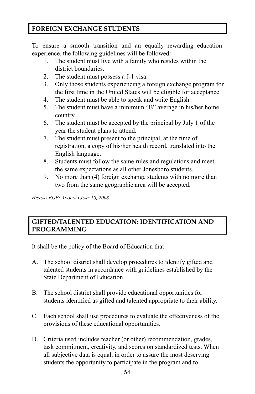# **FOREIGN EXCHANGE STUDENTS**

To ensure a smooth transition and an equally rewarding education experience, the following guidelines will be followed:

- 1. The student must live with a family who resides within the district boundaries.
- 2. The student must possess a J-1 visa.
- 3. Only those students experiencing a foreign exchange program for the first time in the United States will be eligible for acceptance.
- 4. The student must be able to speak and write English.
- 5. The student must have a minimum "B" average in his/her home country.
- 6. The student must be accepted by the principal by July 1 of the year the student plans to attend.
- 7. The student must present to the principal, at the time of registration, a copy of his/her health record, translated into the English language.
- 8. Students must follow the same rules and regulations and meet the same expectations as all other Jonesboro students.
- 9. No more than (4) foreign exchange students with no more than two from the same geographic area will be accepted.

*HISTORY BOE: ADOPTED JUNE 10, 2008*

# **GIFTED/TALENTED EDUCATION: IDENTIFICATION AND PROGRAMMING**

It shall be the policy of the Board of Education that:

- A. The school district shall develop procedures to identify gifted and talented students in accordance with guidelines established by the State Department of Education.
- B. The school district shall provide educational opportunities for students identified as gifted and talented appropriate to their ability.
- C. Each school shall use procedures to evaluate the effectiveness of the provisions of these educational opportunities.
- D. Criteria used includes teacher (or other) recommendation, grades, task commitment, creativity, and scores on standardized tests. When all subjective data is equal, in order to assure the most deserving students the opportunity to participate in the program and to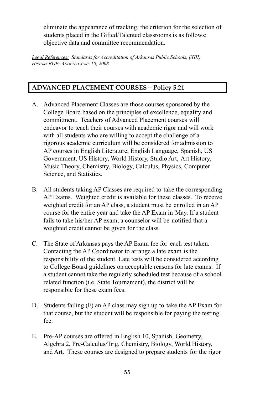eliminate the appearance of tracking, the criterion for the selection of students placed in the Gifted/Talented classrooms is as follows: objective data and committee recommendation.

*Legal References: Standards for Accreditation of Arkansas Public Schools, (XIII) HISTORY BOE: ADOPTED JUNE 10, 2008*

# **ADVANCED PLACEMENT COURSES – Policy 5.21**

- A. Advanced Placement Classes are those courses sponsored by the College Board based on the principles of excellence, equality and commitment. Teachers of Advanced Placement courses will endeavor to teach their courses with academic rigor and will work with all students who are willing to accept the challenge of a rigorous academic curriculum will be considered for admission to AP courses in English Literature, English Language, Spanish, US Government, US History, World History, Studio Art, Art History, Music Theory, Chemistry, Biology, Calculus, Physics, Computer Science, and Statistics.
- B. All students taking AP Classes are required to take the corresponding AP Exams. Weighted credit is available for these classes. To receive weighted credit for an AP class, a student must be enrolled in an AP course for the entire year and take the AP Exam in May. If a student fails to take his/her AP exam, a counselor will be notified that a weighted credit cannot be given for the class.
- C. The State of Arkansas pays the AP Exam fee for each test taken. Contacting the AP Coordinator to arrange a late exam is the responsibility of the student. Late tests will be considered according to College Board guidelines on acceptable reasons for late exams. If a student cannot take the regularly scheduled test because of a school related function (i.e. State Tournament), the district will be responsible for these exam fees.
- D. Students failing (F) an AP class may sign up to take the AP Exam for that course, but the student will be responsible for paying the testing fee.
- E. Pre-AP courses are offered in English 10, Spanish, Geometry, Algebra 2, Pre-Calculus/Trig, Chemistry, Biology, World History, and Art. These courses are designed to prepare students for the rigor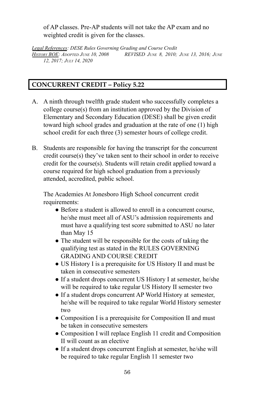of AP classes. Pre-AP students will not take the AP exam and no weighted credit is given for the classes.

*Legal References: DESE Rules Governing Grading and Course Credit HISTORY BOE: ADOPTED JUNE 10, 2008 REVISED JUNE 8, 2010; JUNE 13, 2016; JUNE 12, 2017; JULY 14, 2020*

# **CONCURRENT CREDIT – Policy 5.22**

- A. A ninth through twelfth grade student who successfully completes a college course(s) from an institution approved by the Division of Elementary and Secondary Education (DESE) shall be given credit toward high school grades and graduation at the rate of one (1) high school credit for each three (3) semester hours of college credit.
- B. Students are responsible for having the transcript for the concurrent credit course(s) they've taken sent to their school in order to receive credit for the course(s). Students will retain credit applied toward a course required for high school graduation from a previously attended, accredited, public school.

The Academies At Jonesboro High School concurrent credit requirements:

- Before a student is allowed to enroll in a concurrent course. he/she must meet all of ASU's admission requirements and must have a qualifying test score submitted to ASU no later than May 15
- The student will be responsible for the costs of taking the qualifying test as stated in the RULES GOVERNING GRADING AND COURSE CREDIT
- US History I is a prerequisite for US History II and must be taken in consecutive semesters
- If a student drops concurrent US History I at semester, he/she will be required to take regular US History II semester two
- If a student drops concurrent AP World History at semester, he/she will be required to take regular World History semester two
- Composition I is a prerequisite for Composition II and must be taken in consecutive semesters
- Composition I will replace English 11 credit and Composition II will count as an elective
- If a student drops concurrent English at semester, he/she will be required to take regular English 11 semester two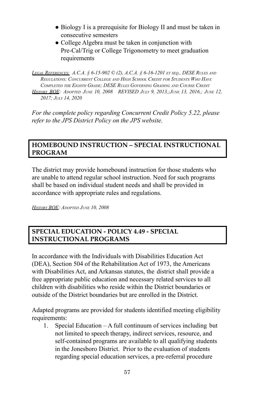- Biology I is a prerequisite for Biology II and must be taken in consecutive semesters
- College Algebra must be taken in conjunction with Pre-Cal/Trig or College Trigonometry to meet graduation requirements

LEGAL REFERENCES: A.C.A. § 6-15-902 © (2), A.C.A. § 6-16-1201 ET SEO., DESE RULES AND *REGULATIONS: CONCURRENT COLLEGE AND HIGH SCHOOL CREDIT FOR STUDENTS WHO HAVE COMPLETED THE EIGHTH GRADE; DESE RULES GOVERNING GRADING AND COURSE CREDIT HISTORY BOE: ADOPTED JUNE 10, 2008 REVISED JULY 9, 2013,;JUNE 13, 2016,; JUNE 12, 2017; JULY 14, 2020*

*For the complete policy regarding Concurrent Credit Policy 5.22, please refer to the JPS District Policy on the JPS website.*

### **HOMEBOUND INSTRUCTION – SPECIAL INSTRUCTIONAL PROGRAM**

The district may provide homebound instruction for those students who are unable to attend regular school instruction. Need for such programs shall be based on individual student needs and shall be provided in accordance with appropriate rules and regulations.

*HISTORY BOE: ADOPTED JUNE 10, 2008*

# **SPECIAL EDUCATION - POLICY 4.49 - SPECIAL INSTRUCTIONAL PROGRAMS**

In accordance with the Individuals with Disabilities Education Act (DEA), Section 504 of the Rehabilitation Act of 1973, the Americans with Disabilities Act, and Arkansas statutes, the district shall provide a free appropriate public education and necessary related services to all children with disabilities who reside within the District boundaries or outside of the District boundaries but are enrolled in the District.

Adapted programs are provided for students identified meeting eligibility requirements:

1. Special Education – A full continuum of services including but not limited to speech therapy, indirect services, resource, and self-contained programs are available to all qualifying students in the Jonesboro District. Prior to the evaluation of students regarding special education services, a pre-referral procedure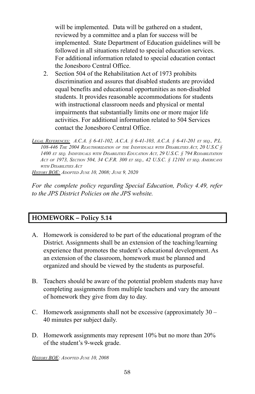will be implemented. Data will be gathered on a student, reviewed by a committee and a plan for success will be implemented. State Department of Education guidelines will be followed in all situations related to special education services. For additional information related to special education contact the Jonesboro Central Office.

2. Section 504 of the Rehabilitation Act of 1973 prohibits discrimination and assures that disabled students are provided equal benefits and educational opportunities as non-disabled students. It provides reasonable accommodations for students with instructional classroom needs and physical or mental impairments that substantially limits one or more major life activities. For additional information related to 504 Services contact the Jonesboro Central Office.

*LEGAL REFERENCES: A.C.A. § 6-41-102, A.C.A. § 6-41-103, A.C.A. § 6-41-201 ET SEQ., P.L. 108-446 THE 2004 REAUTHORIZATION OF THE INDIVIDUALS WITH DISABILITIES ACT, 20 U.S.C §* 1400 ET SEQ. INDIVIDUALS WITH DISABILITIES EDUCATION ACT, 29 U.S.C. § 794 REHABILITATION ACT OF 1973, SECTION 504, 34 C.F.R. 300 ET SEQ., 42 U.S.C. § 12101 ET SEQ. AMERICANS *WITH DISABILITIES ACT HISTORY BOE: ADOPTED JUNE 10, 2008; JUNE 9, 2020*

*For the complete policy regarding Special Education, Policy 4.49, refer to the JPS District Policies on the JPS website.*

# **HOMEWORK – Policy 5.14**

- A. Homework is considered to be part of the educational program of the District. Assignments shall be an extension of the teaching/learning experience that promotes the student's educational development. As an extension of the classroom, homework must be planned and organized and should be viewed by the students as purposeful.
- B. Teachers should be aware of the potential problem students may have completing assignments from multiple teachers and vary the amount of homework they give from day to day.
- C. Homework assignments shall not be excessive (approximately 30 40 minutes per subject daily.
- D. Homework assignments may represent 10% but no more than 20% of the student's 9-week grade.

*HISTORY BOE: ADOPTED JUNE 10, 2008*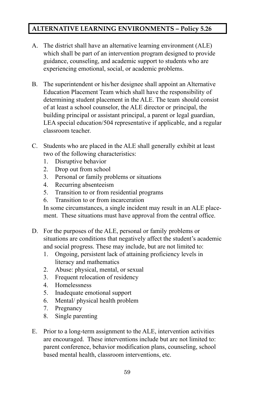# **ALTERNATIVE LEARNING ENVIRONMENTS – Policy 5.26**

- A. The district shall have an alternative learning environment (ALE) which shall be part of an intervention program designed to provide guidance, counseling, and academic support to students who are experiencing emotional, social, or academic problems.
- B. The superintendent or his/her designee shall appoint an Alternative Education Placement Team which shall have the responsibility of determining student placement in the ALE. The team should consist of at least a school counselor, the ALE director or principal, the building principal or assistant principal, a parent or legal guardian, LEA special education/504 representative if applicable, and a regular classroom teacher.
- C. Students who are placed in the ALE shall generally exhibit at least two of the following characteristics:
	- 1. Disruptive behavior
	- 2. Drop out from school
	- 3. Personal or family problems or situations
	- 4. Recurring absenteeism
	- 5. Transition to or from residential programs
	- 6. Transition to or from incarceration

In some circumstances, a single incident may result in an ALE placement. These situations must have approval from the central office.

- D. For the purposes of the ALE, personal or family problems or situations are conditions that negatively affect the student's academic and social progress. These may include, but are not limited to:
	- 1. Ongoing, persistent lack of attaining proficiency levels in literacy and mathematics
	- 2. Abuse: physical, mental, or sexual
	- 3. Frequent relocation of residency
	- 4. Homelessness
	- 5. Inadequate emotional support
	- 6. Mental/ physical health problem
	- 7. Pregnancy
	- 8. Single parenting
- E. Prior to a long-term assignment to the ALE, intervention activities are encouraged. These interventions include but are not limited to: parent conference, behavior modification plans, counseling, school based mental health, classroom interventions, etc.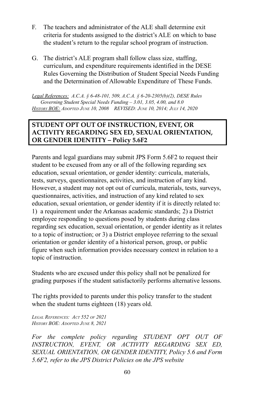- F. The teachers and administrator of the ALE shall determine exit criteria for students assigned to the district's ALE on which to base the student's return to the regular school program of instruction.
- G. The district's ALE program shall follow class size, staffing, curriculum, and expenditure requirements identified in the DESE Rules Governing the Distribution of Student Special Needs Funding and the Determination of Allowable Expenditure of These Funds.

*Legal References: A.C.A. § 6-48-101, 509, A.C.A. § 6-20-2305(b)(2), DESE Rules Governing Student Special Needs Funding – 3.01, 3.05, 4.00, and 8.0 HISTORY BOE: ADOPTED JUNE 10, 2008 REVISED: JUNE 10, 2014; JULY 14, 2020*

# **STUDENT OPT OUT OF INSTRUCTION, EVENT, OR ACTIVITY REGARDING SEX ED, SEXUAL ORIENTATION, OR GENDER IDENTITY – Policy 5.6F2**

Parents and legal guardians may submit JPS Form 5.6F2 to request their student to be excused from any or all of the following regarding sex education, sexual orientation, or gender identity: curricula, materials, tests, surveys, questionnaires, activities, and instruction of any kind. However, a student may not opt out of curricula, materials, tests, surveys, questionnaires, activities, and instruction of any kind related to sex education, sexual orientation, or gender identity if it is directly related to: 1) a requirement under the Arkansas academic standards; 2) a District employee responding to questions posed by students during class regarding sex education, sexual orientation, or gender identity as it relates to a topic of instruction; or 3) a District employee referring to the sexual orientation or gender identity of a historical person, group, or public figure when such information provides necessary context in relation to a topic of instruction.

Students who are excused under this policy shall not be penalized for grading purposes if the student satisfactorily performs alternative lessons.

The rights provided to parents under this policy transfer to the student when the student turns eighteen (18) years old.

*LEGAL REFERENCES: ACT 552 OF 2021 HISTORY BOE: ADOPTED JUNE 8, 2021*

*For the complete policy regarding STUDENT OPT OUT OF INSTRUCTION, EVENT, OR ACTIVITY REGARDING SEX ED, SEXUAL ORIENTATION, OR GENDER IDENTITY, Policy 5.6 and Form 5.6F2, refer to the JPS District Policies on the JPS website*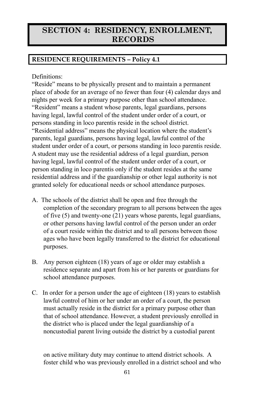# **SECTION 4: RESIDENCY, ENROLLMENT, RECORDS**

# **RESIDENCE REQUIREMENTS – Policy 4.1**

Definitions:

"Reside" means to be physically present and to maintain a permanent place of abode for an average of no fewer than four (4) calendar days and nights per week for a primary purpose other than school attendance. "Resident" means a student whose parents, legal guardians, persons having legal, lawful control of the student under order of a court, or persons standing in loco parentis reside in the school district. "Residential address" means the physical location where the student's parents, legal guardians, persons having legal, lawful control of the student under order of a court, or persons standing in loco parentis reside. A student may use the residential address of a legal guardian, person having legal, lawful control of the student under order of a court, or person standing in loco parentis only if the student resides at the same residential address and if the guardianship or other legal authority is not granted solely for educational needs or school attendance purposes.

- A. The schools of the district shall be open and free through the completion of the secondary program to all persons between the ages of five (5) and twenty-one (21) years whose parents, legal guardians, or other persons having lawful control of the person under an order of a court reside within the district and to all persons between those ages who have been legally transferred to the district for educational purposes.
- B. Any person eighteen (18) years of age or older may establish a residence separate and apart from his or her parents or guardians for school attendance purposes.
- C. In order for a person under the age of eighteen (18) years to establish lawful control of him or her under an order of a court, the person must actually reside in the district for a primary purpose other than that of school attendance. However, a student previously enrolled in the district who is placed under the legal guardianship of a noncustodial parent living outside the district by a custodial parent

on active military duty may continue to attend district schools. A foster child who was previously enrolled in a district school and who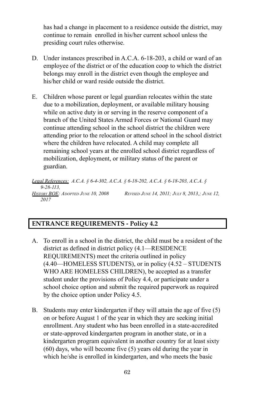has had a change in placement to a residence outside the district, may continue to remain enrolled in his/her current school unless the presiding court rules otherwise.

- D. Under instances prescribed in A.C.A. 6-18-203, a child or ward of an employee of the district or of the education coop to which the district belongs may enroll in the district even though the employee and his/her child or ward reside outside the district.
- E. Children whose parent or legal guardian relocates within the state due to a mobilization, deployment, or available military housing while on active duty in or serving in the reserve component of a branch of the United States Armed Forces or National Guard may continue attending school in the school district the children were attending prior to the relocation or attend school in the school district where the children have relocated. A child may complete all remaining school years at the enrolled school district regardless of mobilization, deployment, or military status of the parent or guardian.

*Legal References: A.C.A. § 6-4-302, A.C.A. § 6-18-202, A.C.A. § 6-18-203, A.C.A. § 9-28-113,* HISTORY BOE: ADOPTED JUNE 10, 2008 REVISED JUNE 14, 2011; JULY 8, 2013,; JUNE 12, *2017*

# **ENTRANCE REQUIREMENTS - Policy 4.2**

- A. To enroll in a school in the district, the child must be a resident of the district as defined in district policy (4.1—RESIDENCE REQUIREMENTS) meet the criteria outlined in policy (4.40—HOMELESS STUDENTS), or in policy (4.52 – STUDENTS WHO ARE HOMELESS CHILDREN), be accepted as a transfer student under the provisions of Policy 4.4, or participate under a school choice option and submit the required paperwork as required by the choice option under Policy 4.5.
- B. Students may enter kindergarten if they will attain the age of five (5) on or before August 1 of the year in which they are seeking initial enrollment. Any student who has been enrolled in a state-accredited or state-approved kindergarten program in another state, or in a kindergarten program equivalent in another country for at least sixty (60) days, who will become five (5) years old during the year in which he/she is enrolled in kindergarten, and who meets the basic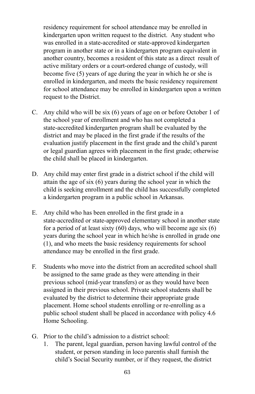residency requirement for school attendance may be enrolled in kindergarten upon written request to the district. Any student who was enrolled in a state-accredited or state-approved kindergarten program in another state or in a kindergarten program equivalent in another country, becomes a resident of this state as a direct result of active military orders or a court-ordered change of custody, will become five (5) years of age during the year in which he or she is enrolled in kindergarten, and meets the basic residency requirement for school attendance may be enrolled in kindergarten upon a written request to the District.

- C. Any child who will be six (6) years of age on or before October 1 of the school year of enrollment and who has not completed a state-accredited kindergarten program shall be evaluated by the district and may be placed in the first grade if the results of the evaluation justify placement in the first grade and the child's parent or legal guardian agrees with placement in the first grade; otherwise the child shall be placed in kindergarten.
- D. Any child may enter first grade in a district school if the child will attain the age of six (6) years during the school year in which the child is seeking enrollment and the child has successfully completed a kindergarten program in a public school in Arkansas.
- E. Any child who has been enrolled in the first grade in a state-accredited or state-approved elementary school in another state for a period of at least sixty  $(60)$  days, who will become age six  $(6)$ years during the school year in which he/she is enrolled in grade one (1), and who meets the basic residency requirements for school attendance may be enrolled in the first grade.
- F. Students who move into the district from an accredited school shall be assigned to the same grade as they were attending in their previous school (mid-year transfers) or as they would have been assigned in their previous school. Private school students shall be evaluated by the district to determine their appropriate grade placement. Home school students enrolling or re-enrolling as a public school student shall be placed in accordance with policy 4.6 Home Schooling.
- G. Prior to the child's admission to a district school:
	- 1. The parent, legal guardian, person having lawful control of the student, or person standing in loco parentis shall furnish the child's Social Security number, or if they request, the district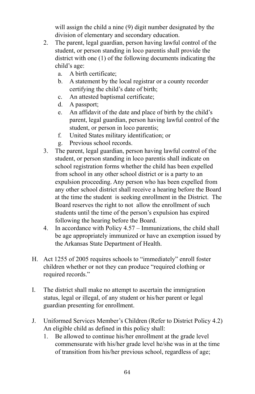will assign the child a nine (9) digit number designated by the division of elementary and secondary education.

- 2. The parent, legal guardian, person having lawful control of the student, or person standing in loco parentis shall provide the district with one (1) of the following documents indicating the child's age:
	- a. A birth certificate;
	- b. A statement by the local registrar or a county recorder certifying the child's date of birth;
	- c. An attested baptismal certificate;
	- d. A passport;
	- e. An affidavit of the date and place of birth by the child's parent, legal guardian, person having lawful control of the student, or person in loco parentis;
	- f. United States military identification; or
	- g. Previous school records.
- 3. The parent, legal guardian, person having lawful control of the student, or person standing in loco parentis shall indicate on school registration forms whether the child has been expelled from school in any other school district or is a party to an expulsion proceeding. Any person who has been expelled from any other school district shall receive a hearing before the Board at the time the student is seeking enrollment in the District. The Board reserves the right to not allow the enrollment of such students until the time of the person's expulsion has expired following the hearing before the Board.
- 4. In accordance with Policy 4.57 Immunizations, the child shall be age appropriately immunized or have an exemption issued by the Arkansas State Department of Health.
- H. Act 1255 of 2005 requires schools to "immediately" enroll foster children whether or not they can produce "required clothing or required records."
- I. The district shall make no attempt to ascertain the immigration status, legal or illegal, of any student or his/her parent or legal guardian presenting for enrollment.
- J. Uniformed Services Member's Children (Refer to District Policy 4.2) An eligible child as defined in this policy shall:
	- 1. Be allowed to continue his/her enrollment at the grade level commensurate with his/her grade level he/she was in at the time of transition from his/her previous school, regardless of age;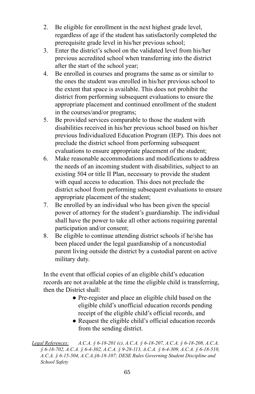- 2. Be eligible for enrollment in the next highest grade level, regardless of age if the student has satisfactorily completed the prerequisite grade level in his/her previous school;
- 3. Enter the district's school on the validated level from his/her previous accredited school when transferring into the district after the start of the school year;
- 4. Be enrolled in courses and programs the same as or similar to the ones the student was enrolled in his/her previous school to the extent that space is available. This does not prohibit the district from performing subsequent evaluations to ensure the appropriate placement and continued enrollment of the student in the courses/and/or programs;
- 5. Be provided services comparable to those the student with disabilities received in his/her previous school based on his/her previous Individualized Education Program (IEP). This does not preclude the district school from performing subsequent evaluations to ensure appropriate placement of the student;
- 6. Make reasonable accommodations and modifications to address the needs of an incoming student with disabilities, subject to an existing 504 or title II Plan, necessary to provide the student with equal access to education. This does not preclude the district school from performing subsequent evaluations to ensure appropriate placement of the student;
- 7. Be enrolled by an individual who has been given the special power of attorney for the student's guardianship. The individual shall have the power to take all other actions requiring parental participation and/or consent;
- 8. Be eligible to continue attending district schools if he/she has been placed under the legal guardianship of a noncustodial parent living outside the district by a custodial parent on active military duty.

In the event that official copies of an eligible child's education records are not available at the time the eligible child is transferring, then the District shall:

- Pre-register and place an eligible child based on the eligible child's unofficial education records pending receipt of the eligible child's official records, and
- Request the eligible child's official education records from the sending district.

*Legal References: A.C.A. § 6-18-201 (c), A.C.A. § 6-18-207, A.C.A. § 6-18-208, A.C.A. § 6-18-702, A.C.A. § 6-4-302, A.C.A. § 9-28-113, A.C.A. § 6-4-309, A.C.A. § 6-18-510, A.C.A. § 6-15-504, A.C.A.§6-18-107; DESE Rules Governing Student Discipline and School Safety*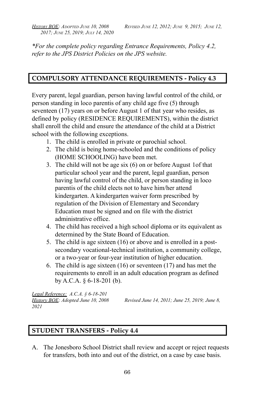*2017; JUNE 25, 2019; JULY 14, 2020*

*\*For the complete policy regarding Entrance Requirements, Policy 4.2, refer to the JPS District Policies on the JPS website.*

# **COMPULSORY ATTENDANCE REQUIREMENTS - Policy 4.3**

Every parent, legal guardian, person having lawful control of the child, or person standing in loco parentis of any child age five (5) through seventeen (17) years on or before August 1 of that year who resides, as defined by policy (RESIDENCE REQUIREMENTS), within the district shall enroll the child and ensure the attendance of the child at a District school with the following exceptions.

- 1. The child is enrolled in private or parochial school.
- 2. The child is being home-schooled and the conditions of policy (HOME SCHOOLING) have been met.
- 3. The child will not be age six (6) on or before August 1of that particular school year and the parent, legal guardian, person having lawful control of the child, or person standing in loco parentis of the child elects not to have him/her attend kindergarten. A kindergarten waiver form prescribed by regulation of the Division of Elementary and Secondary Education must be signed and on file with the district administrative office.
- 4. The child has received a high school diploma or its equivalent as determined by the State Board of Education.
- 5. The child is age sixteen (16) or above and is enrolled in a postsecondary vocational-technical institution, a community college, or a two-year or four-year institution of higher education.
- 6. The child is age sixteen (16) or seventeen (17) and has met the requirements to enroll in an adult education program as defined by A.C.A. § 6-18-201 (b).

*Legal Reference: A.C.A. § 6-18-201 2021*

*History BOE: Adopted June 10, 2008 Revised June 14, 2011; June 25, 2019; June 8,*

# **STUDENT TRANSFERS - Policy 4.4**

A. The Jonesboro School District shall review and accept or reject requests for transfers, both into and out of the district, on a case by case basis.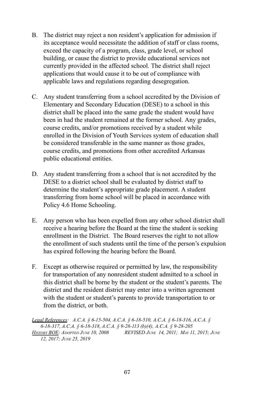- B. The district may reject a non resident's application for admission if its acceptance would necessitate the addition of staff or class rooms, exceed the capacity of a program, class, grade level, or school building, or cause the district to provide educational services not currently provided in the affected school. The district shall reject applications that would cause it to be out of compliance with applicable laws and regulations regarding desegregation.
- C. Any student transferring from a school accredited by the Division of Elementary and Secondary Education (DESE) to a school in this district shall be placed into the same grade the student would have been in had the student remained at the former school. Any grades, course credits, and/or promotions received by a student while enrolled in the Division of Youth Services system of education shall be considered transferable in the same manner as those grades, course credits, and promotions from other accredited Arkansas public educational entities.
- D. Any student transferring from a school that is not accredited by the DESE to a district school shall be evaluated by district staff to determine the student's appropriate grade placement. A student transferring from home school will be placed in accordance with Policy 4.6 Home Schooling.
- E. Any person who has been expelled from any other school district shall receive a hearing before the Board at the time the student is seeking enrollment in the District. The Board reserves the right to not allow the enrollment of such students until the time of the person's expulsion has expired following the hearing before the Board.
- F. Except as otherwise required or permitted by law, the responsibility for transportation of any nonresident student admitted to a school in this district shall be borne by the student or the student's parents. The district and the resident district may enter into a written agreement with the student or student's parents to provide transportation to or from the district, or both.

*Legal References: A.C.A. § 6-15-504, A.C.A. § 6-18-510, A.C.A. § 6-18-316, A.C.A. § 6-18-317, A.C.A. § 6-18-318, A.C.A. § 9-28-113 (b)(4), A.C.A. § 9-28-205 HISTORY BOE: ADOPTED JUNE 10, 2008 REVISED JUNE 14, 2011; MAY 11, 2015; JUNE 12, 2017; JUNE 25, 2019*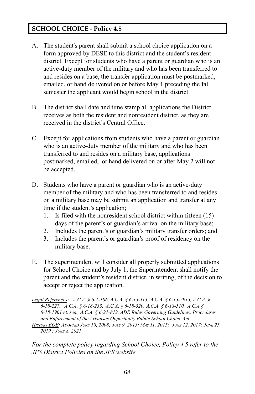# **SCHOOL CHOICE - Policy 4.5**

- A. The student's parent shall submit a school choice application on a form approved by DESE to this district and the student's resident district. Except for students who have a parent or guardian who is an active-duty member of the military and who has been transferred to and resides on a base, the transfer application must be postmarked, emailed, or hand delivered on or before May 1 preceding the fall semester the applicant would begin school in the district.
- B. The district shall date and time stamp all applications the District receives as both the resident and nonresident district, as they are received in the district's Central Office.
- C. Except for applications from students who have a parent or guardian who is an active-duty member of the military and who has been transferred to and resides on a military base, applications postmarked, emailed, or hand delivered on or after May 2 will not be accepted.
- D. Students who have a parent or guardian who is an active-duty member of the military and who has been transferred to and resides on a military base may be submit an application and transfer at any time if the student's application;
	- 1. Is filed with the nonresident school district within fifteen (15) days of the parent's or guardian's arrival on the military base;
	- 2. Includes the parent's or guardian's military transfer orders; and
	- 3. Includes the parent's or guardian's proof of residency on the military base.
- E. The superintendent will consider all properly submitted applications for School Choice and by July 1, the Superintendent shall notify the parent and the student's resident district, in writing, of the decision to accept or reject the application.

*Legal References: A.C.A. § 6-1-106, A.C.A. § 6-13-113, A.C.A. § 6-15-2915, A.C.A. § 6-18-227, A.C.A. § 6-18-233, A.C.A. § 6-18-320, A.C.A. § 6-18-510, A.C.A § 6-18-1901 et. seq., A.C.A. § 6-21-812, ADE Rules Governing Guidelines, Procedures and Enforcement of the Arkansas Opportunity Public School Choice Act* HISTORY BOE: ADOPTED JUNE 10, 2008; JULY 9, 2013; MAY 11, 2015; JUNE 12, 2017; JUNE 25, *2019 ; JUNE 8, 2021*

*For the complete policy regarding School Choice, Policy 4.5 refer to the JPS District Policies on the JPS website.*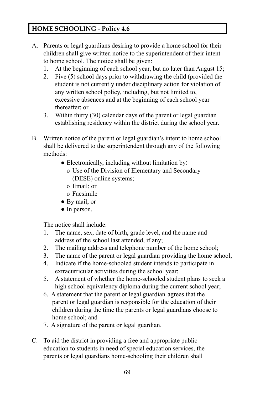# **HOME SCHOOLING - Policy 4.6**

- A. Parents or legal guardians desiring to provide a home school for their children shall give written notice to the superintendent of their intent to home school. The notice shall be given:
	- 1. At the beginning of each school year, but no later than August 15;
	- 2. Five (5) school days prior to withdrawing the child (provided the student is not currently under disciplinary action for violation of any written school policy, including, but not limited to, excessive absences and at the beginning of each school year thereafter; or
	- 3. Within thirty (30) calendar days of the parent or legal guardian establishing residency within the district during the school year.
- B. Written notice of the parent or legal guardian's intent to home school shall be delivered to the superintendent through any of the following methods:
	- Electronically, including without limitation by:
		- o Use of the Division of Elementary and Secondary (DESE) online systems;
		- o Email; or
		- o Facsimile
	- By mail; or
	- In person.

The notice shall include:

- 1. The name, sex, date of birth, grade level, and the name and address of the school last attended, if any;
- 2. The mailing address and telephone number of the home school;
- 3. The name of the parent or legal guardian providing the home school;
- 4. Indicate if the home-schooled student intends to participate in extracurricular activities during the school year;
- 5. A statement of whether the home-schooled student plans to seek a high school equivalency diploma during the current school year;
- 6. A statement that the parent or legal guardian agrees that the parent or legal guardian is responsible for the education of their children during the time the parents or legal guardians choose to home school; and
- 7. A signature of the parent or legal guardian.
- C. To aid the district in providing a free and appropriate public education to students in need of special education services, the parents or legal guardians home-schooling their children shall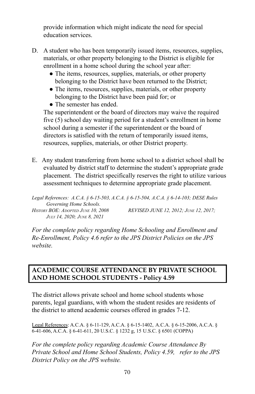provide information which might indicate the need for special education services.

- D. A student who has been temporarily issued items, resources, supplies, materials, or other property belonging to the District is eligible for enrollment in a home school during the school year after:
	- The items, resources, supplies, materials, or other property belonging to the District have been returned to the District;
	- The items, resources, supplies, materials, or other property belonging to the District have been paid for; or
	- The semester has ended.

The superintendent or the board of directors may waive the required five (5) school day waiting period for a student's enrollment in home school during a semester if the superintendent or the board of directors is satisfied with the return of temporarily issued items, resources, supplies, materials, or other District property.

E. Any student transferring from home school to a district school shall be evaluated by district staff to determine the student's appropriate grade placement. The district specifically reserves the right to utilize various assessment techniques to determine appropriate grade placement.

*Legal References: A.C.A. § 6-15-503, A.C.A. § 6-15-504, A.C.A. § 6-14-103; DESE Rules Governing Home Schools. HISTORY BOE: ADOPTED JUNE 10, 2008 REVISED JUNE 12, 2012; JUNE 12, 2017; JULY 14, 2020; JUNE 8, 2021*

*For the complete policy regarding Home Schooling and Enrollment and Re-Enrollment, Policy 4.6 refer to the JPS District Policies on the JPS website.*

### **ACADEMIC COURSE ATTENDANCE BY PRIVATE SCHOOL AND HOME SCHOOL STUDENTS - Policy 4.59**

The district allows private school and home school students whose parents, legal guardians, with whom the student resides are residents of the district to attend academic courses offered in grades 7-12.

Legal References: A.C.A. § 6-11-129, A.C.A. § 6-15-1402, A.C.A. § 6-15-2006, A.C.A. § 6-41-606, A.C.A. § 6-41-611, 20 U.S.C. § 1232 g, 15 U.S.C. § 6501 (COPPA)

*For the complete policy regarding Academic Course Attendance By Private School and Home School Students, Policy 4.59, refer to the JPS District Policy on the JPS website.*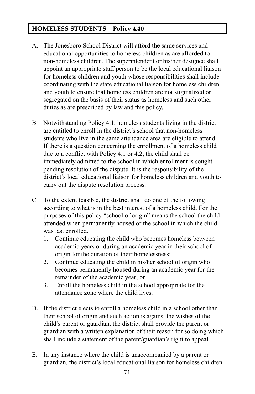# **HOMELESS STUDENTS – Policy 4.40**

- A. The Jonesboro School District will afford the same services and educational opportunities to homeless children as are afforded to non-homeless children. The superintendent or his/her designee shall appoint an appropriate staff person to be the local educational liaison for homeless children and youth whose responsibilities shall include coordinating with the state educational liaison for homeless children and youth to ensure that homeless children are not stigmatized or segregated on the basis of their status as homeless and such other duties as are prescribed by law and this policy.
- B. Notwithstanding Policy 4.1, homeless students living in the district are entitled to enroll in the district's school that non-homeless students who live in the same attendance area are eligible to attend. If there is a question concerning the enrollment of a homeless child due to a conflict with Policy 4.1 or 4.2, the child shall be immediately admitted to the school in which enrollment is sought pending resolution of the dispute. It is the responsibility of the district's local educational liaison for homeless children and youth to carry out the dispute resolution process.
- C. To the extent feasible, the district shall do one of the following according to what is in the best interest of a homeless child. For the purposes of this policy "school of origin" means the school the child attended when permanently housed or the school in which the child was last enrolled.
	- 1. Continue educating the child who becomes homeless between academic years or during an academic year in their school of origin for the duration of their homelessness;
	- 2. Continue educating the child in his/her school of origin who becomes permanently housed during an academic year for the remainder of the academic year; or
	- 3. Enroll the homeless child in the school appropriate for the attendance zone where the child lives.
- D. If the district elects to enroll a homeless child in a school other than their school of origin and such action is against the wishes of the child's parent or guardian, the district shall provide the parent or guardian with a written explanation of their reason for so doing which shall include a statement of the parent/guardian's right to appeal.
- E. In any instance where the child is unaccompanied by a parent or guardian, the district's local educational liaison for homeless children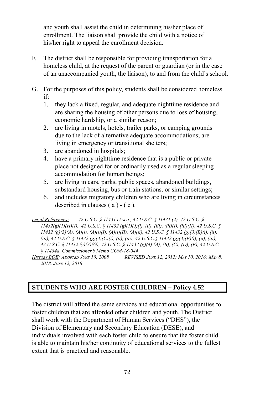and youth shall assist the child in determining his/her place of enrollment. The liaison shall provide the child with a notice of his/her right to appeal the enrollment decision.

- F. The district shall be responsible for providing transportation for a homeless child, at the request of the parent or guardian (or in the case of an unaccompanied youth, the liaison), to and from the child's school.
- G. For the purposes of this policy, students shall be considered homeless if:
	- 1. they lack a fixed, regular, and adequate nighttime residence and are sharing the housing of other persons due to loss of housing, economic hardship, or a similar reason;
	- 2. are living in motels, hotels, trailer parks, or camping grounds due to the lack of alternative adequate accommodations; are living in emergency or transitional shelters;
	- 3. are abandoned in hospitals;
	- 4. have a primary nighttime residence that is a public or private place not designed for or ordinarily used as a regular sleeping accommodation for human beings;
	- 5. are living in cars, parks, public spaces, abandoned buildings, substandard housing, bus or train stations, or similar settings;
	- 6. and includes migratory children who are living in circumstances described in clauses ( a ) - ( c ).

*Legal References: 42 U.S.C. § 11431 et seq., 42 U.S.C. § 11431 (2), 42 U.S.C. § 11432(g)(1)(H)(I), 42 U.S.C. § 11432 (g)(1)(J)(i), (ii), (iii), (iii)(I), (iii)(II), 42 U.S.C. § 11432 (g)(3)(A), (A)(i), (A)(i)(I), (A)(i)(II), (A)(ii), 42 U.S.C. § 11432 (g)(3)(B)(i), (ii), (iii), 42 U.S.C. § 11432 (g)(3)(C)(i), (ii), (iii), 42 U.S.C.§ 11432 (g)(3)(E)(i), (ii), (iii), 42 U.S.C. § 11432 (g)(3)(G), 42 U.S.C. § 11432 (g)(4) (A), (B), (C), (D), (E), 42 U.S.C. § 11434a, Commissioner's Memo COM-18-044* HISTORY BOE: ADOPTED JUNE 10, 2008 REVISED JUNE 12, 2012; MAY 10, 2016; MAY 8,

*2018, JUNE 12, 2018*

# **STUDENTS WHO ARE FOSTER CHILDREN – Policy 4.52**

The district will afford the same services and educational opportunities to foster children that are afforded other children and youth. The District shall work with the Department of Human Services ("DHS"), the Division of Elementary and Secondary Education (DESE), and individuals involved with each foster child to ensure that the foster child is able to maintain his/her continuity of educational services to the fullest extent that is practical and reasonable.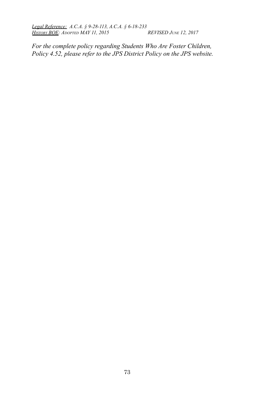*Legal Reference: A.C.A. § 9-28-113, A.C.A. § 6-18-233 HISTORY BOE: ADOPTED MAY 11, 2015* 

*For the complete policy regarding Students Who Are Foster Children, Policy 4.52, please refer to the JPS District Policy on the JPS website.*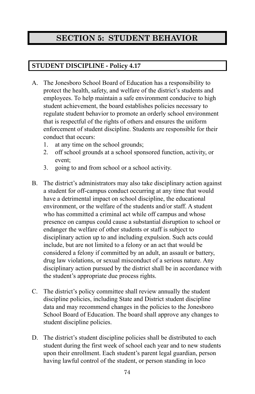# **SECTION 5: STUDENT BEHAVIOR**

## **STUDENT DISCIPLINE - Policy 4.17**

- A. The Jonesboro School Board of Education has a responsibility to protect the health, safety, and welfare of the district's students and employees. To help maintain a safe environment conducive to high student achievement, the board establishes policies necessary to regulate student behavior to promote an orderly school environment that is respectful of the rights of others and ensures the uniform enforcement of student discipline. Students are responsible for their conduct that occurs:
	- 1. at any time on the school grounds;
	- 2. off school grounds at a school sponsored function, activity, or event;
	- 3. going to and from school or a school activity.
- B. The district's administrators may also take disciplinary action against a student for off-campus conduct occurring at any time that would have a detrimental impact on school discipline, the educational environment, or the welfare of the students and/or staff. A student who has committed a criminal act while off campus and whose presence on campus could cause a substantial disruption to school or endanger the welfare of other students or staff is subject to disciplinary action up to and including expulsion. Such acts could include, but are not limited to a felony or an act that would be considered a felony if committed by an adult, an assault or battery, drug law violations, or sexual misconduct of a serious nature. Any disciplinary action pursued by the district shall be in accordance with the student's appropriate due process rights.
- C. The district's policy committee shall review annually the student discipline policies, including State and District student discipline data and may recommend changes in the policies to the Jonesboro School Board of Education. The board shall approve any changes to student discipline policies.
- D. The district's student discipline policies shall be distributed to each student during the first week of school each year and to new students upon their enrollment. Each student's parent legal guardian, person having lawful control of the student, or person standing in loco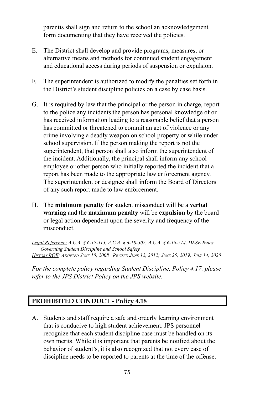parentis shall sign and return to the school an acknowledgement form documenting that they have received the policies.

- E. The District shall develop and provide programs, measures, or alternative means and methods for continued student engagement and educational access during periods of suspension or expulsion.
- F. The superintendent is authorized to modify the penalties set forth in the District's student discipline policies on a case by case basis.
- G. It is required by law that the principal or the person in charge, report to the police any incidents the person has personal knowledge of or has received information leading to a reasonable belief that a person has committed or threatened to commit an act of violence or any crime involving a deadly weapon on school property or while under school supervision. If the person making the report is not the superintendent, that person shall also inform the superintendent of the incident. Additionally, the principal shall inform any school employee or other person who initially reported the incident that a report has been made to the appropriate law enforcement agency. The superintendent or designee shall inform the Board of Directors of any such report made to law enforcement.
- H. The **minimum penalty** for student misconduct will be a **verbal warning** and the **maximum penalty** will be **expulsion** by the board or legal action dependent upon the severity and frequency of the misconduct.

*Legal Reference: A.C.A. § 6-17-113, A.C.A. § 6-18-502, A.C.A. § 6-18-514, DESE Rules Governing Student Discipline and School Safety* HISTORY BOE: ADOPTED JUNE 10, 2008 REVISED JUNE 12, 2012; JUNE 25, 2019; JULY 14, 2020

*For the complete policy regarding Student Discipline, Policy 4.17, please refer to the JPS District Policy on the JPS website.*

#### **PROHIBITED CONDUCT - Policy 4.18**

A. Students and staff require a safe and orderly learning environment that is conducive to high student achievement. JPS personnel recognize that each student discipline case must be handled on its own merits. While it is important that parents be notified about the behavior of student's, it is also recognized that not every case of discipline needs to be reported to parents at the time of the offense.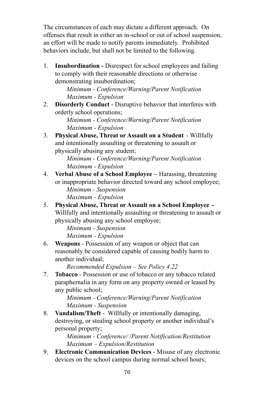The circumstances of each may dictate a different approach. On offenses that result in either an in-school or out of school suspension, an effort will be made to notify parents immediately. Prohibited behaviors include, but shall not be limited to the following.

1. **Insubordination -** Disrespect for school employees and failing to comply with their reasonable directions or otherwise demonstrating insubordination;

> *Minimum - Conference/Warning/Parent Notification Maximum - Expulsion*

2. **Disorderly Conduct** - Disruptive behavior that interferes with orderly school operations;

*Minimum - Conference/Warning/Parent Notification Maximum - Expulsion*

3. **Physical Abuse, Threat or Assault on a Student** - Willfully and intentionally assaulting or threatening to assault or physically abusing any student;

*Minimum - Conference/Warning/Parent Notification Maximum - Expulsion*

- 4. **Verbal Abuse of a School Employee –** Harassing, threatening or inappropriate behavior directed toward any school employee; *Minimum - Suspension Maximum - Expulsion*
- 5. **Physical Abuse, Threat or Assault on a School Employee -** Willfully and intentionally assaulting or threatening to assault or physically abusing any school employee;

*Minimum - Suspension Maximum - Expulsion*

6. **Weapons** - Possession of any weapon or object that can reasonably be considered capable of causing bodily harm to another individual;

*Recommended Expulsion – See Policy 4.22*

7. **Tobacco** - Possession or use of tobacco or any tobacco related paraphernalia in any form on any property owned or leased by any public school;

*Minimum - Conference/Warning/Parent Notification Maximum - Suspension*

8. **Vandalism/Theft** - Willfully or intentionally damaging, destroying, or stealing school property or another individual's personal property;

*Minimum - Conference/ /Parent Notification/Restitution Maximum – Expulsion/Restitution*

9. **Electronic Communication Devices** - Misuse of any electronic devices on the school campus during normal school hours;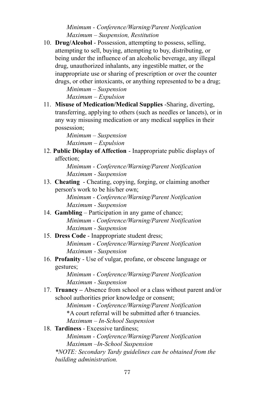*Minimum - Conference/Warning/Parent Notification Maximum – Suspension, Restitution*

10. **Drug/Alcohol** - Possession, attempting to possess, selling, attempting to sell, buying, attempting to buy, distributing, or being under the influence of an alcoholic beverage, any illegal drug, unauthorized inhalants, any ingestible matter, or the inappropriate use or sharing of prescription or over the counter drugs, or other intoxicants, or anything represented to be a drug;

> *Minimum – Suspension Maximum – Expulsion*

11. **Misuse of Medication/Medical Supplies** -Sharing, diverting, transferring, applying to others (such as needles or lancets), or in any way misusing medication or any medical supplies in their possession;

> *Minimum – Suspension Maximum – Expulsion*

12. **Public Display of Affection** - Inappropriate public displays of affection;

> *Minimum - Conference/Warning/Parent Notification Maximum - Suspension*

13. **Cheating** - Cheating, copying, forging, or claiming another person's work to be his/her own;

*Minimum - Conference/Warning/Parent Notification Maximum - Suspension*

- 14. **Gambling** Participation in any game of chance; *Minimum - Conference/Warning/Parent Notification Maximum - Suspension*
- 15. **Dress Code** Inappropriate student dress; *Minimum - Conference/Warning/Parent Notification Maximum - Suspension*
- 16. **Profanity** Use of vulgar, profane, or obscene language or gestures;

*Minimum - Conference/Warning/Parent Notification Maximum - Suspension*

17. **Truancy –** Absence from school or a class without parent and/or school authorities prior knowledge or consent;

> *Minimum - Conference/Warning/Parent Notification* \*A court referral will be submitted after 6 truancies. *Maximum – In-School Suspension*

18. **Tardiness** - Excessive tardiness;

*Minimum - Conference/Warning/Parent Notification Maximum –In-School Suspension*

*\*NOTE: Secondary Tardy guidelines can be obtained from the building administration.*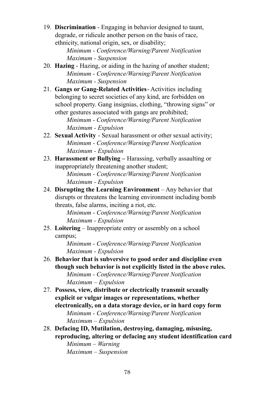19. **Discrimination** - Engaging in behavior designed to taunt, degrade, or ridicule another person on the basis of race, ethnicity, national origin, sex, or disability;

*Minimum - Conference/Warning/Parent Notification Maximum - Suspension*

- 20. **Hazing** Hazing, or aiding in the hazing of another student; *Minimum - Conference/Warning/Parent Notification Maximum - Suspension*
- 21. **Gangs or Gang-Related Activities** Activities including belonging to secret societies of any kind, are forbidden on school property. Gang insignias, clothing, "throwing signs" or other gestures associated with gangs are prohibited;

*Minimum - Conference/Warning/Parent Notification Maximum - Expulsion*

- 22. **Sexual Activity** Sexual harassment or other sexual activity; *Minimum - Conference/Warning/Parent Notification Maximum - Expulsion*
- 23. **Harassment or Bullying –** Harassing, verbally assaulting or inappropriately threatening another student;

*Minimum - Conference/Warning/Parent Notification Maximum - Expulsion*

24. **Disrupting the Learning Environment** – Any behavior that disrupts or threatens the learning environment including bomb threats, false alarms, inciting a riot, etc.

*Minimum - Conference/Warning/Parent Notification Maximum - Expulsion*

25. **Loitering** – Inappropriate entry or assembly on a school campus;

*Minimum - Conference/Warning/Parent Notification Maximum - Expulsion*

- 26. **Behavior that is subversive to good order and discipline even though such behavior is not explicitly listed in the above rules.** *Minimum - Conference/Warning/Parent Notification Maximum – Expulsion*
- 27. **Possess, view, distribute or electrically transmit sexually explicit or vulgar images or representations, whether electronically, on a data storage device, or in hard copy form** *Minimum - Conference/Warning/Parent Notification Maximum – Expulsion*
- 28. **Defacing ID, Mutilation, destroying, damaging, misusing, reproducing, altering or defacing any student identification card** *Minimum – Warning Maximum – Suspension*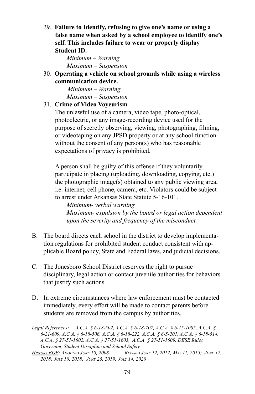29. **Failure to Identify, refusing to give one's name or using a false name when asked by a school employee to identify one's self. This includes failure to wear or properly display Student ID.**

> *Minimum – Warning Maximum – Suspension*

30. **Operating a vehicle on school grounds while using a wireless communication device.**

> *Minimum – Warning Maximum – Suspension*

#### 31. **Crime of Video Voyeurism**

The unlawful use of a camera, video tape, photo-optical, photoelectric, or any image-recording device used for the purpose of secretly observing, viewing, photographing, filming, or videotaping on any JPSD property or at any school function without the consent of any person(s) who has reasonable expectations of privacy is prohibited.

A person shall be guilty of this offense if they voluntarily participate in placing (uploading, downloading, copying, etc.) the photographic image(s) obtained to any public viewing area, i.e. internet, cell phone, camera, etc. Violators could be subject to arrest under Arkansas State Statute 5-16-101.

*Minimum- verbal warning Maximum- expulsion by the board or legal action dependent upon the severity and frequency of the misconduct.*

- B. The board directs each school in the district to develop implementation regulations for prohibited student conduct consistent with applicable Board policy, State and Federal laws, and judicial decisions.
- C. The Jonesboro School District reserves the right to pursue disciplinary, legal action or contact juvenile authorities for behaviors that justify such actions.
- D. In extreme circumstances where law enforcement must be contacted immediately, every effort will be made to contact parents before students are removed from the campus by authorities.

*Legal References: A.C.A. § 6-18-502, A.C.A. § 6-18-707, A.C.A. § 6-15-1005, A.C.A. § 6-21-609, A.C.A. § 6-18-506, A.C.A. § 6-18-222, A.C.A. § 6-5-201, A.C.A. § 6-18-514, A.C.A. § 27-51-1602, A.C.A. § 27-51-1603, A.C.A. § 27-51-1609, DESE Rules Governing Student Discipline and School Safety*

HISTORY BOE: ADOPTED JUNE 10, 2008 REVISED JUNE 12, 2012; MAY 11, 2015; JUNE 12, *2018; JULY 10, 2018; JUNE 25, 2019; JULY 14, 2020*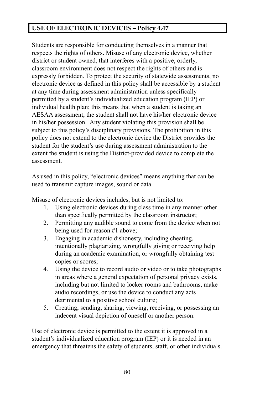### **USE OF ELECTRONIC DEVICES – Policy 4.47**

Students are responsible for conducting themselves in a manner that respects the rights of others. Misuse of any electronic device, whether district or student owned, that interferes with a positive, orderly, classroom environment does not respect the rights of others and is expressly forbidden. To protect the security of statewide assessments, no electronic device as defined in this policy shall be accessible by a student at any time during assessment administration unless specifically permitted by a student's individualized education program (IEP) or individual health plan; this means that when a student is taking an AESAA assessment, the student shall not have his/her electronic device in his/her possession. Any student violating this provision shall be subject to this policy's disciplinary provisions. The prohibition in this policy does not extend to the electronic device the District provides the student for the student's use during assessment administration to the extent the student is using the District-provided device to complete the assessment.

As used in this policy, "electronic devices" means anything that can be used to transmit capture images, sound or data.

Misuse of electronic devices includes, but is not limited to:

- 1. Using electronic devices during class time in any manner other than specifically permitted by the classroom instructor;
- 2. Permitting any audible sound to come from the device when not being used for reason #1 above;
- 3. Engaging in academic dishonesty, including cheating, intentionally plagiarizing, wrongfully giving or receiving help during an academic examination, or wrongfully obtaining test copies or scores;
- 4. Using the device to record audio or video or to take photographs in areas where a general expectation of personal privacy exists, including but not limited to locker rooms and bathrooms, make audio recordings, or use the device to conduct any acts detrimental to a positive school culture;
- 5. Creating, sending, sharing, viewing, receiving, or possessing an indecent visual depiction of oneself or another person.

Use of electronic device is permitted to the extent it is approved in a student's individualized education program (IEP) or it is needed in an emergency that threatens the safety of students, staff, or other individuals.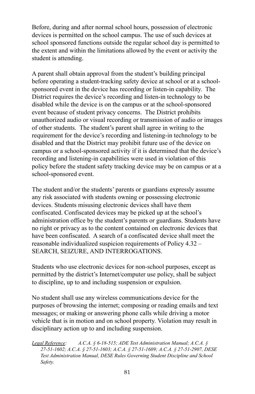Before, during and after normal school hours, possession of electronic devices is permitted on the school campus. The use of such devices at school sponsored functions outside the regular school day is permitted to the extent and within the limitations allowed by the event or activity the student is attending.

A parent shall obtain approval from the student's building principal before operating a student-tracking safety device at school or at a schoolsponsored event in the device has recording or listen-in capability. The District requires the device's recording and listen-in technology to be disabled while the device is on the campus or at the school-sponsored event because of student privacy concerns. The District prohibits unauthorized audio or visual recording or transmission of audio or images of other students. The student's parent shall agree in writing to the requirement for the device's recording and listening-in technology to be disabled and that the District may prohibit future use of the device on campus or a school-sponsored activity if it is determined that the device's recording and listening-in capabilities were used in violation of this policy before the student safety tracking device may be on campus or at a school-sponsored event.

The student and/or the students' parents or guardians expressly assume any risk associated with students owning or possessing electronic devices. Students misusing electronic devices shall have them confiscated. Confiscated devices may be picked up at the school's administration office by the student's parents or guardians. Students have no right or privacy as to the content contained on electronic devices that have been confiscated. A search of a confiscated device shall meet the reasonable individualized suspicion requirements of Policy 4.32 – SEARCH, SEIZURE, AND INTERROGATIONS.

Students who use electronic devices for non-school purposes, except as permitted by the district's Internet/computer use policy, shall be subject to discipline, up to and including suspension or expulsion.

No student shall use any wireless communications device for the purposes of browsing the internet; composing or reading emails and text messages; or making or answering phone calls while driving a motor vehicle that is in motion and on school property. Violation may result in disciplinary action up to and including suspension.

*Legal Reference: A.C.A. § 6-18-515; ADE Test Administration Manual; A.C.A. § 27-51-1602; A.C.A. § 27-51-1603; A.C.A. § 27-51-1609; A.C.A. § 27-51-2907, DESE Test Administration Manual, DESE Rules Governing Student Discipline and School Safety.*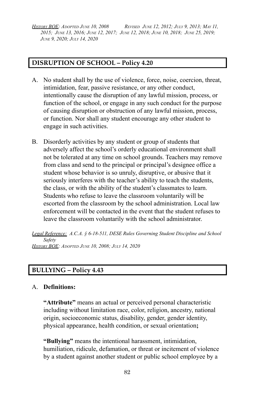HISTORY BOE: ADOPTED JUNE 10, 2008 REVISED JUNE 12, 2012; JULY 9, 2013; MAY 11, 2015; JUNE 13, 2016; JUNE 12, 2017; JUNE 12, 2018; JUNE 10, 2018; JUNE 25, 2019; *JUNE 9, 2020; JULY 14, 2020*

#### **DISRUPTION OF SCHOOL – Policy 4.20**

- A. No student shall by the use of violence, force, noise, coercion, threat, intimidation, fear, passive resistance, or any other conduct, intentionally cause the disruption of any lawful mission, process, or function of the school, or engage in any such conduct for the purpose of causing disruption or obstruction of any lawful mission, process, or function. Nor shall any student encourage any other student to engage in such activities.
- B. Disorderly activities by any student or group of students that adversely affect the school's orderly educational environment shall not be tolerated at any time on school grounds. Teachers may remove from class and send to the principal or principal's designee office a student whose behavior is so unruly, disruptive, or abusive that it seriously interferes with the teacher's ability to teach the students, the class, or with the ability of the student's classmates to learn. Students who refuse to leave the classroom voluntarily will be escorted from the classroom by the school administration. Local law enforcement will be contacted in the event that the student refuses to leave the classroom voluntarily with the school administrator.

*Legal Reference: A.C.A. § 6-18-511, DESE Rules Governing Student Discipline and School Safety HISTORY BOE: ADOPTED JUNE 10, 2008; JULY 14, 2020*

#### **BULLYING – Policy 4.43**

#### A. **Definitions:**

**"Attribute"** means an actual or perceived personal characteristic including without limitation race, color, religion, ancestry, national origin, socioeconomic status, disability, gender, gender identity, physical appearance, health condition, or sexual orientation**;**

**"Bullying"** means the intentional harassment, intimidation, humiliation, ridicule, defamation, or threat or incitement of violence by a student against another student or public school employee by a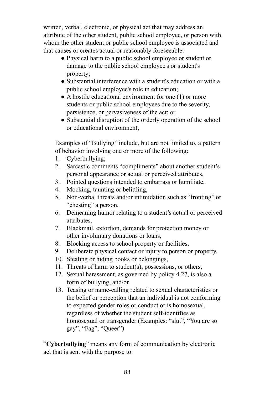written, verbal, electronic, or physical act that may address an attribute of the other student, public school employee, or person with whom the other student or public school employee is associated and that causes or creates actual or reasonably foreseeable:

- Physical harm to a public school employee or student or damage to the public school employee's or student's property;
- Substantial interference with a student's education or with a public school employee's role in education;
- A hostile educational environment for one (1) or more students or public school employees due to the severity, persistence, or pervasiveness of the act; or
- Substantial disruption of the orderly operation of the school or educational environment;

Examples of "Bullying" include, but are not limited to, a pattern of behavior involving one or more of the following:

- 1. Cyberbullying;
- 2. Sarcastic comments "compliments" about another student's personal appearance or actual or perceived attributes,
- 3. Pointed questions intended to embarrass or humiliate,
- 4. Mocking, taunting or belittling,
- 5. Non-verbal threats and/or intimidation such as "fronting" or "chesting" a person,
- 6. Demeaning humor relating to a student's actual or perceived attributes,
- 7. Blackmail, extortion, demands for protection money or other involuntary donations or loans,
- 8. Blocking access to school property or facilities,
- 9. Deliberate physical contact or injury to person or property,
- 10. Stealing or hiding books or belongings,
- 11. Threats of harm to student(s), possessions, or others,
- 12. Sexual harassment, as governed by policy 4.27, is also a form of bullying, and/or
- 13. Teasing or name-calling related to sexual characteristics or the belief or perception that an individual is not conforming to expected gender roles or conduct or is homosexual, regardless of whether the student self-identifies as homosexual or transgender (Examples: "slut", "You are so gay", "Fag", "Queer")

"**Cyberbullying**" means any form of communication by electronic act that is sent with the purpose to: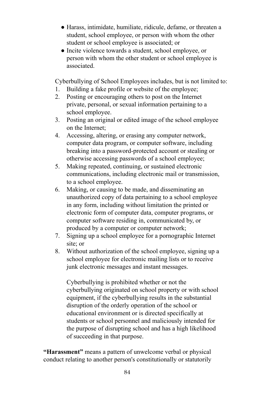- Harass, intimidate, humiliate, ridicule, defame, or threaten a student, school employee, or person with whom the other student or school employee is associated; or
- Incite violence towards a student, school employee, or person with whom the other student or school employee is associated.

Cyberbullying of School Employees includes, but is not limited to:

- 1. Building a fake profile or website of the employee;
- 2. Posting or encouraging others to post on the Internet private, personal, or sexual information pertaining to a school employee.
- 3. Posting an original or edited image of the school employee on the Internet;
- 4. Accessing, altering, or erasing any computer network, computer data program, or computer software, including breaking into a password-protected account or stealing or otherwise accessing passwords of a school employee;
- 5. Making repeated, continuing, or sustained electronic communications, including electronic mail or transmission, to a school employee.
- 6. Making, or causing to be made, and disseminating an unauthorized copy of data pertaining to a school employee in any form, including without limitation the printed or electronic form of computer data, computer programs, or computer software residing in, communicated by, or produced by a computer or computer network;
- 7. Signing up a school employee for a pornographic Internet site; or
- 8. Without authorization of the school employee, signing up a school employee for electronic mailing lists or to receive junk electronic messages and instant messages.

Cyberbullying is prohibited whether or not the cyberbullying originated on school property or with school equipment, if the cyberbullying results in the substantial disruption of the orderly operation of the school or educational environment or is directed specifically at students or school personnel and maliciously intended for the purpose of disrupting school and has a high likelihood of succeeding in that purpose.

**"Harassment"** means a pattern of unwelcome verbal or physical conduct relating to another person's constitutionally or statutorily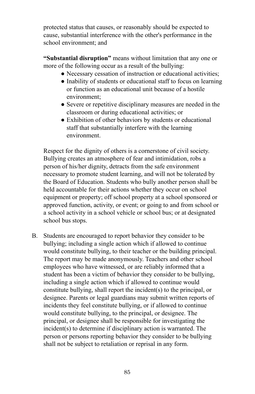protected status that causes, or reasonably should be expected to cause, substantial interference with the other's performance in the school environment; and

**"Substantial disruption"** means without limitation that any one or more of the following occur as a result of the bullying:

- Necessary cessation of instruction or educational activities;
- Inability of students or educational staff to focus on learning or function as an educational unit because of a hostile environment;
- Severe or repetitive disciplinary measures are needed in the classroom or during educational activities; or
- Exhibition of other behaviors by students or educational staff that substantially interfere with the learning environment.

Respect for the dignity of others is a cornerstone of civil society. Bullying creates an atmosphere of fear and intimidation, robs a person of his/her dignity, detracts from the safe environment necessary to promote student learning, and will not be tolerated by the Board of Education. Students who bully another person shall be held accountable for their actions whether they occur on school equipment or property; off school property at a school sponsored or approved function, activity, or event; or going to and from school or a school activity in a school vehicle or school bus; or at designated school bus stops.

B. Students are encouraged to report behavior they consider to be bullying; including a single action which if allowed to continue would constitute bullying, to their teacher or the building principal. The report may be made anonymously. Teachers and other school employees who have witnessed, or are reliably informed that a student has been a victim of behavior they consider to be bullying, including a single action which if allowed to continue would constitute bullying, shall report the incident(s) to the principal, or designee. Parents or legal guardians may submit written reports of incidents they feel constitute bullying, or if allowed to continue would constitute bullying, to the principal, or designee. The principal, or designee shall be responsible for investigating the incident(s) to determine if disciplinary action is warranted. The person or persons reporting behavior they consider to be bullying shall not be subject to retaliation or reprisal in any form.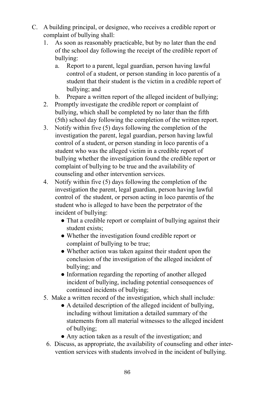- C. A building principal, or designee, who receives a credible report or complaint of bullying shall:
	- 1. As soon as reasonably practicable, but by no later than the end of the school day following the receipt of the credible report of bullying:
		- a. Report to a parent, legal guardian, person having lawful control of a student, or person standing in loco parentis of a student that their student is the victim in a credible report of bullying; and
		- b. Prepare a written report of the alleged incident of bullying;
	- 2. Promptly investigate the credible report or complaint of bullying, which shall be completed by no later than the fifth (5th) school day following the completion of the written report.
	- 3. Notify within five (5) days following the completion of the investigation the parent, legal guardian, person having lawful control of a student, or person standing in loco parentis of a student who was the alleged victim in a credible report of bullying whether the investigation found the credible report or complaint of bullying to be true and the availability of counseling and other intervention services.
	- 4. Notify within five (5) days following the completion of the investigation the parent, legal guardian, person having lawful control of the student, or person acting in loco parentis of the student who is alleged to have been the perpetrator of the incident of bullying:
		- That a credible report or complaint of bullying against their student exists;
		- Whether the investigation found credible report or complaint of bullying to be true;
		- Whether action was taken against their student upon the conclusion of the investigation of the alleged incident of bullying; and
		- Information regarding the reporting of another alleged incident of bullying, including potential consequences of continued incidents of bullying;
	- 5. Make a written record of the investigation, which shall include:
		- A detailed description of the alleged incident of bullying, including without limitation a detailed summary of the statements from all material witnesses to the alleged incident of bullying;
		- Any action taken as a result of the investigation; and
		- 6. Discuss, as appropriate, the availability of counseling and other intervention services with students involved in the incident of bullying.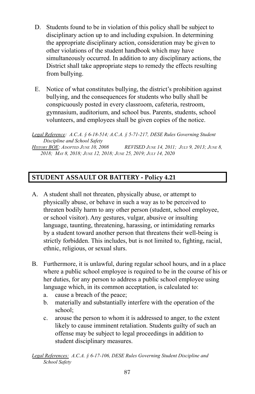- D. Students found to be in violation of this policy shall be subject to disciplinary action up to and including expulsion. In determining the appropriate disciplinary action, consideration may be given to other violations of the student handbook which may have simultaneously occurred. In addition to any disciplinary actions, the District shall take appropriate steps to remedy the effects resulting from bullying.
- E. Notice of what constitutes bullying, the district's prohibition against bullying, and the consequences for students who bully shall be conspicuously posted in every classroom, cafeteria, restroom, gymnasium, auditorium, and school bus. Parents, students, school volunteers, and employees shall be given copies of the notice.

*Legal Reference: A.C.A. § 6-18-514; A.C.A. § 5-71-217, DESE Rules Governing Student Discipline and School Safety*

**HISTORY BOE:** ADOPTED JUNE 10, 2008 REVISED JUNE 14, 2011; JULY 9, 2013; JUNE 8, *2018; MAY 8, 2018; JUNE 12, 2018; JUNE 25, 2019; JULY 14, 2020*

### **STUDENT ASSAULT OR BATTERY - Policy 4.21**

- A. A student shall not threaten, physically abuse, or attempt to physically abuse, or behave in such a way as to be perceived to threaten bodily harm to any other person (student, school employee, or school visitor). Any gestures, vulgar, abusive or insulting language, taunting, threatening, harassing, or intimidating remarks by a student toward another person that threatens their well-being is strictly forbidden. This includes, but is not limited to, fighting, racial, ethnic, religious, or sexual slurs.
- B. Furthermore, it is unlawful, during regular school hours, and in a place where a public school employee is required to be in the course of his or her duties, for any person to address a public school employee using language which, in its common acceptation, is calculated to:
	- a. cause a breach of the peace;
	- b. materially and substantially interfere with the operation of the school;
	- c. arouse the person to whom it is addressed to anger, to the extent likely to cause imminent retaliation. Students guilty of such an offense may be subject to legal proceedings in addition to student disciplinary measures.

*Legal References: A.C.A. § 6-17-106, DESE Rules Governing Student Discipline and School Safety*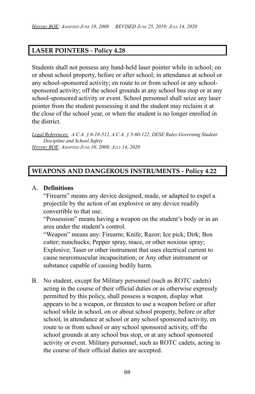#### **LASER POINTERS - Policy 4.28**

Students shall not possess any hand-held laser pointer while in school; on or about school property, before or after school; in attendance at school or any school-sponsored activity; en route to or from school or any schoolsponsored activity; off the school grounds at any school bus stop or at any school-sponsored activity or event. School personnel shall seize any laser pointer from the student possessing it and the student may reclaim it at the close of the school year, or when the student is no longer enrolled in the district.

*Legal References: A.C.A. § 6-18-512, A.C.A. § 5-60-122, DESE Rules Governing Student Discipline and School Safety HISTORY BOE: ADOPTED JUNE 10, 2008; JULY 14, 2020*

#### **WEAPONS AND DANGEROUS INSTRUMENTS - Policy 4.22**

#### A. **Definitions**

"Firearm" means any device designed, made, or adapted to expel a projectile by the action of an explosive or any device readily convertible to that use.

"Possession" means having a weapon on the student's body or in an area under the student's control.

"Weapon" means any: Firearm; Knife; Razor; Ice pick; Dirk; Box cutter; nunchucks; Pepper spray, mace, or other noxious spray; Explosive; Taser or other instrument that uses electrical current to cause neuromuscular incapacitation; or Any other instrument or substance capable of causing bodily harm.

B. No student, except for Military personnel (such as ROTC cadets) acting in the course of their official duties or as otherwise expressly permitted by this policy, shall possess a weapon, display what appears to be a weapon, or threaten to use a weapon before or after school while in school, on or about school property, before or after school, in attendance at school or any school sponsored activity, en route to or from school or any school sponsored activity, off the school grounds at any school bus stop, or at any school sponsored activity or event. Military personnel, such as ROTC cadets, acting in the course of their official duties are accepted.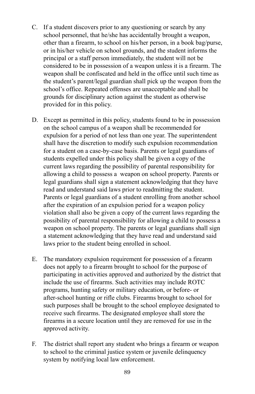- C. If a student discovers prior to any questioning or search by any school personnel, that he/she has accidentally brought a weapon, other than a firearm, to school on his/her person, in a book bag/purse, or in his/her vehicle on school grounds, and the student informs the principal or a staff person immediately, the student will not be considered to be in possession of a weapon unless it is a firearm. The weapon shall be confiscated and held in the office until such time as the student's parent/legal guardian shall pick up the weapon from the school's office. Repeated offenses are unacceptable and shall be grounds for disciplinary action against the student as otherwise provided for in this policy.
- D. Except as permitted in this policy, students found to be in possession on the school campus of a weapon shall be recommended for expulsion for a period of not less than one year. The superintendent shall have the discretion to modify such expulsion recommendation for a student on a case-by-case basis. Parents or legal guardians of students expelled under this policy shall be given a copy of the current laws regarding the possibility of parental responsibility for allowing a child to possess a weapon on school property. Parents or legal guardians shall sign a statement acknowledging that they have read and understand said laws prior to readmitting the student. Parents or legal guardians of a student enrolling from another school after the expiration of an expulsion period for a weapon policy violation shall also be given a copy of the current laws regarding the possibility of parental responsibility for allowing a child to possess a weapon on school property. The parents or legal guardians shall sign a statement acknowledging that they have read and understand said laws prior to the student being enrolled in school.
- E. The mandatory expulsion requirement for possession of a firearm does not apply to a firearm brought to school for the purpose of participating in activities approved and authorized by the district that include the use of firearms. Such activities may include ROTC programs, hunting safety or military education, or before- or after-school hunting or rifle clubs. Firearms brought to school for such purposes shall be brought to the school employee designated to receive such firearms. The designated employee shall store the firearms in a secure location until they are removed for use in the approved activity.
- F. The district shall report any student who brings a firearm or weapon to school to the criminal justice system or juvenile delinquency system by notifying local law enforcement.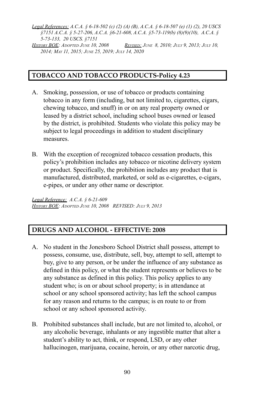*Legal References: A.C.A. § 6-18-502 (c) (2) (A) (B), A.C.A. § 6-18-507 (e) (1) (2), 20 USCS §7151 A.C.A. § 5-27-206, A.C.A. §6-21-608, A.C.A. §5-73-119(b) (8)(9)(10), A.C.A. § 5-73-133, 20 USCS. §7151*

HISTORY BOE: ADOPTED JUNE 10, 2008 REVISED: JUNE 8, 2010; JULY 9, 2013; JULY 10, *2014; MAY 11, 2015; JUNE 25, 2019; JULY 14, 2020*

#### **TOBACCO AND TOBACCO PRODUCTS-Policy 4.23**

- A. Smoking, possession, or use of tobacco or products containing tobacco in any form (including, but not limited to, cigarettes, cigars, chewing tobacco, and snuff) in or on any real property owned or leased by a district school, including school buses owned or leased by the district, is prohibited. Students who violate this policy may be subject to legal proceedings in addition to student disciplinary measures.
- B. With the exception of recognized tobacco cessation products, this policy's prohibition includes any tobacco or nicotine delivery system or product. Specifically, the prohibition includes any product that is manufactured, distributed, marketed, or sold as e-cigarettes, e-cigars, e-pipes, or under any other name or descriptor.

*Legal Reference: A.C.A. § 6-21-609 HISTORY BOE: ADOPTED JUNE 10, 2008 REVISED: JULY 9, 2013*

### **DRUGS AND ALCOHOL - EFFECTIVE: 2008**

- A. No student in the Jonesboro School District shall possess, attempt to possess, consume, use, distribute, sell, buy, attempt to sell, attempt to buy, give to any person, or be under the influence of any substance as defined in this policy, or what the student represents or believes to be any substance as defined in this policy. This policy applies to any student who; is on or about school property; is in attendance at school or any school sponsored activity; has left the school campus for any reason and returns to the campus; is en route to or from school or any school sponsored activity.
- B. Prohibited substances shall include, but are not limited to, alcohol, or any alcoholic beverage, inhalants or any ingestible matter that alter a student's ability to act, think, or respond, LSD, or any other hallucinogen, marijuana, cocaine, heroin, or any other narcotic drug,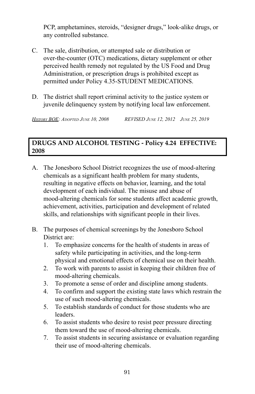PCP, amphetamines, steroids, "designer drugs," look-alike drugs, or any controlled substance.

- C. The sale, distribution, or attempted sale or distribution or over-the-counter (OTC) medications, dietary supplement or other perceived health remedy not regulated by the US Food and Drug Administration, or prescription drugs is prohibited except as permitted under Policy 4.35-STUDENT MEDICATIONS.
- D. The district shall report criminal activity to the justice system or juvenile delinquency system by notifying local law enforcement.

*HISTORY BOE: ADOPTED JUNE 10, 2008 REVISED JUNE 12, 2012 JUNE 25, 2019*

### **DRUGS AND ALCOHOL TESTING - Policy 4.24 EFFECTIVE: 2008**

- A. The Jonesboro School District recognizes the use of mood-altering chemicals as a significant health problem for many students, resulting in negative effects on behavior, learning, and the total development of each individual. The misuse and abuse of mood-altering chemicals for some students affect academic growth, achievement, activities, participation and development of related skills, and relationships with significant people in their lives.
- B. The purposes of chemical screenings by the Jonesboro School District are:
	- 1. To emphasize concerns for the health of students in areas of safety while participating in activities, and the long-term physical and emotional effects of chemical use on their health.
	- 2. To work with parents to assist in keeping their children free of mood-altering chemicals.
	- 3. To promote a sense of order and discipline among students.
	- 4. To confirm and support the existing state laws which restrain the use of such mood-altering chemicals.
	- 5. To establish standards of conduct for those students who are leaders.
	- 6. To assist students who desire to resist peer pressure directing them toward the use of mood-altering chemicals.
	- 7. To assist students in securing assistance or evaluation regarding their use of mood-altering chemicals.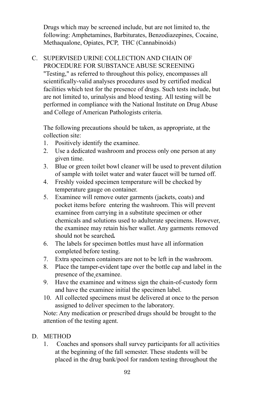Drugs which may be screened include, but are not limited to, the following: Amphetamines, Barbiturates, Benzodiazepines, Cocaine, Methaqualone, Opiates, PCP, THC (Cannabinoids)

#### C. SUPERVISED URINE COLLECTION AND CHAIN OF PROCEDURE FOR SUBSTANCE ABUSE SCREENING "Testing," as referred to throughout this policy, encompasses all

scientifically-valid analyses procedures used by certified medical facilities which test for the presence of drugs. Such tests include, but are not limited to, urinalysis and blood testing. All testing will be performed in compliance with the National Institute on Drug Abuse and College of American Pathologists criteria.

The following precautions should be taken, as appropriate, at the collection site:

- 1. Positively identify the examinee.
- 2. Use a dedicated washroom and process only one person at any given time.
- 3. Blue or green toilet bowl cleaner will be used to prevent dilution of sample with toilet water and water faucet will be turned off.
- 4. Freshly voided specimen temperature will be checked by temperature gauge on container.
- 5. Examinee will remove outer garments (jackets, coats) and pocket items before entering the washroom. This will prevent examinee from carrying in a substitute specimen or other chemicals and solutions used to adulterate specimens. However, the examinee may retain his/her wallet. Any garments removed should not be searched*.*
- 6. The labels for specimen bottles must have all information completed before testing.
- 7. Extra specimen containers are not to be left in the washroom.
- 8. Place the tamper-evident tape over the bottle cap and label in the presence of the examinee.
- 9. Have the examinee and witness sign the chain-of-custody form and have the examinee initial the specimen label.
- 10. All collected specimens must be delivered at once to the person assigned to deliver specimen to the laboratory.

Note: Any medication or prescribed drugs should be brought to the attention of the testing agent.

### D. METHOD

1. Coaches and sponsors shall survey participants for all activities at the beginning of the fall semester. These students will be placed in the drug bank/pool for random testing throughout the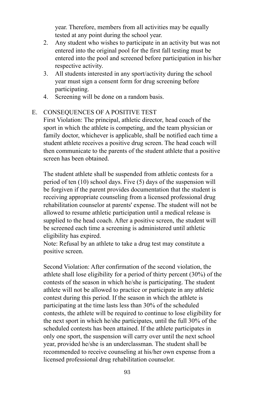year. Therefore, members from all activities may be equally tested at any point during the school year.

- 2. Any student who wishes to participate in an activity but was not entered into the original pool for the first fall testing must be entered into the pool and screened before participation in his/her respective activity.
- 3. All students interested in any sport/activity during the school year must sign a consent form for drug screening before participating.
- 4. Screening will be done on a random basis.

#### E. CONSEQUENCES OF A POSITIVE TEST

First Violation: The principal, athletic director, head coach of the sport in which the athlete is competing, and the team physician or family doctor, whichever is applicable, shall be notified each time a student athlete receives a positive drug screen. The head coach will then communicate to the parents of the student athlete that a positive screen has been obtained.

The student athlete shall be suspended from athletic contests for a period of ten (10) school days. Five (5) days of the suspension will be forgiven if the parent provides documentation that the student is receiving appropriate counseling from a licensed professional drug rehabilitation counselor at parents' expense. The student will not be allowed to resume athletic participation until a medical release is supplied to the head coach. After a positive screen, the student will be screened each time a screening is administered until athletic eligibility has expired.

Note: Refusal by an athlete to take a drug test may constitute a positive screen.

Second Violation: After confirmation of the second violation, the athlete shall lose eligibility for a period of thirty percent (30%) of the contests of the season in which he/she is participating. The student athlete will not be allowed to practice or participate in any athletic contest during this period. If the season in which the athlete is participating at the time lasts less than 30% of the scheduled contests, the athlete will be required to continue to lose eligibility for the next sport in which he/she participates, until the full 30% of the scheduled contests has been attained. If the athlete participates in only one sport, the suspension will carry over until the next school year, provided he/she is an underclassman. The student shall be recommended to receive counseling at his/her own expense from a licensed professional drug rehabilitation counselor.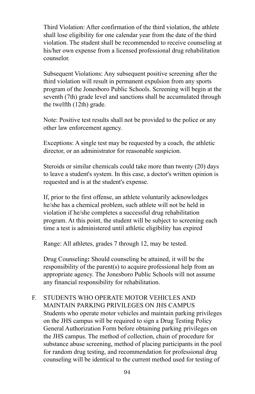Third Violation: After confirmation of the third violation, the athlete shall lose eligibility for one calendar year from the date of the third violation. The student shall be recommended to receive counseling at his/her own expense from a licensed professional drug rehabilitation counselor.

Subsequent Violations: Any subsequent positive screening after the third violation will result in permanent expulsion from any sports program of the Jonesboro Public Schools. Screening will begin at the seventh (7th) grade level and sanctions shall be accumulated through the twelfth (12th) grade.

Note: Positive test results shall not be provided to the police or any other law enforcement agency.

Exceptions: A single test may be requested by a coach, the athletic director, or an administrator for reasonable suspicion.

Steroids or similar chemicals could take more than twenty (20) days to leave a student's system. In this case, a doctor's written opinion is requested and is at the student's expense.

If, prior to the first offense, an athlete voluntarily acknowledges he/she has a chemical problem, such athlete will not be held in violation if he/she completes a successful drug rehabilitation program. At this point, the student will be subject to screening each time a test is administered until athletic eligibility has expired

Range: All athletes, grades 7 through 12, may be tested.

Drug Counseling**:** Should counseling be attained, it will be the responsibility of the parent(s) to acquire professional help from an appropriate agency. The Jonesboro Public Schools will not assume any financial responsibility for rehabilitation.

F. STUDENTS WHO OPERATE MOTOR VEHICLES AND MAINTAIN PARKING PRIVILEGES ON JHS CAMPUS Students who operate motor vehicles and maintain parking privileges on the JHS campus will be required to sign a Drug Testing Policy General Authorization Form before obtaining parking privileges on the JHS campus. The method of collection, chain of procedure for substance abuse screening, method of placing participants in the pool for random drug testing, and recommendation for professional drug counseling will be identical to the current method used for testing of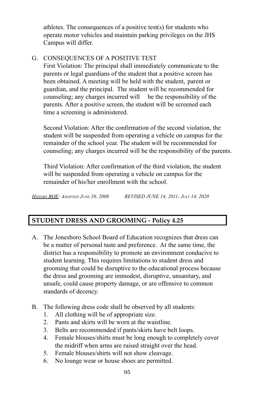athletes. The consequences of a positive test(s) for students who operate motor vehicles and maintain parking privileges on the JHS Campus will differ.

### G. CONSEQUENCES OF A POSITIVE TEST

First Violation: The principal shall immediately communicate to the parents or legal guardians of the student that a positive screen has been obtained. A meeting will be held with the student, parent or guardian, and the principal. The student will be recommended for counseling; any charges incurred will be the responsibility of the parents. After a positive screen, the student will be screened each time a screening is administered.

Second Violation: After the confirmation of the second violation, the student will be suspended from operating a vehicle on campus for the remainder of the school year. The student will be recommended for counseling; any charges incurred will be the responsibility of the parents.

Third Violation: After confirmation of the third violation, the student will be suspended from operating a vehicle on campus for the remainder of his/her enrollment with the school.

*HISTORY BOE: ADOPTED JUNE 10, 2008 REVISED JUNE 14, 2011; JULY 14, 2020*

# **STUDENT DRESS AND GROOMING - Policy 4.25**

- A. The Jonesboro School Board of Education recognizes that dress can be a matter of personal taste and preference. At the same time, the district has a responsibility to promote an environment conducive to student learning. This requires limitations to student dress and grooming that could be disruptive to the educational process because the dress and grooming are immodest, disruptive, unsanitary, and unsafe, could cause property damage, or are offensive to common standards of decency.
- B. The following dress code shall be observed by all students:
	- 1. All clothing will be of appropriate size.
	- 2. Pants and skirts will be worn at the waistline.
	- 3. Belts are recommended if pants/skirts have belt loops.
	- 4. Female blouses/shirts must be long enough to completely cover the midriff when arms are raised straight over the head.
	- 5. Female blouses/shirts will not show cleavage.
	- 6. No lounge wear or house shoes are permitted.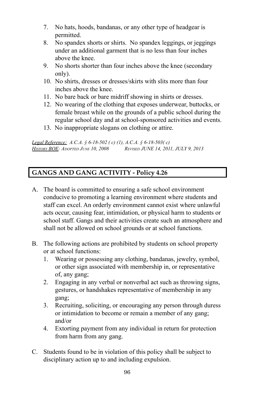- 7. No hats, hoods, bandanas, or any other type of headgear is permitted.
- 8. No spandex shorts or shirts. No spandex leggings, or jeggings under an additional garment that is no less than four inches above the knee.
- 9. No shorts shorter than four inches above the knee (secondary only).
- 10. No shirts, dresses or dresses/skirts with slits more than four inches above the knee.
- 11. No bare back or bare midriff showing in shirts or dresses.
- 12. No wearing of the clothing that exposes underwear, buttocks, or female breast while on the grounds of a public school during the regular school day and at school-sponsored activities and events.
- 13. No inappropriate slogans on clothing or attire.

*Legal Reference: A.C.A. § 6-18-502 ( c) (1), A.C.A. § 6-18-503( c) HISTORY BOE: ADOPTED JUNE 10, 2008 REVISED JUNE 14, 2011, JULY 9, 2013*

# **GANGS AND GANG ACTIVITY - Policy 4.26**

- A. The board is committed to ensuring a safe school environment conducive to promoting a learning environment where students and staff can excel. An orderly environment cannot exist where unlawful acts occur, causing fear, intimidation, or physical harm to students or school staff. Gangs and their activities create such an atmosphere and shall not be allowed on school grounds or at school functions.
- B. The following actions are prohibited by students on school property or at school functions:
	- 1. Wearing or possessing any clothing, bandanas, jewelry, symbol, or other sign associated with membership in, or representative of, any gang;
	- 2. Engaging in any verbal or nonverbal act such as throwing signs, gestures, or handshakes representative of membership in any gang;
	- 3. Recruiting, soliciting, or encouraging any person through duress or intimidation to become or remain a member of any gang; and/or
	- 4. Extorting payment from any individual in return for protection from harm from any gang.
- C. Students found to be in violation of this policy shall be subject to disciplinary action up to and including expulsion.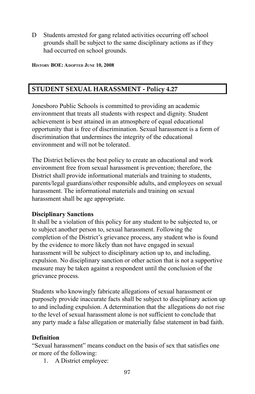D Students arrested for gang related activities occurring off school grounds shall be subject to the same disciplinary actions as if they had occurred on school grounds.

**HISTORY BOE: ADOPTED JUNE 10, 2008**

## **STUDENT SEXUAL HARASSMENT - Policy 4.27**

Jonesboro Public Schools is committed to providing an academic environment that treats all students with respect and dignity. Student achievement is best attained in an atmosphere of equal educational opportunity that is free of discrimination. Sexual harassment is a form of discrimination that undermines the integrity of the educational environment and will not be tolerated.

The District believes the best policy to create an educational and work environment free from sexual harassment is prevention; therefore, the District shall provide informational materials and training to students, parents/legal guardians/other responsible adults, and employees on sexual harassment. The informational materials and training on sexual harassment shall be age appropriate.

#### **Disciplinary Sanctions**

It shall be a violation of this policy for any student to be subjected to, or to subject another person to, sexual harassment. Following the completion of the District's grievance process, any student who is found by the evidence to more likely than not have engaged in sexual harassment will be subject to disciplinary action up to, and including, expulsion. No disciplinary sanction or other action that is not a supportive measure may be taken against a respondent until the conclusion of the grievance process.

Students who knowingly fabricate allegations of sexual harassment or purposely provide inaccurate facts shall be subject to disciplinary action up to and including expulsion. A determination that the allegations do not rise to the level of sexual harassment alone is not sufficient to conclude that any party made a false allegation or materially false statement in bad faith.

#### **Definition**

"Sexual harassment" means conduct on the basis of sex that satisfies one or more of the following:

1. A District employee: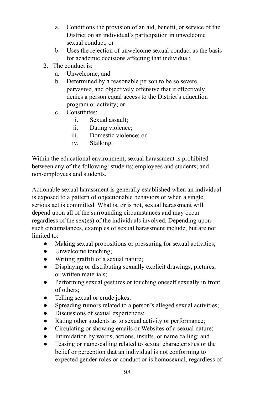- a. Conditions the provision of an aid, benefit, or service of the District on an individual's participation in unwelcome sexual conduct; or
- b. Uses the rejection of unwelcome sexual conduct as the basis for academic decisions affecting that individual;
- 2 The conduct is:
	- a. Unwelcome; and
	- b. Determined by a reasonable person to be so severe, pervasive, and objectively offensive that it effectively denies a person equal access to the District's education program or activity; or
	- c. Constitutes;
		- i. Sexual assault;
		- ii. Dating violence;
		- iii. Domestic violence; or
		- iv. Stalking.

Within the educational environment, sexual harassment is prohibited between any of the following: students; employees and students; and non-employees and students.

Actionable sexual harassment is generally established when an individual is exposed to a pattern of objectionable behaviors or when a single, serious act is committed. What is, or is not, sexual harassment will depend upon all of the surrounding circumstances and may occur regardless of the sex(es) of the individuals involved. Depending upon such circumstances, examples of sexual harassment include, but are not limited to:

- Making sexual propositions or pressuring for sexual activities;
- Unwelcome touching;
- Writing graffiti of a sexual nature;
- Displaying or distributing sexually explicit drawings, pictures, or written materials;
- Performing sexual gestures or touching oneself sexually in front of others;
- Telling sexual or crude jokes;
- Spreading rumors related to a person's alleged sexual activities;
- Discussions of sexual experiences;
- Rating other students as to sexual activity or performance;
- Circulating or showing emails or Websites of a sexual nature;
- Intimidation by words, actions, insults, or name calling; and
- Teasing or name-calling related to sexual characteristics or the belief or perception that an individual is not conforming to expected gender roles or conduct or is homosexual, regardless of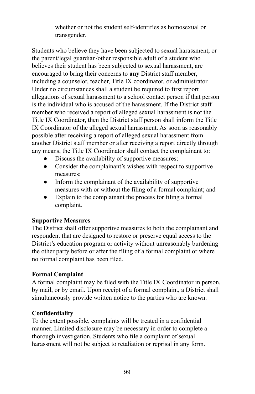whether or not the student self-identifies as homosexual or transgender.

Students who believe they have been subjected to sexual harassment, or the parent/legal guardian/other responsible adult of a student who believes their student has been subjected to sexual harassment, are encouraged to bring their concerns to **any** District staff member, including a counselor, teacher, Title IX coordinator, or administrator. Under no circumstances shall a student be required to first report allegations of sexual harassment to a school contact person if that person is the individual who is accused of the harassment. If the District staff member who received a report of alleged sexual harassment is not the Title IX Coordinator, then the District staff person shall inform the Title IX Coordinator of the alleged sexual harassment. As soon as reasonably possible after receiving a report of alleged sexual harassment from another District staff member or after receiving a report directly through any means, the Title IX Coordinator shall contact the complainant to:

- Discuss the availability of supportive measures;
- Consider the complainant's wishes with respect to supportive measures;
- Inform the complainant of the availability of supportive measures with or without the filing of a formal complaint; and
- Explain to the complainant the process for filing a formal complaint.

#### **Supportive Measures**

The District shall offer supportive measures to both the complainant and respondent that are designed to restore or preserve equal access to the District's education program or activity without unreasonably burdening the other party before or after the filing of a formal complaint or where no formal complaint has been filed.

#### **Formal Complaint**

A formal complaint may be filed with the Title IX Coordinator in person, by mail, or by email. Upon receipt of a formal complaint, a District shall simultaneously provide written notice to the parties who are known.

#### **Confidentiality**

To the extent possible, complaints will be treated in a confidential manner. Limited disclosure may be necessary in order to complete a thorough investigation. Students who file a complaint of sexual harassment will not be subject to retaliation or reprisal in any form.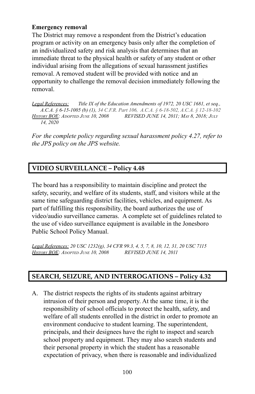#### **Emergency removal**

The District may remove a respondent from the District's education program or activity on an emergency basis only after the completion of an individualized safety and risk analysis that determines that an immediate threat to the physical health or safety of any student or other individual arising from the allegations of sexual harassment justifies removal. A removed student will be provided with notice and an opportunity to challenge the removal decision immediately following the removal.

*Legal References: Title IX of the Education Amendments of 1972, 20 USC 1681, et seq., A.C.A. § 6-15-1005 (b) (1), 34 C.F.R. Part 106, A.C.A. § 6-18-502, A.C.A. § 12-18-102 HISTORY BOE: ADOPTED JUNE 10, 2008 REVISED JUNE 14, 2011; MAY 8, 2018; JULY 14, 2020*

*For the complete policy regarding sexual harassment policy 4.27, refer to the JPS policy on the JPS website.*

### **VIDEO SURVEILLANCE – Policy 4.48**

The board has a responsibility to maintain discipline and protect the safety, security, and welfare of its students, staff, and visitors while at the same time safeguarding district facilities, vehicles, and equipment. As part of fulfilling this responsibility, the board authorizes the use of video/audio surveillance cameras. A complete set of guidelines related to the use of video surveillance equipment is available in the Jonesboro Public School Policy Manual.

*Legal References: 20 USC 1232(g), 34 CFR 99.3, 4, 5, 7, 8, 10, 12, 31, 20 USC 7115 HISTORY BOE: ADOPTED JUNE 10, 2008 REVISED JUNE 14, 2011*

#### **SEARCH, SEIZURE, AND INTERROGATIONS – Policy 4.32**

A. The district respects the rights of its students against arbitrary intrusion of their person and property. At the same time, it is the responsibility of school officials to protect the health, safety, and welfare of all students enrolled in the district in order to promote an environment conducive to student learning. The superintendent, principals, and their designees have the right to inspect and search school property and equipment. They may also search students and their personal property in which the student has a reasonable expectation of privacy, when there is reasonable and individualized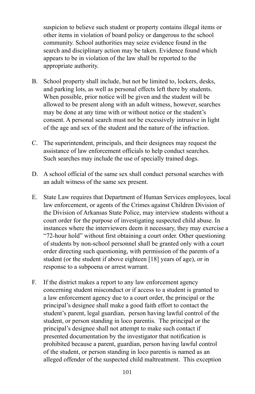suspicion to believe such student or property contains illegal items or other items in violation of board policy or dangerous to the school community. School authorities may seize evidence found in the search and disciplinary action may be taken. Evidence found which appears to be in violation of the law shall be reported to the appropriate authority.

- B. School property shall include, but not be limited to, lockers, desks, and parking lots, as well as personal effects left there by students. When possible, prior notice will be given and the student will be allowed to be present along with an adult witness, however, searches may be done at any time with or without notice or the student's consent. A personal search must not be excessively intrusive in light of the age and sex of the student and the nature of the infraction.
- C. The superintendent, principals, and their designees may request the assistance of law enforcement officials to help conduct searches. Such searches may include the use of specially trained dogs.
- D. A school official of the same sex shall conduct personal searches with an adult witness of the same sex present.
- E. State Law requires that Department of Human Services employees, local law enforcement, or agents of the Crimes against Children Division of the Division of Arkansas State Police, may interview students without a court order for the purpose of investigating suspected child abuse. In instances where the interviewers deem it necessary, they may exercise a "72-hour hold" without first obtaining a court order. Other questioning of students by non-school personnel shall be granted only with a court order directing such questioning, with permission of the parents of a student (or the student if above eighteen [18] years of age), or in response to a subpoena or arrest warrant.
- F. If the district makes a report to any law enforcement agency concerning student misconduct or if access to a student is granted to a law enforcement agency due to a court order, the principal or the principal's designee shall make a good faith effort to contact the student's parent, legal guardian, person having lawful control of the student, or person standing in loco parentis. The principal or the principal's designee shall not attempt to make such contact if presented documentation by the investigator that notification is prohibited because a parent, guardian, person having lawful control of the student, or person standing in loco parentis is named as an alleged offender of the suspected child maltreatment. This exception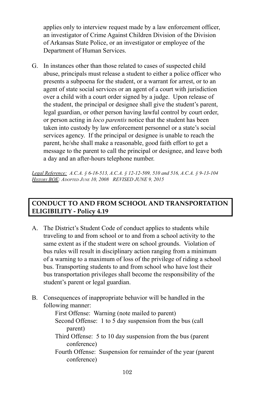applies only to interview request made by a law enforcement officer, an investigator of Crime Against Children Division of the Division of Arkansas State Police, or an investigator or employee of the Department of Human Services.

G. In instances other than those related to cases of suspected child abuse, principals must release a student to either a police officer who presents a subpoena for the student, or a warrant for arrest, or to an agent of state social services or an agent of a court with jurisdiction over a child with a court order signed by a judge. Upon release of the student, the principal or designee shall give the student's parent, legal guardian, or other person having lawful control by court order, or person acting in *loco parentis* notice that the student has been taken into custody by law enforcement personnel or a state's social services agency. If the principal or designee is unable to reach the parent, he/she shall make a reasonable, good faith effort to get a message to the parent to call the principal or designee, and leave both a day and an after-hours telephone number.

*Legal Reference: A.C.A. § 6-18-513, A.C.A. § 12-12-509, 510 and 516, A.C.A. § 9-13-104 HISTORY BOE: ADOPTED JUNE 10, 2008 REVISED JUNE 9, 2015*

### **CONDUCT TO AND FROM SCHOOL AND TRANSPORTATION ELIGIBILITY - Policy 4.19**

- A. The District's Student Code of conduct applies to students while traveling to and from school or to and from a school activity to the same extent as if the student were on school grounds. Violation of bus rules will result in disciplinary action ranging from a minimum of a warning to a maximum of loss of the privilege of riding a school bus. Transporting students to and from school who have lost their bus transportation privileges shall become the responsibility of the student's parent or legal guardian.
- B. Consequences of inappropriate behavior will be handled in the following manner:

First Offense: Warning (note mailed to parent) Second Offense: 1 to 5 day suspension from the bus (call parent)

- Third Offense: 5 to 10 day suspension from the bus (parent conference)
- Fourth Offense: Suspension for remainder of the year (parent conference)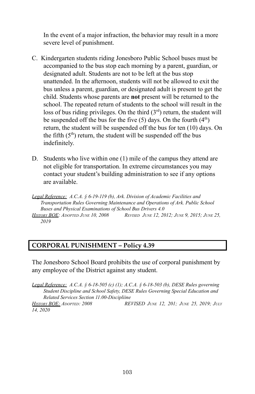In the event of a major infraction, the behavior may result in a more severe level of punishment.

- C. Kindergarten students riding Jonesboro Public School buses must be accompanied to the bus stop each morning by a parent, guardian, or designated adult. Students are not to be left at the bus stop unattended. In the afternoon, students will not be allowed to exit the bus unless a parent, guardian, or designated adult is present to get the child. Students whose parents are **not** present will be returned to the school. The repeated return of students to the school will result in the loss of bus riding privileges. On the third  $(3<sup>rd</sup>)$  return, the student will be suspended off the bus for the five  $(5)$  days. On the fourth  $(4<sup>th</sup>)$ return, the student will be suspended off the bus for ten (10) days. On the fifth  $(5<sup>th</sup>)$  return, the student will be suspended off the bus indefinitely.
- D. Students who live within one (1) mile of the campus they attend are not eligible for transportation. In extreme circumstances you may contact your student's building administration to see if any options are available.

*Legal Reference: A.C.A. § 6-19-119 (b), Ark. Division of Academic Facilities and Transportation Rules Governing Maintenance and Operations of Ark. Public School Buses and Physical Examinations of School Bus Drivers 4.0* **HISTORY BOE:** ADOPTED JUNE 10, 2008 REVISED JUNE 12, 2012; JUNE 9, 2015; JUNE 25, *2019*

# **CORPORAL PUNISHMENT – Policy 4.39**

The Jonesboro School Board prohibits the use of corporal punishment by any employee of the District against any student.

*Legal Reference: A.C.A. § 6-18-505 (c) (1); A.C.A. § 6-18-503 (b), DESE Rules governing Student Discipline and School Safety, DESE Rules Governing Special Education and Related Services Section 11.00-Discipliine HISTORY BOE: ADOPTED: 2008 REVISED JUNE 12, 201; JUNE 25, 2019; JULY 14, 2020*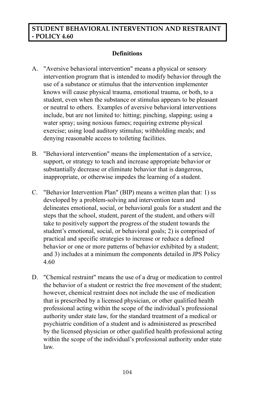### **STUDENT BEHAVIORAL INTERVENTION AND RESTRAINT - POLICY 4.60**

### **Definitions**

- A. "Aversive behavioral intervention" means a physical or sensory intervention program that is intended to modify behavior through the use of a substance or stimulus that the intervention implementer knows will cause physical trauma, emotional trauma, or both, to a student, even when the substance or stimulus appears to be pleasant or neutral to others. Examples of aversive behavioral interventions include, but are not limited to: hitting; pinching, slapping; using a water spray; using noxious fumes; requiring extreme physical exercise; using loud auditory stimulus; withholding meals; and denying reasonable access to toileting facilities.
- B. "Behavioral intervention" means the implementation of a service, support, or strategy to teach and increase appropriate behavior or substantially decrease or eliminate behavior that is dangerous, inappropriate, or otherwise impedes the learning of a student.
- C. "Behavior Intervention Plan" (BIP) means a written plan that: 1) ss developed by a problem-solving and intervention team and delineates emotional, social, or behavioral goals for a student and the steps that the school, student, parent of the student, and others will take to positively support the progress of the student towards the student's emotional, social, or behavioral goals; 2) is comprised of practical and specific strategies to increase or reduce a defined behavior or one or more patterns of behavior exhibited by a student; and 3) includes at a minimum the components detailed in JPS Policy 4.60
- D. "Chemical restraint" means the use of a drug or medication to control the behavior of a student or restrict the free movement of the student; however, chemical restraint does not include the use of medication that is prescribed by a licensed physician, or other qualified health professional acting within the scope of the individual's professional authority under state law, for the standard treatment of a medical or psychiatric condition of a student and is administered as prescribed by the licensed physician or other qualified health professional acting within the scope of the individual's professional authority under state law.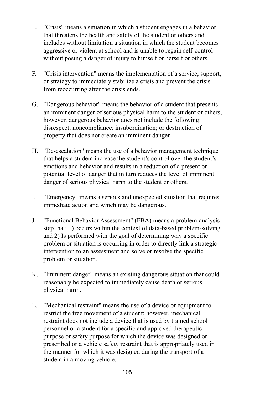- E. "Crisis" means a situation in which a student engages in a behavior that threatens the health and safety of the student or others and includes without limitation a situation in which the student becomes aggressive or violent at school and is unable to regain self-control without posing a danger of injury to himself or herself or others.
- F. "Crisis intervention" means the implementation of a service, support, or strategy to immediately stabilize a crisis and prevent the crisis from reoccurring after the crisis ends.
- G. "Dangerous behavior" means the behavior of a student that presents an imminent danger of serious physical harm to the student or others; however, dangerous behavior does not include the following: disrespect; noncompliance; insubordination; or destruction of property that does not create an imminent danger.
- H. "De-escalation" means the use of a behavior management technique that helps a student increase the student's control over the student's emotions and behavior and results in a reduction of a present or potential level of danger that in turn reduces the level of imminent danger of serious physical harm to the student or others.
- I. "Emergency" means a serious and unexpected situation that requires immediate action and which may be dangerous.
- J. "Functional Behavior Assessment" (FBA) means a problem analysis step that: 1) occurs within the context of data-based problem-solving and 2) Is performed with the goal of determining why a specific problem or situation is occurring in order to directly link a strategic intervention to an assessment and solve or resolve the specific problem or situation.
- K. "Imminent danger" means an existing dangerous situation that could reasonably be expected to immediately cause death or serious physical harm.
- L. "Mechanical restraint" means the use of a device or equipment to restrict the free movement of a student; however, mechanical restraint does not include a device that is used by trained school personnel or a student for a specific and approved therapeutic purpose or safety purpose for which the device was designed or prescribed or a vehicle safety restraint that is appropriately used in the manner for which it was designed during the transport of a student in a moving vehicle.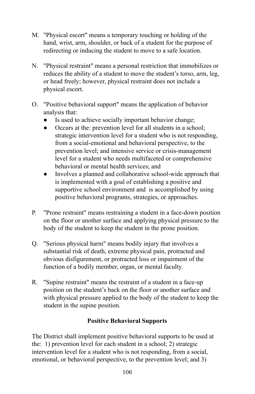- M. "Physical escort" means a temporary touching or holding of the hand, wrist, arm, shoulder, or back of a student for the purpose of redirecting or inducing the student to move to a safe location.
- N. "Physical restraint" means a personal restriction that immobilizes or reduces the ability of a student to move the student's torso, arm, leg, or head freely; however, physical restraint does not include a physical escort.
- O. "Positive behavioral support" means the application of behavior analysis that:
	- Is used to achieve socially important behavior change;
	- Occurs at the: prevention level for all students in a school; strategic intervention level for a student who is not responding, from a social-emotional and behavioral perspective, to the prevention level; and intensive service or crisis-management level for a student who needs multifaceted or comprehensive behavioral or mental health services; and
	- Involves a planned and collaborative school-wide approach that is implemented with a goal of establishing a positive and supportive school environment and is accomplished by using positive behavioral programs, strategies, or approaches.
- P. "Prone restraint" means restraining a student in a face-down position on the floor or another surface and applying physical pressure to the body of the student to keep the student in the prone position.
- Q. "Serious physical harm" means bodily injury that involves a substantial risk of death, extreme physical pain, protracted and obvious disfigurement, or protracted loss or impairment of the function of a bodily member, organ, or mental faculty.
- R. "Supine restraint" means the restraint of a student in a face-up position on the student's back on the floor or another surface and with physical pressure applied to the body of the student to keep the student in the supine position.

### **Positive Behavioral Supports**

The District shall implement positive behavioral supports to be used at the: 1) prevention level for each student in a school; 2) strategic intervention level for a student who is not responding, from a social, emotional, or behavioral perspective, to the prevention level; and 3)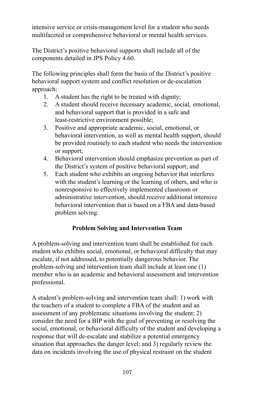intensive service or crisis-management level for a student who needs multifaceted or comprehensive behavioral or mental health services.

The District's positive behavioral supports shall include all of the components detailed in JPS Policy 4.60.

The following principles shall form the basis of the District's positive behavioral support system and conflict resolution or de-escalation approach:

- 1. A student has the right to be treated with dignity;
- 2. A student should receive necessary academic, social, emotional, and behavioral support that is provided in a safe and least-restrictive environment possible;
- 3. Positive and appropriate academic, social, emotional, or behavioral intervention, as well as mental health support, should be provided routinely to each student who needs the intervention or support;
- 4. Behavioral intervention should emphasize prevention as part of the District's system of positive behavioral support; and
- 5. Each student who exhibits an ongoing behavior that interferes with the student's learning or the learning of others, and who is nonresponsive to effectively implemented classroom or administrative intervention, should receive additional intensive behavioral intervention that is based on a FBA and data-based problem solving.

# **Problem Solving and Intervention Team**

A problem-solving and intervention team shall be established for each student who exhibits social, emotional, or behavioral difficulty that may escalate, if not addressed, to potentially dangerous behavior. The problem-solving and intervention team shall include at least one (1) member who is an academic and behavioral assessment and intervention professional.

A student's problem-solving and intervention team shall: 1) work with the teachers of a student to complete a FBA of the student and an assessment of any problematic situations involving the student; 2) consider the need for a BIP with the goal of preventing or resolving the social, emotional, or behavioral difficulty of the student and developing a response that will de-escalate and stabilize a potential emergency situation that approaches the danger level; and 3) regularly review the data on incidents involving the use of physical restraint on the student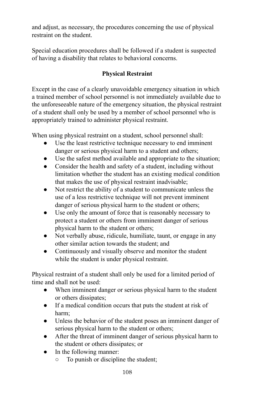and adjust, as necessary, the procedures concerning the use of physical restraint on the student.

Special education procedures shall be followed if a student is suspected of having a disability that relates to behavioral concerns.

# **Physical Restraint**

Except in the case of a clearly unavoidable emergency situation in which a trained member of school personnel is not immediately available due to the unforeseeable nature of the emergency situation, the physical restraint of a student shall only be used by a member of school personnel who is appropriately trained to administer physical restraint.

When using physical restraint on a student, school personnel shall:

- Use the least restrictive technique necessary to end imminent danger or serious physical harm to a student and others;
- Use the safest method available and appropriate to the situation;
- Consider the health and safety of a student, including without limitation whether the student has an existing medical condition that makes the use of physical restraint inadvisable;
- Not restrict the ability of a student to communicate unless the use of a less restrictive technique will not prevent imminent danger of serious physical harm to the student or others;
- Use only the amount of force that is reasonably necessary to protect a student or others from imminent danger of serious physical harm to the student or others;
- Not verbally abuse, ridicule, humiliate, taunt, or engage in any other similar action towards the student; and
- Continuously and visually observe and monitor the student while the student is under physical restraint.

Physical restraint of a student shall only be used for a limited period of time and shall not be used:

- When imminent danger or serious physical harm to the student or others dissipates;
- If a medical condition occurs that puts the student at risk of harm;
- Unless the behavior of the student poses an imminent danger of serious physical harm to the student or others;
- After the threat of imminent danger of serious physical harm to the student or others dissipates; or
- In the following manner:
	- To punish or discipline the student;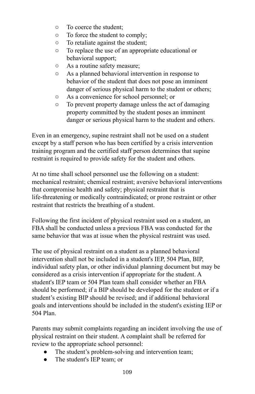- To coerce the student;
- To force the student to comply;
- To retaliate against the student;
- To replace the use of an appropriate educational or behavioral support;
- As a routine safety measure;
- As a planned behavioral intervention in response to behavior of the student that does not pose an imminent danger of serious physical harm to the student or others;
- As a convenience for school personnel; or
- To prevent property damage unless the act of damaging property committed by the student poses an imminent danger or serious physical harm to the student and others.

Even in an emergency, supine restraint shall not be used on a student except by a staff person who has been certified by a crisis intervention training program and the certified staff person determines that supine restraint is required to provide safety for the student and others.

At no time shall school personnel use the following on a student: mechanical restraint; chemical restraint; aversive behavioral interventions that compromise health and safety; physical restraint that is life-threatening or medically contraindicated; or prone restraint or other restraint that restricts the breathing of a student.

Following the first incident of physical restraint used on a student, an FBA shall be conducted unless a previous FBA was conducted for the same behavior that was at issue when the physical restraint was used.

The use of physical restraint on a student as a planned behavioral intervention shall not be included in a student's IEP, 504 Plan, BIP, individual safety plan, or other individual planning document but may be considered as a crisis intervention if appropriate for the student. A student's IEP team or 504 Plan team shall consider whether an FBA should be performed; if a BIP should be developed for the student or if a student's existing BIP should be revised; and if additional behavioral goals and interventions should be included in the student's existing IEP or 504 Plan.

Parents may submit complaints regarding an incident involving the use of physical restraint on their student. A complaint shall be referred for review to the appropriate school personnel:

- The student's problem-solving and intervention team;
- The student's IEP team: or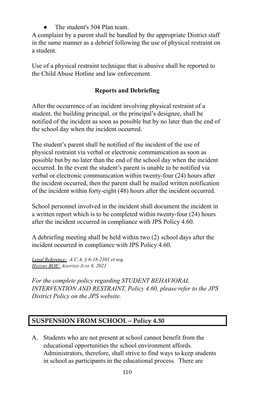The student's 504 Plan team.

A complaint by a parent shall be handled by the appropriate District staff in the same manner as a debrief following the use of physical restraint on a student.

Use of a physical restraint technique that is abusive shall be reported to the Child Abuse Hotline and law enforcement.

# **Reports and Debriefing**

After the occurrence of an incident involving physical restraint of a student, the building principal, or the principal's designee, shall be notified of the incident as soon as possible but by no later than the end of the school day when the incident occurred.

The student's parent shall be notified of the incident of the use of physical restraint via verbal or electronic communication as soon as possible but by no later than the end of the school day when the incident occurred. In the event the student's parent is unable to be notified via verbal or electronic communication within twenty-four (24) hours after the incident occurred, then the parent shall be mailed written notification of the incident within forty-eight (48) hours after the incident occurred.

School personnel involved in the incident shall document the incident in a written report which is to be completed within twenty-four (24) hours after the incident occurred in compliance with JPS Policy 4.60.

A debriefing meeting shall be held within two (2) school days after the incident occurred in compliance with JPS Policy 4.60.

*Legal Reference: A.C.A. § 6-18-2301 et seq. HISTORY BOE: ADOPTED JUNE 8, 2021*

*For the complete policy regarding STUDENT BEHAVIORAL INTERVENTION AND RESTRAINT, Policy 4.60, please refer to the JPS District Policy on the JPS website.*

# **SUSPENSION FROM SCHOOL – Policy 4.30**

A. Students who are not present at school cannot benefit from the educational opportunities the school environment affords. Administrators, therefore, shall strive to find ways to keep students in school as participants in the educational process. There are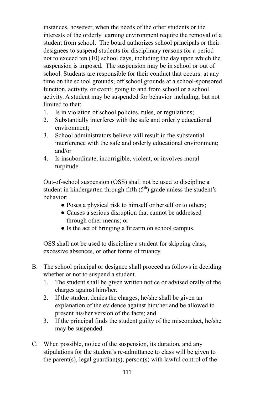instances, however, when the needs of the other students or the interests of the orderly learning environment require the removal of a student from school. The board authorizes school principals or their designees to suspend students for disciplinary reasons for a period not to exceed ten (10) school days, including the day upon which the suspension is imposed. The suspension may be in school or out of school. Students are responsible for their conduct that occurs: at any time on the school grounds; off school grounds at a school-sponsored function, activity, or event; going to and from school or a school activity. A student may be suspended for behavior including, but not limited to that:

- 1. Is in violation of school policies, rules, or regulations;
- 2. Substantially interferes with the safe and orderly educational environment;
- 3. School administrators believe will result in the substantial interference with the safe and orderly educational environment; and/or
- 4. Is insubordinate, incorrigible, violent, or involves moral turpitude.

Out-of-school suspension (OSS) shall not be used to discipline a student in kindergarten through fifth  $(5<sup>th</sup>)$  grade unless the student's behavior:

- Poses a physical risk to himself or herself or to others;
- Causes a serious disruption that cannot be addressed through other means; or
- Is the act of bringing a firearm on school campus.

OSS shall not be used to discipline a student for skipping class, excessive absences, or other forms of truancy.

- B. The school principal or designee shall proceed as follows in deciding whether or not to suspend a student.
	- 1. The student shall be given written notice or advised orally of the charges against him/her.
	- 2. If the student denies the charges, he/she shall be given an explanation of the evidence against him/her and be allowed to present his/her version of the facts; and
	- 3. If the principal finds the student guilty of the misconduct, he/she may be suspended.
- C. When possible, notice of the suspension, its duration, and any stipulations for the student's re-admittance to class will be given to the parent(s), legal guardian(s), person(s) with lawful control of the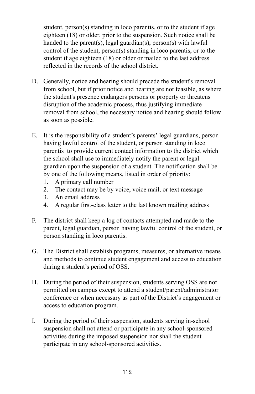student, person(s) standing in loco parentis, or to the student if age eighteen (18) or older, prior to the suspension. Such notice shall be handed to the parent(s), legal guardian(s), person(s) with lawful control of the student, person(s) standing in loco parentis, or to the student if age eighteen (18) or older or mailed to the last address reflected in the records of the school district.

- D. Generally, notice and hearing should precede the student's removal from school, but if prior notice and hearing are not feasible, as where the student's presence endangers persons or property or threatens disruption of the academic process, thus justifying immediate removal from school, the necessary notice and hearing should follow as soon as possible.
- E. It is the responsibility of a student's parents' legal guardians, person having lawful control of the student, or person standing in loco parentis to provide current contact information to the district which the school shall use to immediately notify the parent or legal guardian upon the suspension of a student. The notification shall be by one of the following means, listed in order of priority:
	- 1. A primary call number
	- 2. The contact may be by voice, voice mail, or text message
	- 3. An email address
	- 4. A regular first-class letter to the last known mailing address
- F. The district shall keep a log of contacts attempted and made to the parent, legal guardian, person having lawful control of the student, or person standing in loco parentis.
- G. The District shall establish programs, measures, or alternative means and methods to continue student engagement and access to education during a student's period of OSS.
- H. During the period of their suspension, students serving OSS are not permitted on campus except to attend a student/parent/administrator conference or when necessary as part of the District's engagement or access to education program.
- I. During the period of their suspension, students serving in-school suspension shall not attend or participate in any school-sponsored activities during the imposed suspension nor shall the student participate in any school-sponsored activities.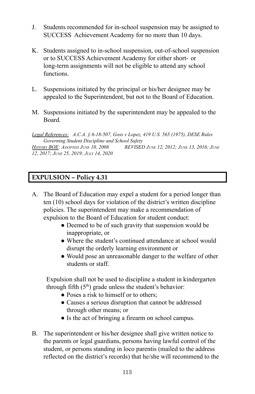- J. Students recommended for in-school suspension may be assigned to SUCCESS Achievement Academy for no more than 10 days.
- K. Students assigned to in-school suspension, out-of-school suspension or to SUCCESS Achievement Academy for either short- or long-term assignments will not be eligible to attend any school functions.
- L. Suspensions initiated by the principal or his/her designee may be appealed to the Superintendent, but not to the Board of Education.
- M. Suspensions initiated by the superintendent may be appealed to the Board.

*Legal References: A.C.A. § 6-18-507, Goss v Lopez, 419 U.S. 565 (1975), DESE Rules Governing Student Discipline and School Safety HISTORY BOE: ADOPTED JUNE 10, 2008 REVISED JUNE 12, 2012; JUNE 13, 2016; JUNE 12, 2017; JUNE 25, 2019; JULY 14, 2020*

#### **EXPULSION – Policy 4.31**

- A. The Board of Education may expel a student for a period longer than ten (10) school days for violation of the district's written discipline policies. The superintendent may make a recommendation of expulsion to the Board of Education for student conduct:
	- Deemed to be of such gravity that suspension would be inappropriate, or
	- Where the student's continued attendance at school would disrupt the orderly learning environment or
	- Would pose an unreasonable danger to the welfare of other students or staff.

Expulsion shall not be used to discipline a student in kindergarten through fifth  $(5<sup>th</sup>)$  grade unless the student's behavior:

- Poses a risk to himself or to others:
- Causes a serious disruption that cannot be addressed through other means; or
- Is the act of bringing a firearm on school campus.
- B. The superintendent or his/her designee shall give written notice to the parents or legal guardians, persons having lawful control of the student, or persons standing in loco parentis (mailed to the address reflected on the district's records) that he/she will recommend to the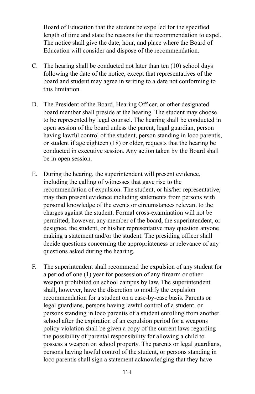Board of Education that the student be expelled for the specified length of time and state the reasons for the recommendation to expel. The notice shall give the date, hour, and place where the Board of Education will consider and dispose of the recommendation.

- C. The hearing shall be conducted not later than ten (10) school days following the date of the notice, except that representatives of the board and student may agree in writing to a date not conforming to this limitation.
- D. The President of the Board, Hearing Officer, or other designated board member shall preside at the hearing. The student may choose to be represented by legal counsel. The hearing shall be conducted in open session of the board unless the parent, legal guardian, person having lawful control of the student, person standing in loco parentis, or student if age eighteen (18) or older, requests that the hearing be conducted in executive session. Any action taken by the Board shall be in open session.
- E. During the hearing, the superintendent will present evidence, including the calling of witnesses that gave rise to the recommendation of expulsion. The student, or his/her representative, may then present evidence including statements from persons with personal knowledge of the events or circumstances relevant to the charges against the student. Formal cross-examination will not be permitted; however, any member of the board, the superintendent, or designee, the student, or his/her representative may question anyone making a statement and/or the student. The presiding officer shall decide questions concerning the appropriateness or relevance of any questions asked during the hearing.
- F. The superintendent shall recommend the expulsion of any student for a period of one (1) year for possession of any firearm or other weapon prohibited on school campus by law. The superintendent shall, however, have the discretion to modify the expulsion recommendation for a student on a case-by-case basis. Parents or legal guardians, persons having lawful control of a student, or persons standing in loco parentis of a student enrolling from another school after the expiration of an expulsion period for a weapons policy violation shall be given a copy of the current laws regarding the possibility of parental responsibility for allowing a child to possess a weapon on school property. The parents or legal guardians, persons having lawful control of the student, or persons standing in loco parentis shall sign a statement acknowledging that they have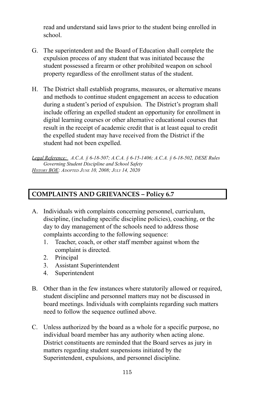read and understand said laws prior to the student being enrolled in school.

- G. The superintendent and the Board of Education shall complete the expulsion process of any student that was initiated because the student possessed a firearm or other prohibited weapon on school property regardless of the enrollment status of the student.
- H. The District shall establish programs, measures, or alternative means and methods to continue student engagement an access to education during a student's period of expulsion. The District's program shall include offering an expelled student an opportunity for enrollment in digital learning courses or other alternative educational courses that result in the receipt of academic credit that is at least equal to credit the expelled student may have received from the District if the student had not been expelled.

*Legal Reference: A.C.A. § 6-18-507; A.C.A. § 6-15-1406; A.C.A. § 6-18-502, DESE Rules Governing Student Discipline and School Safety HISTORY BOE: ADOPTED JUNE 10, 2008; JULY 14, 2020*

## **COMPLAINTS AND GRIEVANCES – Policy 6.7**

- A. Individuals with complaints concerning personnel, curriculum, discipline, (including specific discipline policies), coaching, or the day to day management of the schools need to address those complaints according to the following sequence:
	- 1. Teacher, coach, or other staff member against whom the complaint is directed.
	- 2. Principal
	- 3. Assistant Superintendent
	- 4. Superintendent
- B. Other than in the few instances where statutorily allowed or required, student discipline and personnel matters may not be discussed in board meetings. Individuals with complaints regarding such matters need to follow the sequence outlined above.
- C. Unless authorized by the board as a whole for a specific purpose, no individual board member has any authority when acting alone. District constituents are reminded that the Board serves as jury in matters regarding student suspensions initiated by the Superintendent, expulsions, and personnel discipline.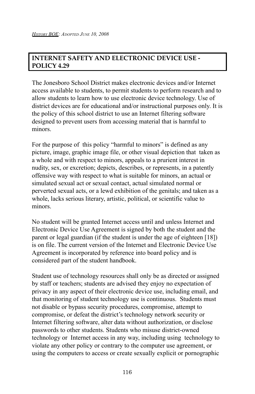## **INTERNET SAFETY AND ELECTRONIC DEVICE USE - POLICY 4.29**

The Jonesboro School District makes electronic devices and/or Internet access available to students, to permit students to perform research and to allow students to learn how to use electronic device technology. Use of district devices are for educational and/or instructional purposes only. It is the policy of this school district to use an Internet filtering software designed to prevent users from accessing material that is harmful to minors.

For the purpose of this policy "harmful to minors" is defined as any picture, image, graphic image file, or other visual depiction that taken as a whole and with respect to minors, appeals to a prurient interest in nudity, sex, or excretion; depicts, describes, or represents, in a patently offensive way with respect to what is suitable for minors, an actual or simulated sexual act or sexual contact, actual simulated normal or perverted sexual acts, or a lewd exhibition of the genitals; and taken as a whole, lacks serious literary, artistic, political, or scientific value to minors.

No student will be granted Internet access until and unless Internet and Electronic Device Use Agreement is signed by both the student and the parent or legal guardian (if the student is under the age of eighteen [18]) is on file. The current version of the Internet and Electronic Device Use Agreement is incorporated by reference into board policy and is considered part of the student handbook.

Student use of technology resources shall only be as directed or assigned by staff or teachers; students are advised they enjoy no expectation of privacy in any aspect of their electronic device use, including email, and that monitoring of student technology use is continuous. Students must not disable or bypass security procedures, compromise, attempt to compromise, or defeat the district's technology network security or Internet filtering software, alter data without authorization, or disclose passwords to other students. Students who misuse district-owned technology or Internet access in any way, including using technology to violate any other policy or contrary to the computer use agreement, or using the computers to access or create sexually explicit or pornographic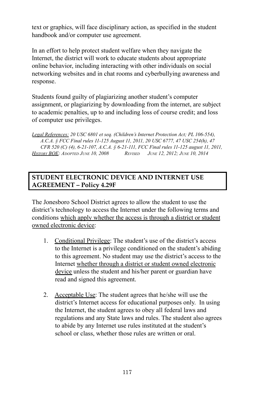text or graphics, will face disciplinary action, as specified in the student handbook and/or computer use agreement.

In an effort to help protect student welfare when they navigate the Internet, the district will work to educate students about appropriate online behavior, including interacting with other individuals on social networking websites and in chat rooms and cyberbullying awareness and response.

Students found guilty of plagiarizing another student's computer assignment, or plagiarizing by downloading from the internet, are subject to academic penalties, up to and including loss of course credit; and loss of computer use privileges.

*Legal References: 20 USC 6801 et seq. (Children's Internet Protection Act; PL 106-554), A.C.A. § FCC Final rules 11-125 August 11, 2011, 20 USC 6777, 47 USC 254(h), 47 CFR 520 (C) (4), 6-21-107, A.C.A. § 6-21-111, FCC Final rules 11-125 august 11, 2011, HISTORY BOE: ADOPTED JUNE 10, 2008 REVISED JUNE 12, 2012; JUNE 10, 2014*

#### **STUDENT ELECTRONIC DEVICE AND INTERNET USE AGREEMENT – Policy 4.29F**

The Jonesboro School District agrees to allow the student to use the district's technology to access the Internet under the following terms and conditions which apply whether the access is through a district or student owned electronic device:

- 1. Conditional Privilege: The student's use of the district's access to the Internet is a privilege conditioned on the student's abiding to this agreement. No student may use the district's access to the Internet whether through a district or student owned electronic device unless the student and his/her parent or guardian have read and signed this agreement.
- 2. Acceptable Use: The student agrees that he/she will use the district's Internet access for educational purposes only. In using the Internet, the student agrees to obey all federal laws and regulations and any State laws and rules. The student also agrees to abide by any Internet use rules instituted at the student's school or class, whether those rules are written or oral.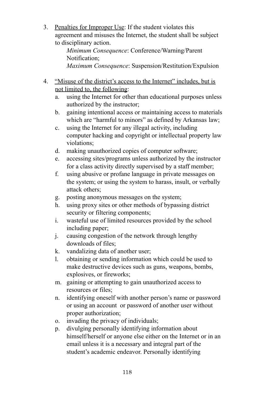3. Penalties for Improper Use: If the student violates this agreement and misuses the Internet, the student shall be subject to disciplinary action.

*Minimum Consequence*: Conference/Warning/Parent Notification; *Maximum Consequence*: Suspension/Restitution/Expulsion

- 4. "Misuse of the district's access to the Internet" includes, but is not limited to, the following:
	- a. using the Internet for other than educational purposes unless authorized by the instructor;
	- b. gaining intentional access or maintaining access to materials which are "harmful to minors" as defined by Arkansas law;
	- c. using the Internet for any illegal activity, including computer hacking and copyright or intellectual property law violations;
	- d. making unauthorized copies of computer software;
	- e. accessing sites/programs unless authorized by the instructor for a class activity directly supervised by a staff member;
	- f. using abusive or profane language in private messages on the system; or using the system to harass, insult, or verbally attack others;
	- g. posting anonymous messages on the system;
	- h. using proxy sites or other methods of bypassing district security or filtering components;
	- i. wasteful use of limited resources provided by the school including paper;
	- j. causing congestion of the network through lengthy downloads of files;
	- k. vandalizing data of another user;
	- l. obtaining or sending information which could be used to make destructive devices such as guns, weapons, bombs, explosives, or fireworks;
	- m. gaining or attempting to gain unauthorized access to resources or files;
	- n. identifying oneself with another person's name or password or using an account or password of another user without proper authorization;
	- o. invading the privacy of individuals;
	- p. divulging personally identifying information about himself/herself or anyone else either on the Internet or in an email unless it is a necessary and integral part of the student's academic endeavor. Personally identifying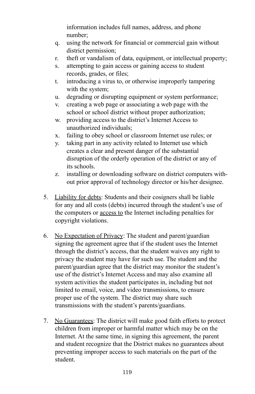information includes full names, address, and phone number;

- q. using the network for financial or commercial gain without district permission;
- r. theft or vandalism of data, equipment, or intellectual property;
- s. attempting to gain access or gaining access to student records, grades, or files;
- t. introducing a virus to, or otherwise improperly tampering with the system:
- u. degrading or disrupting equipment or system performance;
- v. creating a web page or associating a web page with the school or school district without proper authorization;
- w. providing access to the district's Internet Access to unauthorized individuals;
- x. failing to obey school or classroom Internet use rules; or
- y. taking part in any activity related to Internet use which creates a clear and present danger of the substantial disruption of the orderly operation of the district or any of its schools.
- z. installing or downloading software on district computers without prior approval of technology director or his/her designee.
- 5. Liability for debts: Students and their cosigners shall be liable for any and all costs (debts) incurred through the student's use of the computers or access to the Internet including penalties for copyright violations.
- 6. No Expectation of Privacy: The student and parent/guardian signing the agreement agree that if the student uses the Internet through the district's access, that the student waives any right to privacy the student may have for such use. The student and the parent/guardian agree that the district may monitor the student's use of the district's Internet Access and may also examine all system activities the student participates in, including but not limited to email, voice, and video transmissions, to ensure proper use of the system. The district may share such transmissions with the student's parents/guardians.
- 7. No Guarantees: The district will make good faith efforts to protect children from improper or harmful matter which may be on the Internet. At the same time, in signing this agreement, the parent and student recognize that the District makes no guarantees about preventing improper access to such materials on the part of the student.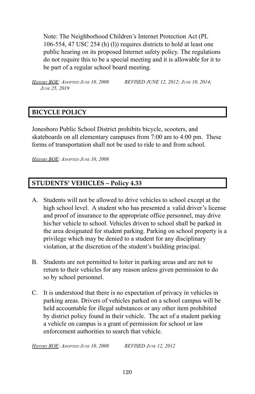Note: The Neighborhood Children's Internet Protection Act (PL 106-554, 47 USC 254 (h) (l)) requires districts to hold at least one public hearing on its proposed Internet safety policy. The regulations do not require this to be a special meeting and it is allowable for it to be part of a regular school board meeting.

*HISTORY BOE: ADOPTED JUNE 10, 2008 REVISED JUNE 12, 2012; JUNE 10, 2014; JUNE 25, 2019*

#### **BICYCLE POLICY**

Jonesboro Public School District prohibits bicycle, scooters, and skateboards on all elementary campuses from 7:00 am to 4:00 pm. These forms of transportation shall not be used to ride to and from school.

*HISTORY BOE: ADOPTED JUNE 10, 2008*

## **STUDENTS' VEHICLES – Policy 4.33**

- A. Students will not be allowed to drive vehicles to school except at the high school level. A student who has presented a valid driver's license and proof of insurance to the appropriate office personnel, may drive his/her vehicle to school. Vehicles driven to school shall be parked in the area designated for student parking. Parking on school property is a privilege which may be denied to a student for any disciplinary violation, at the discretion of the student's building principal.
- B. Students are not permitted to loiter in parking areas and are not to return to their vehicles for any reason unless given permission to do so by school personnel.
- C. It is understood that there is no expectation of privacy in vehicles in parking areas. Drivers of vehicles parked on a school campus will be held accountable for illegal substances or any other item prohibited by district policy found in their vehicle. The act of a student parking a vehicle on campus is a grant of permission for school or law enforcement authorities to search that vehicle.

*HISTORY BOE: ADOPTED JUNE 10, 2008 REVISED JUNE 12, 2012*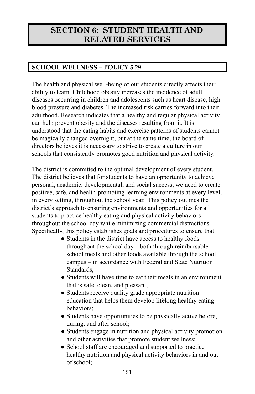# **SECTION 6: STUDENT HEALTH AND RELATED SERVICES**

# **SCHOOL WELLNESS – POLICY 5.29**

The health and physical well-being of our students directly affects their ability to learn. Childhood obesity increases the incidence of adult diseases occurring in children and adolescents such as heart disease, high blood pressure and diabetes. The increased risk carries forward into their adulthood. Research indicates that a healthy and regular physical activity can help prevent obesity and the diseases resulting from it. It is understood that the eating habits and exercise patterns of students cannot be magically changed overnight, but at the same time, the board of directors believes it is necessary to strive to create a culture in our schools that consistently promotes good nutrition and physical activity.

The district is committed to the optimal development of every student. The district believes that for students to have an opportunity to achieve personal, academic, developmental, and social success, we need to create positive, safe, and health-promoting learning environments at every level, in every setting, throughout the school year. This policy outlines the district's approach to ensuring environments and opportunities for all students to practice healthy eating and physical activity behaviors throughout the school day while minimizing commercial distractions. Specifically, this policy establishes goals and procedures to ensure that:

- Students in the district have access to healthy foods throughout the school day – both through reimbursable school meals and other foods available through the school campus – in accordance with Federal and State Nutrition Standards;
- Students will have time to eat their meals in an environment that is safe, clean, and pleasant;
- Students receive quality grade appropriate nutrition education that helps them develop lifelong healthy eating behaviors;
- Students have opportunities to be physically active before, during, and after school;
- Students engage in nutrition and physical activity promotion and other activities that promote student wellness;
- School staff are encouraged and supported to practice healthy nutrition and physical activity behaviors in and out of school;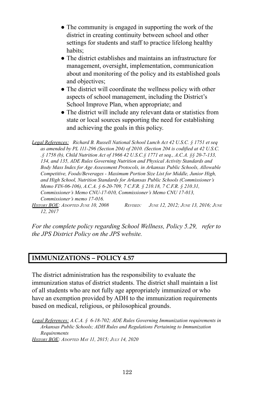- The community is engaged in supporting the work of the district in creating continuity between school and other settings for students and staff to practice lifelong healthy habits;
- The district establishes and maintains an infrastructure for management, oversight, implementation, communication about and monitoring of the policy and its established goals and objectives;
- The district will coordinate the wellness policy with other aspects of school management, including the District's School Improve Plan, when appropriate; and
- The district will include any relevant data or statistics from state or local sources supporting the need for establishing and achieving the goals in this policy.

*Legal References: Richard B. Russell National School Lunch Act 42 U.S.C. § 1751 et seq as amended by PL 111-296 (Section 204) of 2010. (Section 204 is codified at 42 U.S.C. .§ 1758 (b), Child Nutrition Act of 1966 42 U.S.C.§ 1771 et seq., A.C.A. §§ 20-7-133, 134, and 135, ADE Rules Governing Nutrition and Physical Activity Standards and Body Mass Index for Age Assessment Protocols, in Arkansas Public Schools, Allowable Competitive, Foods/Beverages - Maximum Portion Size List for Middle, Junior High, and High School, Nutrition Standards for Arkansas Public Schools (Commissioner's Memo FIN-06-106), A.C.A. § 6-20-709, 7 C.F.R. § 210.18, 7 C.F.R. § 210.31, Commissioner's Memo CNU-17-010, Commissioner's Memo CNU 17-013, Commissioner's memo 17-016.*

HISTORY BOE: ADOPTED JUNE 10, 2008 REVISED: JUNE 12, 2012; JUNE 13, 2016; JUNE *12, 2017*

*For the complete policy regarding School Wellness, Policy 5.29, refer to the JPS District Policy on the JPS website.*

#### **IMMUNIZATIONS – POLICY 4.57**

The district administration has the responsibility to evaluate the immunization status of district students. The district shall maintain a list of all students who are not fully age appropriately immunized or who have an exemption provided by ADH to the immunization requirements based on medical, religious, or philosophical grounds.

*Legal References: A.C.A. § 6-18-702; ADE Rules Governing Immunization requirements in Arkansas Public Schools; ADH Rules and Regulations Pertaining to Immunization Requirements HISTORY BOE: ADOPTED MAY 11, 2015; JULY 14, 2020*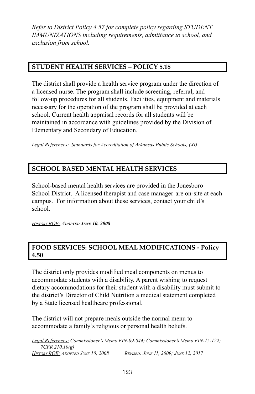*Refer to District Policy 4.57 for complete policy regarding STUDENT IMMUNIZATIONS including requirements, admittance to school, and exclusion from school.*

## **STUDENT HEALTH SERVICES – POLICY 5.18**

The district shall provide a health service program under the direction of a licensed nurse. The program shall include screening, referral, and follow-up procedures for all students. Facilities, equipment and materials necessary for the operation of the program shall be provided at each school. Current health appraisal records for all students will be maintained in accordance with guidelines provided by the Division of Elementary and Secondary of Education.

*Legal References: Standards for Accreditation of Arkansas Public Schools, (XI)*

## **SCHOOL BASED MENTAL HEALTH SERVICES**

School-based mental health services are provided in the Jonesboro School District. A licensed therapist and case manager are on-site at each campus. For information about these services, contact your child's school.

*HISTORY BOE: ADOPTED JUNE 10, 2008*

#### **FOOD SERVICES: SCHOOL MEAL MODIFICATIONS - Policy 4.50**

The district only provides modified meal components on menus to accommodate students with a disability. A parent wishing to request dietary accommodations for their student with a disability must submit to the district's Director of Child Nutrition a medical statement completed by a State licensed healthcare professional.

The district will not prepare meals outside the normal menu to accommodate a family's religious or personal health beliefs.

*Legal References: Commissioner's Memo FIN-09-044; Commissioner's Memo FIN-15-122; 7CFR 210.10(g) HISTORY BOE: ADOPTED JUNE 10, 2008 REVISED: JUNE 11, 2009; JUNE 12, 2017*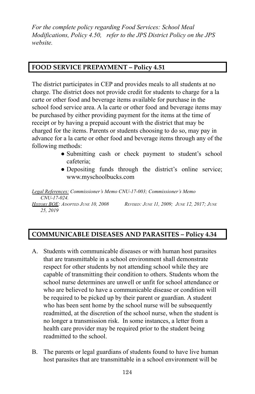*For the complete policy regarding Food Services: School Meal Modifications, Policy 4.50, refer to the JPS District Policy on the JPS website.*

## **FOOD SERVICE PREPAYMENT – Policy 4.51**

The district participates in CEP and provides meals to all students at no charge. The district does not provide credit for students to charge for a la carte or other food and beverage items available for purchase in the school food service area. A la carte or other food and beverage items may be purchased by either providing payment for the items at the time of receipt or by having a prepaid account with the district that may be charged for the items. Parents or students choosing to do so, may pay in advance for a la carte or other food and beverage items through any of the following methods:

- Submitting cash or check payment to student's school cafeteria;
- Depositing funds through the district's online service; [www.myschoolbucks.com](http://www.myschoolbucks.com)

*Legal References: Commissioner's Memo CNU-17-003; Commissioner's Memo CNU-17-024.* **HISTORY BOE:** ADOPTED JUNE 10, 2008 REVISED: JUNE 11, 2009; JUNE 12, 2017; JUNE *25, 2019*

## **COMMUNICABLE DISEASES AND PARASITES – Policy 4.34**

- A. Students with communicable diseases or with human host parasites that are transmittable in a school environment shall demonstrate respect for other students by not attending school while they are capable of transmitting their condition to others. Students whom the school nurse determines are unwell or unfit for school attendance or who are believed to have a communicable disease or condition will be required to be picked up by their parent or guardian. A student who has been sent home by the school nurse will be subsequently readmitted, at the discretion of the school nurse, when the student is no longer a transmission risk. In some instances, a letter from a health care provider may be required prior to the student being readmitted to the school.
- B. The parents or legal guardians of students found to have live human host parasites that are transmittable in a school environment will be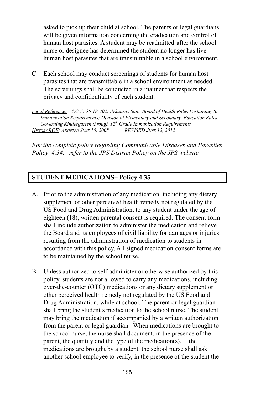asked to pick up their child at school. The parents or legal guardians will be given information concerning the eradication and control of human host parasites. A student may be readmitted after the school nurse or designee has determined the student no longer has live human host parasites that are transmittable in a school environment.

C. Each school may conduct screenings of students for human host parasites that are transmittable in a school environment as needed. The screenings shall be conducted in a manner that respects the privacy and confidentiality of each student.

*Legal Reference: A.C.A. §6-18-702; Arkansas State Board of Health Rules Pertaining To Immunization Requirements; Division of Elementary and Secondary Education Rules Governing Kindergarten through 12 th Grade Immunization Requirements HISTORY BOE: ADOPTED JUNE 10, 2008 REVISED JUNE 12, 2012*

*For the complete policy regarding Communicable Diseases and Parasites Policy 4.34, refer to the JPS District Policy on the JPS website.*

#### **STUDENT MEDICATIONS– Policy 4.35**

- A. Prior to the administration of any medication, including any dietary supplement or other perceived health remedy not regulated by the US Food and Drug Administration, to any student under the age of eighteen (18), written parental consent is required. The consent form shall include authorization to administer the medication and relieve the Board and its employees of civil liability for damages or injuries resulting from the administration of medication to students in accordance with this policy. All signed medication consent forms are to be maintained by the school nurse.
- B. Unless authorized to self-administer or otherwise authorized by this policy, students are not allowed to carry any medications, including over-the-counter (OTC) medications or any dietary supplement or other perceived health remedy not regulated by the US Food and Drug Administration, while at school. The parent or legal guardian shall bring the student's medication to the school nurse. The student may bring the medication if accompanied by a written authorization from the parent or legal guardian. When medications are brought to the school nurse, the nurse shall document, in the presence of the parent, the quantity and the type of the medication(s). If the medications are brought by a student, the school nurse shall ask another school employee to verify, in the presence of the student the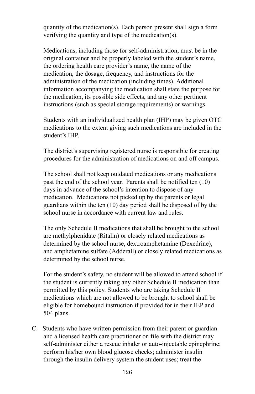quantity of the medication(s). Each person present shall sign a form verifying the quantity and type of the medication(s).

Medications, including those for self-administration, must be in the original container and be properly labeled with the student's name, the ordering health care provider's name, the name of the medication, the dosage, frequency, and instructions for the administration of the medication (including times). Additional information accompanying the medication shall state the purpose for the medication, its possible side effects, and any other pertinent instructions (such as special storage requirements) or warnings.

Students with an individualized health plan (IHP) may be given OTC medications to the extent giving such medications are included in the student's IHP.

The district's supervising registered nurse is responsible for creating procedures for the administration of medications on and off campus.

The school shall not keep outdated medications or any medications past the end of the school year. Parents shall be notified ten (10) days in advance of the school's intention to dispose of any medication. Medications not picked up by the parents or legal guardians within the ten (10) day period shall be disposed of by the school nurse in accordance with current law and rules.

The only Schedule II medications that shall be brought to the school are methylphenidate (Ritalin) or closely related medications as determined by the school nurse, dextroamphetamine (Dexedrine), and amphetamine sulfate (Adderall) or closely related medications as determined by the school nurse.

For the student's safety, no student will be allowed to attend school if the student is currently taking any other Schedule II medication than permitted by this policy. Students who are taking Schedule II medications which are not allowed to be brought to school shall be eligible for homebound instruction if provided for in their IEP and 504 plans.

C. Students who have written permission from their parent or guardian and a licensed health care practitioner on file with the district may self-administer either a rescue inhaler or auto-injectable epinephrine; perform his/her own blood glucose checks; administer insulin through the insulin delivery system the student uses; treat the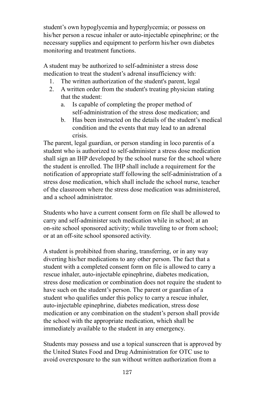student's own hypoglycemia and hyperglycemia; or possess on his/her person a rescue inhaler or auto-injectable epinephrine; or the necessary supplies and equipment to perform his/her own diabetes monitoring and treatment functions.

A student may be authorized to self-administer a stress dose medication to treat the student's adrenal insufficiency with:

- 1. The written authorization of the student's parent, legal
- 2. A written order from the student's treating physician stating that the student:
	- a. Is capable of completing the proper method of self-administration of the stress dose medication; and
	- b. Has been instructed on the details of the student's medical condition and the events that may lead to an adrenal crisis.

The parent, legal guardian, or person standing in loco parentis of a student who is authorized to self-administer a stress dose medication shall sign an IHP developed by the school nurse for the school where the student is enrolled. The IHP shall include a requirement for the notification of appropriate staff following the self-administration of a stress dose medication, which shall include the school nurse, teacher of the classroom where the stress dose medication was administered, and a school administrator.

Students who have a current consent form on file shall be allowed to carry and self-administer such medication while in school; at an on-site school sponsored activity; while traveling to or from school; or at an off-site school sponsored activity.

A student is prohibited from sharing, transferring, or in any way diverting his/her medications to any other person. The fact that a student with a completed consent form on file is allowed to carry a rescue inhaler, auto-injectable epinephrine, diabetes medication, stress dose medication or combination does not require the student to have such on the student's person. The parent or guardian of a student who qualifies under this policy to carry a rescue inhaler, auto-injectable epinephrine, diabetes medication, stress dose medication or any combination on the student's person shall provide the school with the appropriate medication, which shall be immediately available to the student in any emergency.

Students may possess and use a topical sunscreen that is approved by the United States Food and Drug Administration for OTC use to avoid overexposure to the sun without written authorization from a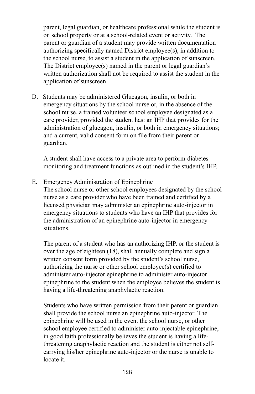parent, legal guardian, or healthcare professional while the student is on school property or at a school-related event or activity. The parent or guardian of a student may provide written documentation authorizing specifically named District employee(s), in addition to the school nurse, to assist a student in the application of sunscreen. The District employee(s) named in the parent or legal guardian's written authorization shall not be required to assist the student in the application of sunscreen.

D. Students may be administered Glucagon, insulin, or both in emergency situations by the school nurse or, in the absence of the school nurse, a trained volunteer school employee designated as a care provider, provided the student has: an IHP that provides for the administration of glucagon, insulin, or both in emergency situations; and a current, valid consent form on file from their parent or guardian.

A student shall have access to a private area to perform diabetes monitoring and treatment functions as outlined in the student's IHP.

E. Emergency Administration of Epinephrine

The school nurse or other school employees designated by the school nurse as a care provider who have been trained and certified by a licensed physician may administer an epinephrine auto-injector in emergency situations to students who have an IHP that provides for the administration of an epinephrine auto-injector in emergency situations.

The parent of a student who has an authorizing IHP, or the student is over the age of eighteen (18), shall annually complete and sign a written consent form provided by the student's school nurse, authorizing the nurse or other school employee(s) certified to administer auto-injector epinephrine to administer auto-injector epinephrine to the student when the employee believes the student is having a life-threatening anaphylactic reaction.

Students who have written permission from their parent or guardian shall provide the school nurse an epinephrine auto-injector. The epinephrine will be used in the event the school nurse, or other school employee certified to administer auto-injectable epinephrine, in good faith professionally believes the student is having a lifethreatening anaphylactic reaction and the student is either not selfcarrying his/her epinephrine auto-injector or the nurse is unable to locate it.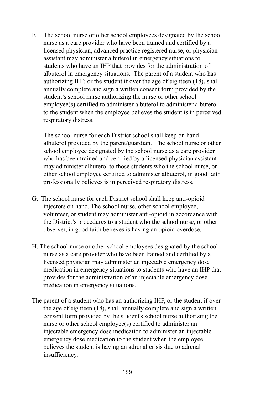F. The school nurse or other school employees designated by the school nurse as a care provider who have been trained and certified by a licensed physician, advanced practice registered nurse, or physician assistant may administer albuterol in emergency situations to students who have an IHP that provides for the administration of albuterol in emergency situations. The parent of a student who has authorizing IHP, or the student if over the age of eighteen (18), shall annually complete and sign a written consent form provided by the student's school nurse authorizing the nurse or other school employee(s) certified to administer albuterol to administer albuterol to the student when the employee believes the student is in perceived respiratory distress.

The school nurse for each District school shall keep on hand albuterol provided by the parent/guardian. The school nurse or other school employee designated by the school nurse as a care provider who has been trained and certified by a licensed physician assistant may administer albuterol to those students who the school nurse, or other school employee certified to administer albuterol, in good faith professionally believes is in perceived respiratory distress.

- G. The school nurse for each District school shall keep anti-opioid injectors on hand. The school nurse, other school employee, volunteer, or student may administer anti-opioid in accordance with the District's procedures to a student who the school nurse, or other observer, in good faith believes is having an opioid overdose.
- H. The school nurse or other school employees designated by the school nurse as a care provider who have been trained and certified by a licensed physician may administer an injectable emergency dose medication in emergency situations to students who have an IHP that provides for the administration of an injectable emergency dose medication in emergency situations.
- The parent of a student who has an authorizing IHP, or the student if over the age of eighteen (18), shall annually complete and sign a written consent form provided by the student's school nurse authorizing the nurse or other school employee(s) certified to administer an injectable emergency dose medication to administer an injectable emergency dose medication to the student when the employee believes the student is having an adrenal crisis due to adrenal insufficiency.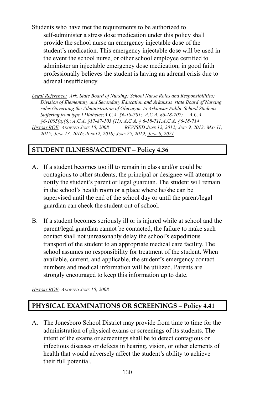Students who have met the requirements to be authorized to self-administer a stress dose medication under this policy shall provide the school nurse an emergency injectable dose of the student's medication. This emergency injectable dose will be used in the event the school nurse, or other school employee certified to administer an injectable emergency dose medication, in good faith professionally believes the student is having an adrenal crisis due to adrenal insufficiency.

*Legal Reference: Ark. State Board of Nursing: School Nurse Roles and Responsibilities; Division of Elementary and Secondary Education and Arkansas state Board of Nursing rules Governing the Administration of Glucagon to Arkansas Public School Students Suf ering from type I Diabetes;A.C.A. §6-18-701; A.C.A. §6-18-707; A.C.A. §6-1005(a)(6); A.C.A. §17-87-103 (11); A.C.A. § 6-18-711;A.C.A. §6-18-714* HISTORY BOE: ADOPTED JUNE 10, 2008 REVISED JUNE 12, 2012; JULY 9, 2013; MAY 11. *2015; JUNE 13, 2016; JUNE12, 2018; JUNE 25, 2019; JUNE 8, 2021*

## **STUDENT ILLNESS/ACCIDENT – Policy 4.36**

- A. If a student becomes too ill to remain in class and/or could be contagious to other students, the principal or designee will attempt to notify the student's parent or legal guardian. The student will remain in the school's health room or a place where he/she can be supervised until the end of the school day or until the parent/legal guardian can check the student out of school.
- B. If a student becomes seriously ill or is injured while at school and the parent/legal guardian cannot be contacted, the failure to make such contact shall not unreasonably delay the school's expeditious transport of the student to an appropriate medical care facility. The school assumes no responsibility for treatment of the student. When available, current, and applicable, the student's emergency contact numbers and medical information will be utilized. Parents are strongly encouraged to keep this information up to date.

*HISTORY BOE: ADOPTED JUNE 10, 2008*

## **PHYSICAL EXAMINATIONS OR SCREENINGS – Policy 4.41**

A. The Jonesboro School District may provide from time to time for the administration of physical exams or screenings of its students. The intent of the exams or screenings shall be to detect contagious or infectious diseases or defects in hearing, vision, or other elements of health that would adversely affect the student's ability to achieve their full potential.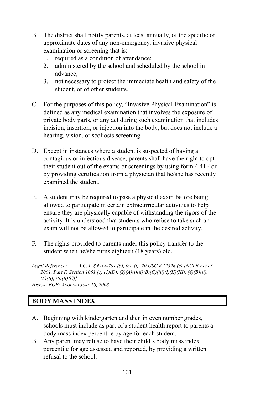- B. The district shall notify parents, at least annually, of the specific or approximate dates of any non-emergency, invasive physical examination or screening that is:
	- 1. required as a condition of attendance;
	- 2. administered by the school and scheduled by the school in advance;
	- 3. not necessary to protect the immediate health and safety of the student, or of other students.
- C. For the purposes of this policy, "Invasive Physical Examination" is defined as any medical examination that involves the exposure of private body parts, or any act during such examination that includes incision, insertion, or injection into the body, but does not include a hearing, vision, or scoliosis screening.
- D. Except in instances where a student is suspected of having a contagious or infectious disease, parents shall have the right to opt their student out of the exams or screenings by using form 4.41F or by providing certification from a physician that he/she has recently examined the student.
- E. A student may be required to pass a physical exam before being allowed to participate in certain extracurricular activities to help ensure they are physically capable of withstanding the rigors of the activity. It is understood that students who refuse to take such an exam will not be allowed to participate in the desired activity.
- F. The rights provided to parents under this policy transfer to the student when he/she turns eighteen (18 years) old.
- *Legal Reference: A.C.A. § 6-18-701 (b), (c), (f), 20 USC § 1232h (c) [NCLB Act of 2001, Part F, Section 1061 (c) (1)(D), (2)(A)(i)(ii)(B)(C)(iii)(I)(II)(III), (4)(B)(ii), (5)(B), (6)(B)(C)] HISTORY BOE: ADOPTED JUNE 10, 2008*

## **BODY MASS INDEX**

- A. Beginning with kindergarten and then in even number grades, schools must include as part of a student health report to parents a body mass index percentile by age for each student.
- B Any parent may refuse to have their child's body mass index percentile for age assessed and reported, by providing a written refusal to the school.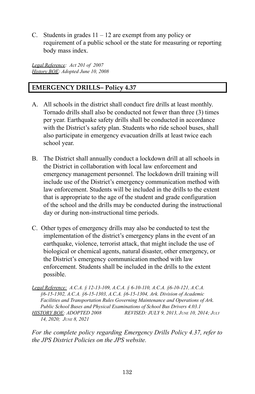C. Students in grades  $11 - 12$  are exempt from any policy or requirement of a public school or the state for measuring or reporting body mass index.

*Legal Reference: Act 201 of 2007 History BOE: Adopted June 10, 2008*

#### **EMERGENCY DRILLS– Policy 4.37**

- A. All schools in the district shall conduct fire drills at least monthly. Tornado drills shall also be conducted not fewer than three (3) times per year. Earthquake safety drills shall be conducted in accordance with the District's safety plan. Students who ride school buses, shall also participate in emergency evacuation drills at least twice each school year.
- B. The District shall annually conduct a lockdown drill at all schools in the District in collaboration with local law enforcement and emergency management personnel. The lockdown drill training will include use of the District's emergency communication method with law enforcement. Students will be included in the drills to the extent that is appropriate to the age of the student and grade configuration of the school and the drills may be conducted during the instructional day or during non-instructional time periods.
- C. Other types of emergency drills may also be conducted to test the implementation of the district's emergency plans in the event of an earthquake, violence, terrorist attack, that might include the use of biological or chemical agents, natural disaster, other emergency, or the District's emergency communication method with law enforcement. Students shall be included in the drills to the extent possible.

*Legal Reference: A.C.A. § 12-13-109, A.C.A. § 6-10-110, A.C.A. §6-10-121, A.C.A. §6-15-1302, A.C.A. §6-15-1303, A.C.A. §6-15-1304, Ark. Division of Academic Facilities and Transportation Rules Governing Maintenance and Operations of Ark. Public School Buses and Physical Examinations of School Bus Drivers 4.03.1 HISTORY BOE: ADOPTED 2008 REVISED: JULY 9, 2013, JUNE 10, 2014; JULY 14, 2020; JUNE 8, 2021*

*For the complete policy regarding Emergency Drills Policy 4.37, refer to the JPS District Policies on the JPS website.*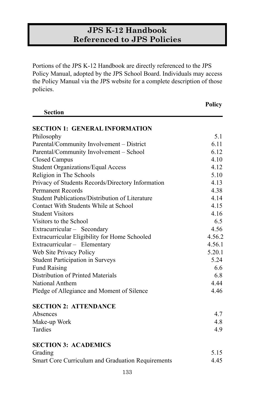# **JPS K-12 Handbook Referenced to JPS Policies**

Portions of the JPS K-12 Handbook are directly referenced to the JPS Policy Manual, adopted by the JPS School Board. Individuals may access the Policy Manual via the JPS website for a complete description of those policies.

|                                                   | <b>Policy</b> |
|---------------------------------------------------|---------------|
| <b>Section</b>                                    |               |
| <b>SECTION 1: GENERAL INFORMATION</b>             |               |
| Philosophy                                        | 5.1           |
| Parental/Community Involvement - District         | 6.11          |
| Parental/Community Involvement - School           | 6.12          |
| <b>Closed Campus</b>                              | 4.10          |
| <b>Student Organizations/Equal Access</b>         | 4.12          |
| Religion in The Schools                           | 5.10          |
| Privacy of Students Records/Directory Information | 4.13          |
| <b>Permanent Records</b>                          | 4.38          |
| Student Publications/Distribution of Literature   | 4.14          |
| Contact With Students While at School             | 4.15          |
| <b>Student Visitors</b>                           | 4.16          |
| Visitors to the School                            | 6.5           |
| Extracurricular - Secondary                       | 4.56          |
| Extracurricular Eligibility for Home Schooled     | 4.56.2        |
| Extracurricular - Elementary                      | 4.56.1        |
| Web Site Privacy Policy                           | 5.20.1        |
| <b>Student Participation in Surveys</b>           | 5.24          |
| <b>Fund Raising</b>                               | 6.6           |
| Distribution of Printed Materials                 | 6.8           |
| National Anthem                                   | 4.44          |
| Pledge of Allegiance and Moment of Silence        | 4.46          |
| <b>SECTION 2: ATTENDANCE</b>                      |               |
| Absences                                          | 4.7           |
| Make-up Work                                      | 4.8           |
| Tardies                                           | 4.9           |
| <b>SECTION 3: ACADEMICS</b>                       |               |
| Grading                                           | 5.15          |
| Smart Core Curriculum and Graduation Requirements | 4.45          |
| 133                                               |               |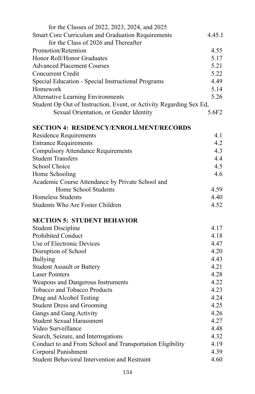| for the Classes of 2022, 2023, 2024, and 2025                       |        |
|---------------------------------------------------------------------|--------|
| Smart Core Curriculum and Graduation Requirements                   | 4.45.1 |
| for the Class of 2026 and Thereafter                                |        |
| Promotion/Retention                                                 | 4.55   |
| Honor Roll/Honor Graduates                                          | 5.17   |
| <b>Advanced Placement Courses</b>                                   | 5.21   |
| <b>Concurrent Credit</b>                                            | 5.22   |
| Special Education - Special Instructional Programs                  | 4.49   |
| Homework                                                            | 5.14   |
| <b>Alternative Learning Environments</b>                            | 5.26   |
| Student Op Out of Instruction, Event, or Activity Regarding Sex Ed, |        |
| Sexual Orientation, or Gender Identity                              | 5.6F2  |
| <b>SECTION 4: RESIDENCY/ENROLLMENT/RECORDS</b>                      |        |
| <b>Residence Requirements</b>                                       | 4.1    |
| <b>Entrance Requirements</b>                                        | 4.2    |
| <b>Compulsory Attendance Requirements</b>                           | 4.3    |
| <b>Student Transfers</b>                                            | 4.4    |
| <b>School Choice</b>                                                | 4.5    |
| Home Schooling                                                      | 4.6    |
| Academic Course Attendance by Private School and                    |        |
| Home School Students                                                | 4.59   |
| <b>Homeless Students</b>                                            | 4.40   |
| Students Who Are Foster Children                                    | 4.52   |
| <b>SECTION 5: STUDENT BEHAVIOR</b>                                  |        |
| <b>Student Discipline</b>                                           | 4.17   |
| Prohibited Conduct                                                  | 4.18   |
| Use of Electronic Devices                                           | 4.47   |
| Disruption of School                                                | 4.20   |
| <b>Bullying</b>                                                     | 4.43   |
| <b>Student Assault or Battery</b>                                   | 4.21   |
| <b>Laser Pointers</b>                                               | 4.28   |
| Weapons and Dangerous Instruments                                   | 4.22   |
| Tobacco and Tobacco Products                                        | 4.23   |
| Drug and Alcohol Testing                                            | 4.24   |
| <b>Student Dress and Grooming</b>                                   | 4.25   |
| Gangs and Gang Activity                                             | 4.26   |
| <b>Student Sexual Harassment</b>                                    | 4.27   |
| Video Surveillance                                                  | 4.48   |
| Search, Seizure, and Interrogations                                 | 4.32   |
| Conduct to and From School and Transportation Eligibility           | 4.19   |
| Corporal Punishment                                                 | 4.39   |
| Student Behavioral Intervention and Restraint                       | 4.60   |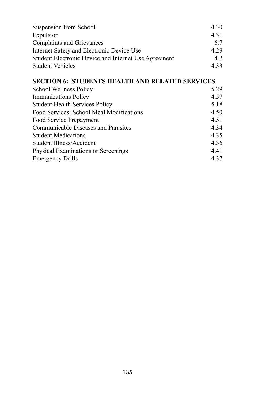| Suspension from School                               | 4.30  |
|------------------------------------------------------|-------|
| Expulsion                                            | 4 3 1 |
| <b>Complaints and Grievances</b>                     | 67    |
| Internet Safety and Electronic Device Use            | 4 2 9 |
| Student Electronic Device and Internet Use Agreement | 42    |
| <b>Student Vehicles</b>                              | 433   |

## **SECTION 6: STUDENTS HEALTH AND RELATED SERVICES**

| School Wellness Policy                     | 5.29 |
|--------------------------------------------|------|
| <b>Immunizations Policy</b>                | 4.57 |
| <b>Student Health Services Policy</b>      | 5.18 |
| Food Services: School Meal Modifications   | 4.50 |
| Food Service Prepayment                    | 4.51 |
| <b>Communicable Diseases and Parasites</b> | 4.34 |
| <b>Student Medications</b>                 | 4.35 |
| Student Illness/Accident                   | 4.36 |
| Physical Examinations or Screenings        | 4.41 |
| <b>Emergency Drills</b>                    | 4.37 |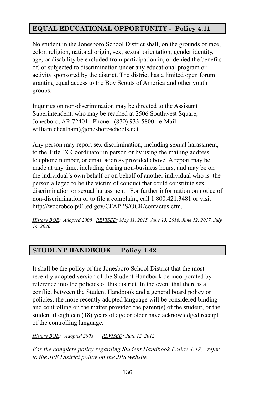## **EQUAL EDUCATIONAL OPPORTUNITY - Policy 4.11**

No student in the Jonesboro School District shall, on the grounds of race, color, religion, national origin, sex, sexual orientation, gender identity, age, or disability be excluded from participation in, or denied the benefits of, or subjected to discrimination under any educational program or activity sponsored by the district. The district has a limited open forum granting equal access to the Boy Scouts of America and other youth groups.

Inquiries on non-discrimination may be directed to the Assistant Superintendent, who may be reached at 2506 Southwest Square, Jonesboro, AR 72401. Phone: (870) 933-5800. e-Mail: william.cheatham@jonesboroschools.net.

Any person may report sex discrimination, including sexual harassment, to the Title IX Coordinator in person or by using the mailing address, telephone number, or email address provided above. A report may be made at any time, including during non-business hours, and may be on the individual's own behalf or on behalf of another individual who is the person alleged to be the victim of conduct that could constitute sex discrimination or sexual harassment. For further information on notice of non-discrimination or to file a complaint, call 1.800.421.3481 or visit http://wdcrobcolp01.ed.gov/CFAPPS/OCR/contactus.cfm.

*History BOE: Adopted 2008 REVISED: May 11, 2015, June 13, 2016, June 12, 2017, July 14, 2020*

#### **STUDENT HANDBOOK - Policy 4.42**

It shall be the policy of the Jonesboro School District that the most recently adopted version of the Student Handbook be incorporated by reference into the policies of this district. In the event that there is a conflict between the Student Handbook and a general board policy or policies, the more recently adopted language will be considered binding and controlling on the matter provided the parent(s) of the student, or the student if eighteen (18) years of age or older have acknowledged receipt of the controlling language.

*History BOE: Adopted 2008 REVISED: June 12, 2012*

*For the complete policy regarding Student Handbook Policy 4.42, refer to the JPS District policy on the JPS website.*